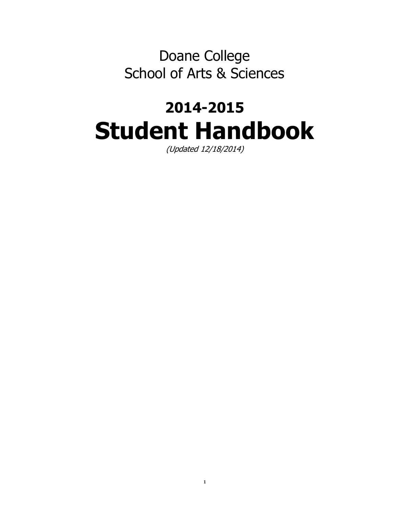Doane College School of Arts & Sciences

# **2014-2015 Student Handbook**

(Updated 12/18/2014)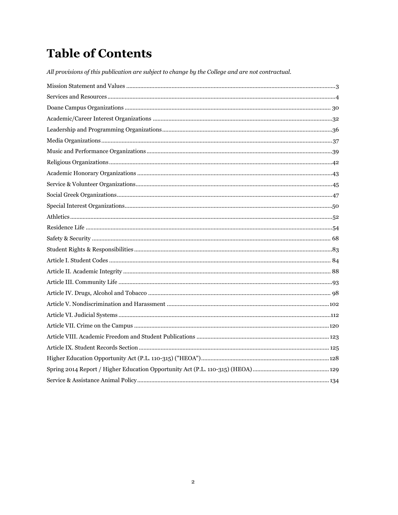# **Table of Contents**

All provisions of this publication are subject to change by the College and are not contractual.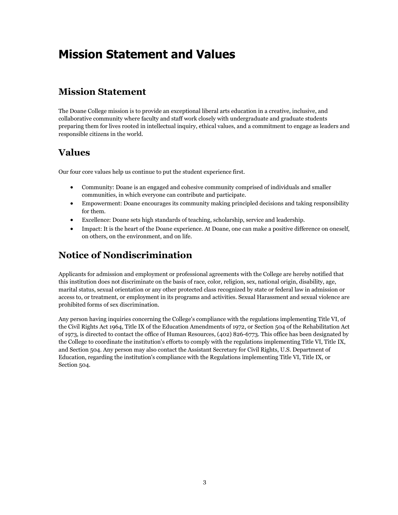# <span id="page-2-0"></span>**Mission Statement and Values**

# **Mission Statement**

The Doane College mission is to provide an exceptional liberal arts education in a creative, inclusive, and collaborative community where faculty and staff work closely with undergraduate and graduate students preparing them for lives rooted in intellectual inquiry, ethical values, and a commitment to engage as leaders and responsible citizens in the world.

# **Values**

Our four core values help us continue to put the student experience first.

- Community: Doane is an engaged and cohesive community comprised of individuals and smaller communities, in which everyone can contribute and participate.
- Empowerment: Doane encourages its community making principled decisions and taking responsibility for them.
- Excellence: Doane sets high standards of teaching, scholarship, service and leadership.
- Impact: It is the heart of the Doane experience. At Doane, one can make a positive difference on oneself, on others, on the environment, and on life.

# **Notice of Nondiscrimination**

Applicants for admission and employment or professional agreements with the College are hereby notified that this institution does not discriminate on the basis of race, color, religion, sex, national origin, disability, age, marital status, sexual orientation or any other protected class recognized by state or federal law in admission or access to, or treatment, or employment in its programs and activities. Sexual Harassment and sexual violence are prohibited forms of sex discrimination.

Any person having inquiries concerning the College's compliance with the regulations implementing Title VI, of the Civil Rights Act 1964, Title IX of the Education Amendments of 1972, or Section 504 of the Rehabilitation Act of 1973, is directed to contact the office of Human Resources, (402) 826-6773. This office has been designated by the College to coordinate the institution's efforts to comply with the regulations implementing Title VI, Title IX, and Section 504. Any person may also contact the Assistant Secretary for Civil Rights, U.S. Department of Education, regarding the institution's compliance with the Regulations implementing Title VI, Title IX, or Section 504.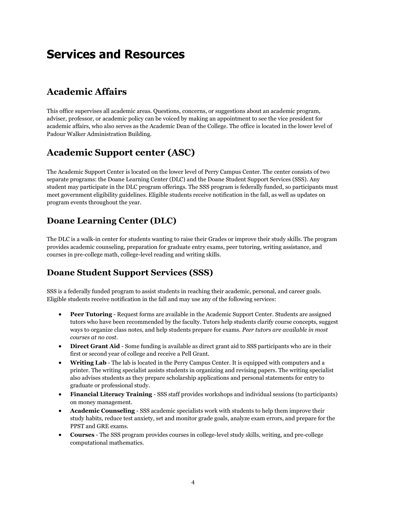# <span id="page-3-0"></span>**Services and Resources**

# **Academic Affairs**

This office supervises all academic areas. Questions, concerns, or suggestions about an academic program, adviser, professor, or academic policy can be voiced by making an appointment to see the vice president for academic affairs, who also serves as the Academic Dean of the College. The office is located in the lower level of Padour Walker Administration Building.

# **Academic Support center (ASC)**

The Academic Support Center is located on the lower level of Perry Campus Center. The center consists of two separate programs: the Doane Learning Center (DLC) and the Doane Student Support Services (SSS). Any student may participate in the DLC program offerings. The SSS program is federally funded, so participants must meet government eligibility guidelines. Eligible students receive notification in the fall, as well as updates on program events throughout the year.

# **Doane Learning Center (DLC)**

The DLC is a walk-in center for students wanting to raise their Grades or improve their study skills. The program provides academic counseling, preparation for graduate entry exams, peer tutoring, writing assistance, and courses in pre-college math, college-level reading and writing skills.

# **Doane Student Support Services (SSS)**

SSS is a federally funded program to assist students in reaching their academic, personal, and career goals. Eligible students receive notification in the fall and may use any of the following services:

- **Peer Tutoring** Request forms are available in the Academic Support Center. Students are assigned tutors who have been recommended by the faculty. Tutors help students clarify course concepts, suggest ways to organize class notes, and help students prepare for exams. *Peer tutors are available in most courses at no cost.*
- **•** Direct Grant Aid Some funding is available as direct grant aid to SSS participants who are in their first or second year of college and receive a Pell Grant.
- **Writing Lab** The lab is located in the Perry Campus Center. It is equipped with computers and a printer. The writing specialist assists students in organizing and revising papers. The writing specialist also advises students as they prepare scholarship applications and personal statements for entry to graduate or professional study.
- **Financial Literacy Training** SSS staff provides workshops and individual sessions (to participants) on money management.
- **Academic Counseling** SSS academic specialists work with students to help them improve their study habits, reduce test anxiety, set and monitor grade goals, analyze exam errors, and prepare for the PPST and GRE exams.
- **Courses** The SSS program provides courses in college-level study skills, writing, and pre-college computational mathematics.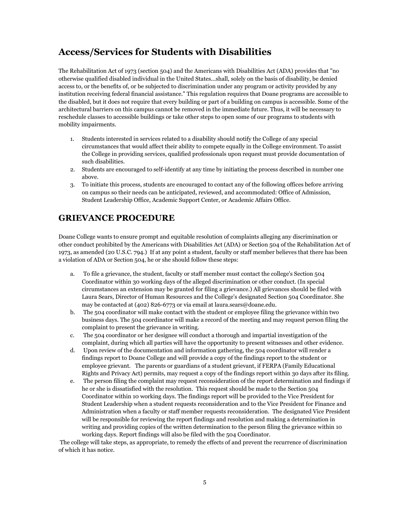# **Access/Services for Students with Disabilities**

The Rehabilitation Act of 1973 (section 504) and the Americans with Disabilities Act (ADA) provides that "no otherwise qualified disabled individual in the United States...shall, solely on the basis of disability, be denied access to, or the benefits of, or be subjected to discrimination under any program or activity provided by any institution receiving federal financial assistance." This regulation requires that Doane programs are accessible to the disabled, but it does not require that every building or part of a building on campus is accessible. Some of the architectural barriers on this campus cannot be removed in the immediate future. Thus, it will be necessary to reschedule classes to accessible buildings or take other steps to open some of our programs to students with mobility impairments.

- 1. Students interested in services related to a disability should notify the College of any special circumstances that would affect their ability to compete equally in the College environment. To assist the College in providing services, qualified professionals upon request must provide documentation of such disabilities.
- 2. Students are encouraged to self-identify at any time by initiating the process described in number one above.
- 3. To initiate this process, students are encouraged to contact any of the following offices before arriving on campus so their needs can be anticipated, reviewed, and accommodated: Office of Admission, Student Leadership Office, Academic Support Center, or Academic Affairs Office.

### **GRIEVANCE PROCEDURE**

Doane College wants to ensure prompt and equitable resolution of complaints alleging any discrimination or other conduct prohibited by the Americans with Disabilities Act (ADA) or Section 504 of the Rehabilitation Act of 1973, as amended (20 U.S.C. 794.) If at any point a student, faculty or staff member believes that there has been a violation of ADA or Section 504, he or she should follow these steps:

- a. To file a grievance, the student, faculty or staff member must contact the college's Section 504 Coordinator within 30 working days of the alleged discrimination or other conduct. (In special circumstances an extension may be granted for filing a grievance.) All grievances should be filed with Laura Sears, Director of Human Resources and the College's designated Section 504 Coordinator. She may be contacted at (402) 826-6773 or via email at laura.sears@doane.edu.
- b. The 504 coordinator will make contact with the student or employee filing the grievance within two business days. The 504 coordinator will make a record of the meeting and may request person filing the complaint to present the grievance in writing.
- c. The 504 coordinator or her designee will conduct a thorough and impartial investigation of the complaint, during which all parties will have the opportunity to present witnesses and other evidence.
- d. Upon review of the documentation and information gathering, the 504 coordinator will render a findings report to Doane College and will provide a copy of the findings report to the student or employee grievant. The parents or guardians of a student grievant, if FERPA (Family Educational Rights and Privacy Act) permits, may request a copy of the findings report within 30 days after its filing.
- e. The person filing the complaint may request reconsideration of the report determination and findings if he or she is dissatisfied with the resolution. This request should be made to the Section 504 Coordinator within 10 working days. The findings report will be provided to the Vice President for Student Leadership when a student requests reconsideration and to the Vice President for Finance and Administration when a faculty or staff member requests reconsideration. The designated Vice President will be responsible for reviewing the report findings and resolution and making a determination in writing and providing copies of the written determination to the person filing the grievance within 10 working days. Report findings will also be filed with the 504 Coordinator.

The college will take steps, as appropriate, to remedy the effects of and prevent the recurrence of discrimination of which it has notice.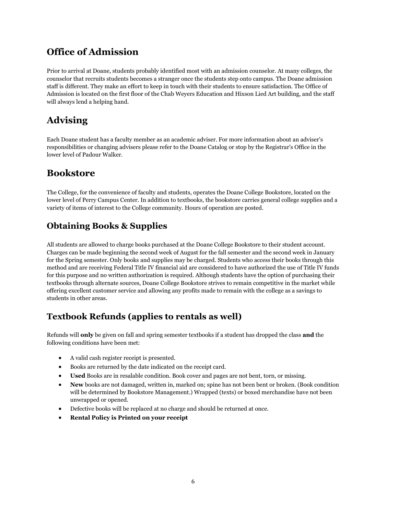# **Office of Admission**

Prior to arrival at Doane, students probably identified most with an admission counselor. At many colleges, the counselor that recruits students becomes a stranger once the students step onto campus. The Doane admission staff is different. They make an effort to keep in touch with their students to ensure satisfaction. The Office of Admission is located on the first floor of the Chab Weyers Education and Hixson Lied Art building, and the staff will always lend a helping hand.

# **Advising**

Each Doane student has a faculty member as an academic adviser. For more information about an adviser's responsibilities or changing advisers please refer to the Doane Catalog or stop by the Registrar's Office in the lower level of Padour Walker.

# **Bookstore**

The College, for the convenience of faculty and students, operates the Doane College Bookstore, located on the lower level of Perry Campus Center. In addition to textbooks, the bookstore carries general college supplies and a variety of items of interest to the College community. Hours of operation are posted.

# **Obtaining Books & Supplies**

All students are allowed to charge books purchased at the Doane College Bookstore to their student account. Charges can be made beginning the second week of August for the fall semester and the second week in January for the Spring semester. Only books and supplies may be charged. Students who access their books through this method and are receiving Federal Title IV financial aid are considered to have authorized the use of Title IV funds for this purpose and no written authorization is required. Although students have the option of purchasing their textbooks through alternate sources, Doane College Bookstore strives to remain competitive in the market while offering excellent customer service and allowing any profits made to remain with the college as a savings to students in other areas.

# **Textbook Refunds (applies to rentals as well)**

Refunds will **only** be given on fall and spring semester textbooks if a student has dropped the class **and** the following conditions have been met:

- A valid cash register receipt is presented.
- Books are returned by the date indicated on the receipt card.
- **Used** Books are in resalable condition. Book cover and pages are not bent, torn, or missing.
- **New** books are not damaged, written in, marked on; spine has not been bent or broken. (Book condition will be determined by Bookstore Management.) Wrapped (texts) or boxed merchandise have not been unwrapped or opened.
- Defective books will be replaced at no charge and should be returned at once.
- **Rental Policy is Printed on your receipt**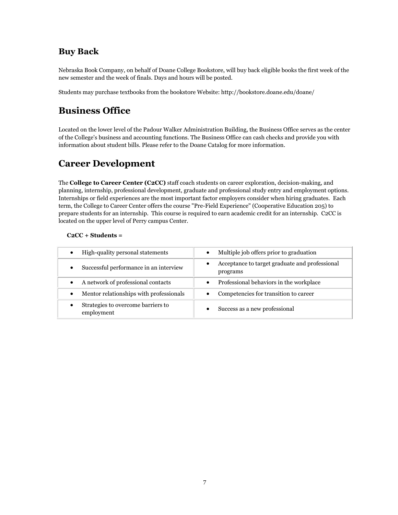### **Buy Back**

Nebraska Book Company, on behalf of Doane College Bookstore, will buy back eligible books the first week of the new semester and the week of finals. Days and hours will be posted.

Students may purchase textbooks from the bookstore Website: http://bookstore.doane.edu/doane/

# **Business Office**

Located on the lower level of the Padour Walker Administration Building, the Business Office serves as the center of the College's business and accounting functions. The Business Office can cash checks and provide you with information about student bills. Please refer to the Doane Catalog for more information.

# **Career Development**

The **College to Career Center (C2CC)** staff coach students on career exploration, decision-making, and planning, internship, professional development, graduate and professional study entry and employment options. Internships or field experiences are the most important factor employers consider when hiring graduates. Each term, the College to Career Center offers the course "Pre-Field Experience" (Cooperative Education 205) to prepare students for an internship. This course is required to earn academic credit for an internship. C2CC is located on the upper level of Perry campus Center.

### **C2CC + Students =**

| High-quality personal statements<br>$\bullet$        | Multiple job offers prior to graduation                    |
|------------------------------------------------------|------------------------------------------------------------|
| Successful performance in an interview<br>$\bullet$  | Acceptance to target graduate and professional<br>programs |
| A network of professional contacts<br>$\bullet$      | Professional behaviors in the workplace                    |
| Mentor relationships with professionals<br>$\bullet$ | Competencies for transition to career                      |
| Strategies to overcome barriers to<br>employment     | Success as a new professional                              |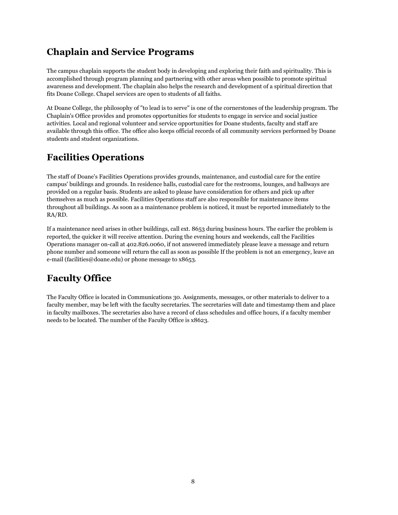# **Chaplain and Service Programs**

The campus chaplain supports the student body in developing and exploring their faith and spirituality. This is accomplished through program planning and partnering with other areas when possible to promote spiritual awareness and development. The chaplain also helps the research and development of a spiritual direction that fits Doane College. Chapel services are open to students of all faiths.

At Doane College, the philosophy of "to lead is to serve" is one of the cornerstones of the leadership program. The Chaplain's Office provides and promotes opportunities for students to engage in service and social justice activities. Local and regional volunteer and service opportunities for Doane students, faculty and staff are available through this office. The office also keeps official records of all community services performed by Doane students and student organizations.

# **Facilities Operations**

The staff of Doane's Facilities Operations provides grounds, maintenance, and custodial care for the entire campus' buildings and grounds. In residence halls, custodial care for the restrooms, lounges, and hallways are provided on a regular basis. Students are asked to please have consideration for others and pick up after themselves as much as possible. Facilities Operations staff are also responsible for maintenance items throughout all buildings. As soon as a maintenance problem is noticed, it must be reported immediately to the RA/RD.

If a maintenance need arises in other buildings, call ext. 8653 during business hours. The earlier the problem is reported, the quicker it will receive attention. During the evening hours and weekends, call the Facilities Operations manager on-call at 402.826.0060, if not answered immediately please leave a message and return phone number and someone will return the call as soon as possible If the problem is not an emergency, leave an e-mail (facilities@doane.edu) or phone message to x8653.

# **Faculty Office**

The Faculty Office is located in Communications 30. Assignments, messages, or other materials to deliver to a faculty member, may be left with the faculty secretaries. The secretaries will date and timestamp them and place in faculty mailboxes. The secretaries also have a record of class schedules and office hours, if a faculty member needs to be located. The number of the Faculty Office is x8623.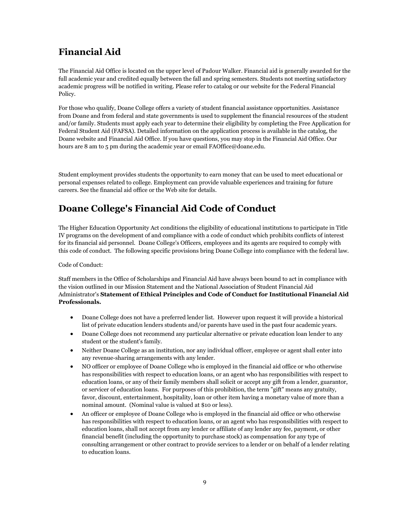# **Financial Aid**

The Financial Aid Office is located on the upper level of Padour Walker. Financial aid is generally awarded for the full academic year and credited equally between the fall and spring semesters. Students not meeting satisfactory academic progress will be notified in writing. Please refer to catalog or our website for the Federal Financial Policy.

For those who qualify, Doane College offers a variety of student financial assistance opportunities. Assistance from Doane and from federal and state governments is used to supplement the financial resources of the student and/or family. Students must apply each year to determine their eligibility by completing the Free Application for Federal Student Aid (FAFSA). Detailed information on the application process is available in the catalog, the Doane website and Financial Aid Office. If you have questions, you may stop in the Financial Aid Office. Our hours are 8 am to 5 pm during the academic year or email FAOffice@doane.edu.

Student employment provides students the opportunity to earn money that can be used to meet educational or personal expenses related to college. Employment can provide valuable experiences and training for future careers. See the financial aid office or the Web site for details.

# **Doane College's Financial Aid Code of Conduct**

The Higher Education Opportunity Act conditions the eligibility of educational institutions to participate in Title IV programs on the development of and compliance with a code of conduct which prohibits conflicts of interest for its financial aid personnel. Doane College's Officers, employees and its agents are required to comply with this code of conduct. The following specific provisions bring Doane College into compliance with the federal law.

#### Code of Conduct:

Staff members in the Office of Scholarships and Financial Aid have always been bound to act in compliance with the vision outlined in our Mission Statement and the National Association of Student Financial Aid Administrator's **Statement of Ethical Principles and Code of Conduct for Institutional Financial Aid Professionals.**

- Doane College does not have a preferred lender list. However upon request it will provide a historical list of private education lenders students and/or parents have used in the past four academic years.
- Doane College does not recommend any particular alternative or private education loan lender to any student or the student's family.
- Neither Doane College as an institution, nor any individual officer, employee or agent shall enter into any revenue-sharing arrangements with any lender.
- NO officer or employee of Doane College who is employed in the financial aid office or who otherwise has responsibilities with respect to education loans, or an agent who has responsibilities with respect to education loans, or any of their family members shall solicit or accept any gift from a lender, guarantor, or servicer of education loans. For purposes of this prohibition, the term "gift" means any gratuity, favor, discount, entertainment, hospitality, loan or other item having a monetary value of more than a nominal amount. (Nominal value is valued at \$10 or less).
- An officer or employee of Doane College who is employed in the financial aid office or who otherwise has responsibilities with respect to education loans, or an agent who has responsibilities with respect to education loans, shall not accept from any lender or affiliate of any lender any fee, payment, or other financial benefit (including the opportunity to purchase stock) as compensation for any type of consulting arrangement or other contract to provide services to a lender or on behalf of a lender relating to education loans.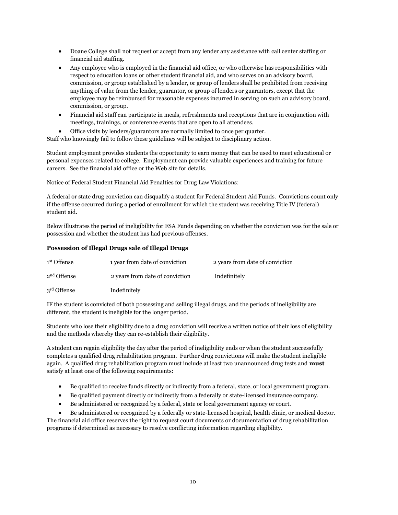- Doane College shall not request or accept from any lender any assistance with call center staffing or financial aid staffing.
- Any employee who is employed in the financial aid office, or who otherwise has responsibilities with respect to education loans or other student financial aid, and who serves on an advisory board, commission, or group established by a lender, or group of lenders shall be prohibited from receiving anything of value from the lender, guarantor, or group of lenders or guarantors, except that the employee may be reimbursed for reasonable expenses incurred in serving on such an advisory board, commission, or group.
- Financial aid staff can participate in meals, refreshments and receptions that are in conjunction with meetings, trainings, or conference events that are open to all attendees.
- Office visits by lenders/guarantors are normally limited to once per quarter.

Staff who knowingly fail to follow these guidelines will be subject to disciplinary action.

Student employment provides students the opportunity to earn money that can be used to meet educational or personal expenses related to college. Employment can provide valuable experiences and training for future careers. See the financial aid office or the Web site for details.

Notice of Federal Student Financial Aid Penalties for Drug Law Violations:

A federal or state drug conviction can disqualify a student for Federal Student Aid Funds. Convictions count only if the offense occurred during a period of enrollment for which the student was receiving Title IV (federal) student aid.

Below illustrates the period of ineligibility for FSA Funds depending on whether the conviction was for the sale or possession and whether the student has had previous offenses.

#### **Possession of Illegal Drugs sale of Illegal Drugs**

| 1 <sup>st</sup> Offense | 1 year from date of conviction  | 2 years from date of conviction |
|-------------------------|---------------------------------|---------------------------------|
| 2 <sup>nd</sup> Offense | 2 years from date of conviction | Indefinitely                    |
| 3 <sup>rd</sup> Offense | Indefinitely                    |                                 |

IF the student is convicted of both possessing and selling illegal drugs, and the periods of ineligibility are different, the student is ineligible for the longer period.

Students who lose their eligibility due to a drug conviction will receive a written notice of their loss of eligibility and the methods whereby they can re-establish their eligibility.

A student can regain eligibility the day after the period of ineligibility ends or when the student successfully completes a qualified drug rehabilitation program. Further drug convictions will make the student ineligible again. A qualified drug rehabilitation program must include at least two unannounced drug tests and **must** satisfy at least one of the following requirements:

- Be qualified to receive funds directly or indirectly from a federal, state, or local government program.
- Be qualified payment directly or indirectly from a federally or state-licensed insurance company.
- Be administered or recognized by a federal, state or local government agency or court.
- Be administered or recognized by a federally or state-licensed hospital, health clinic, or medical doctor.

The financial aid office reserves the right to request court documents or documentation of drug rehabilitation programs if determined as necessary to resolve conflicting information regarding eligibility.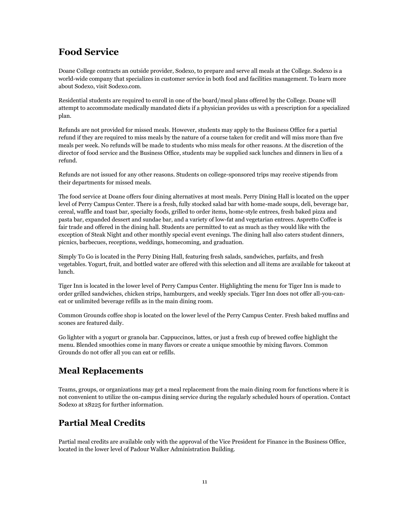# **Food Service**

Doane College contracts an outside provider, Sodexo, to prepare and serve all meals at the College. Sodexo is a world-wide company that specializes in customer service in both food and facilities management. To learn more about Sodexo, visit Sodexo.com.

Residential students are required to enroll in one of the board/meal plans offered by the College. Doane will attempt to accommodate medically mandated diets if a physician provides us with a prescription for a specialized plan.

Refunds are not provided for missed meals. However, students may apply to the Business Office for a partial refund if they are required to miss meals by the nature of a course taken for credit and will miss more than five meals per week. No refunds will be made to students who miss meals for other reasons. At the discretion of the director of food service and the Business Office, students may be supplied sack lunches and dinners in lieu of a refund.

Refunds are not issued for any other reasons. Students on college-sponsored trips may receive stipends from their departments for missed meals.

The food service at Doane offers four dining alternatives at most meals. Perry Dining Hall is located on the upper level of Perry Campus Center. There is a fresh, fully stocked salad bar with home-made soups, deli, beverage bar, cereal, waffle and toast bar, specialty foods, grilled to order items, home-style entrees, fresh baked pizza and pasta bar, expanded dessert and sundae bar, and a variety of low-fat and vegetarian entrees. Aspretto Coffee is fair trade and offered in the dining hall. Students are permitted to eat as much as they would like with the exception of Steak Night and other monthly special event evenings. The dining hall also caters student dinners, picnics, barbecues, receptions, weddings, homecoming, and graduation.

Simply To Go is located in the Perry Dining Hall, featuring fresh salads, sandwiches, parfaits, and fresh vegetables. Yogurt, fruit, and bottled water are offered with this selection and all items are available for takeout at lunch.

Tiger Inn is located in the lower level of Perry Campus Center. Highlighting the menu for Tiger Inn is made to order grilled sandwiches, chicken strips, hamburgers, and weekly specials. Tiger Inn does not offer all-you-caneat or unlimited beverage refills as in the main dining room.

Common Grounds coffee shop is located on the lower level of the Perry Campus Center. Fresh baked muffins and scones are featured daily.

Go lighter with a yogurt or granola bar. Cappuccinos, lattes, or just a fresh cup of brewed coffee highlight the menu. Blended smoothies come in many flavors or create a unique smoothie by mixing flavors. Common Grounds do not offer all you can eat or refills.

# **Meal Replacements**

Teams, groups, or organizations may get a meal replacement from the main dining room for functions where it is not convenient to utilize the on-campus dining service during the regularly scheduled hours of operation. Contact Sodexo at x8225 for further information.

# **Partial Meal Credits**

Partial meal credits are available only with the approval of the Vice President for Finance in the Business Office, located in the lower level of Padour Walker Administration Building.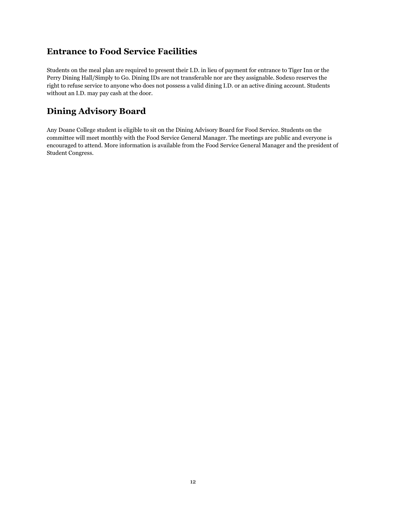# **Entrance to Food Service Facilities**

Students on the meal plan are required to present their I.D. in lieu of payment for entrance to Tiger Inn or the Perry Dining Hall/Simply to Go. Dining IDs are not transferable nor are they assignable. Sodexo reserves the right to refuse service to anyone who does not possess a valid dining I.D. or an active dining account. Students without an I.D. may pay cash at the door.

### **Dining Advisory Board**

Any Doane College student is eligible to sit on the Dining Advisory Board for Food Service. Students on the committee will meet monthly with the Food Service General Manager. The meetings are public and everyone is encouraged to attend. More information is available from the Food Service General Manager and the president of Student Congress.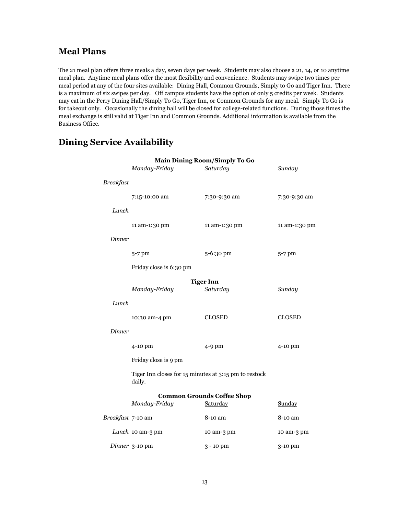### **Meal Plans**

The 21 meal plan offers three meals a day, seven days per week. Students may also choose a 21, 14, or 10 anytime meal plan. Anytime meal plans offer the most flexibility and convenience. Students may swipe two times per meal period at any of the four sites available: Dining Hall, Common Grounds, Simply to Go and Tiger Inn. There is a maximum of six swipes per day. Off campus students have the option of only 5 credits per week. Students may eat in the Perry Dining Hall/Simply To Go, Tiger Inn, or Common Grounds for any meal. Simply To Go is for takeout only. Occasionally the dining hall will be closed for college-related functions. During those times the meal exchange is still valid at Tiger Inn and Common Grounds. Additional information is available from the Business Office.

| <b>Main Dining Room/Simply To Go</b> |                                                                 |                                   |               |  |  |
|--------------------------------------|-----------------------------------------------------------------|-----------------------------------|---------------|--|--|
|                                      | Monday-Friday                                                   | Saturday                          | Sunday        |  |  |
| <b>Breakfast</b>                     |                                                                 |                                   |               |  |  |
|                                      | 7:15-10:00 am                                                   | 7:30-9:30 am                      | 7:30-9:30 am  |  |  |
| Lunch                                |                                                                 |                                   |               |  |  |
|                                      | 11 am-1:30 pm                                                   | 11 am-1:30 pm                     | 11 am-1:30 pm |  |  |
| Dinner                               |                                                                 |                                   |               |  |  |
|                                      | $5-7$ pm                                                        | 5-6:30 pm                         | 5-7 pm        |  |  |
| Friday close is 6:30 pm              |                                                                 |                                   |               |  |  |
|                                      |                                                                 | <b>Tiger Inn</b>                  |               |  |  |
|                                      | Monday-Friday                                                   | Saturday                          | Sunday        |  |  |
| Lunch                                |                                                                 |                                   |               |  |  |
|                                      | 10:30 am-4 pm                                                   | <b>CLOSED</b>                     | <b>CLOSED</b> |  |  |
| Dinner                               |                                                                 |                                   |               |  |  |
|                                      | 4-10 pm                                                         | $4-9$ pm                          | 4-10 pm       |  |  |
|                                      | Friday close is 9 pm                                            |                                   |               |  |  |
|                                      | Tiger Inn closes for 15 minutes at 3:15 pm to restock<br>daily. |                                   |               |  |  |
|                                      |                                                                 | <b>Common Grounds Coffee Shop</b> |               |  |  |
|                                      | Monday-Friday                                                   | Saturday                          | Sunday        |  |  |
| Breakfast 7-10 am                    |                                                                 | 8-10 am                           | 8-10 am       |  |  |
|                                      | Lunch 10 am-3 pm                                                | 10 am-3 pm                        | 10 am-3 pm    |  |  |
|                                      | Dinner 3-10 pm                                                  | 3 - 10 pm                         | 3-10 pm       |  |  |

### **Dining Service Availability**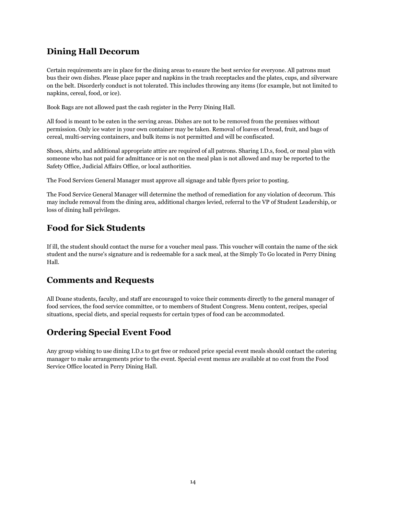### **Dining Hall Decorum**

Certain requirements are in place for the dining areas to ensure the best service for everyone. All patrons must bus their own dishes. Please place paper and napkins in the trash receptacles and the plates, cups, and silverware on the belt. Disorderly conduct is not tolerated. This includes throwing any items (for example, but not limited to napkins, cereal, food, or ice).

Book Bags are not allowed past the cash register in the Perry Dining Hall.

All food is meant to be eaten in the serving areas. Dishes are not to be removed from the premises without permission. Only ice water in your own container may be taken. Removal of loaves of bread, fruit, and bags of cereal, multi-serving containers, and bulk items is not permitted and will be confiscated.

Shoes, shirts, and additional appropriate attire are required of all patrons. Sharing I.D.s, food, or meal plan with someone who has not paid for admittance or is not on the meal plan is not allowed and may be reported to the Safety Office, Judicial Affairs Office, or local authorities.

The Food Services General Manager must approve all signage and table flyers prior to posting.

The Food Service General Manager will determine the method of remediation for any violation of decorum. This may include removal from the dining area, additional charges levied, referral to the VP of Student Leadership, or loss of dining hall privileges.

# **Food for Sick Students**

If ill, the student should contact the nurse for a voucher meal pass. This voucher will contain the name of the sick student and the nurse's signature and is redeemable for a sack meal, at the Simply To Go located in Perry Dining Hall.

### **Comments and Requests**

All Doane students, faculty, and staff are encouraged to voice their comments directly to the general manager of food services, the food service committee, or to members of Student Congress. Menu content, recipes, special situations, special diets, and special requests for certain types of food can be accommodated.

### **Ordering Special Event Food**

Any group wishing to use dining I.D.s to get free or reduced price special event meals should contact the catering manager to make arrangements prior to the event. Special event menus are available at no cost from the Food Service Office located in Perry Dining Hall.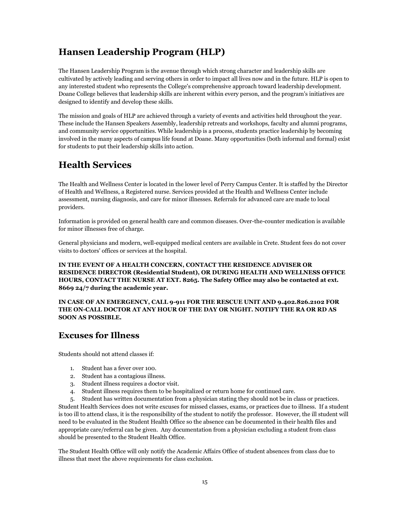# **Hansen Leadership Program (HLP)**

The Hansen Leadership Program is the avenue through which strong character and leadership skills are cultivated by actively leading and serving others in order to impact all lives now and in the future. HLP is open to any interested student who represents the College's comprehensive approach toward leadership development. Doane College believes that leadership skills are inherent within every person, and the program's initiatives are designed to identify and develop these skills.

The mission and goals of HLP are achieved through a variety of events and activities held throughout the year. These include the Hansen Speakers Assembly, leadership retreats and workshops, faculty and alumni programs, and community service opportunities. While leadership is a process, students practice leadership by becoming involved in the many aspects of campus life found at Doane. Many opportunities (both informal and formal) exist for students to put their leadership skills into action.

# **Health Services**

The Health and Wellness Center is located in the lower level of Perry Campus Center. It is staffed by the Director of Health and Wellness, a Registered nurse. Services provided at the Health and Wellness Center include assessment, nursing diagnosis, and care for minor illnesses. Referrals for advanced care are made to local providers.

Information is provided on general health care and common diseases. Over-the-counter medication is available for minor illnesses free of charge.

General physicians and modern, well-equipped medical centers are available in Crete. Student fees do not cover visits to doctors' offices or services at the hospital.

**IN THE EVENT OF A HEALTH CONCERN, CONTACT THE RESIDENCE ADVISER OR RESIDENCE DIRECTOR (Residential Student), OR DURING HEALTH AND WELLNESS OFFICE HOURS, CONTACT THE NURSE AT EXT. 8265. The Safety Office may also be contacted at ext. 8669 24/7 during the academic year.**

**IN CASE OF AN EMERGENCY, CALL 9-911 FOR THE RESCUE UNIT AND 9.402.826.2102 FOR THE ON-CALL DOCTOR AT ANY HOUR OF THE DAY OR NIGHT. NOTIFY THE RA OR RD AS SOON AS POSSIBLE.**

### **Excuses for Illness**

Students should not attend classes if:

- 1. Student has a fever over 100.
- 2. Student has a contagious illness.
- 3. Student illness requires a doctor visit.
- 4. Student illness requires them to be hospitalized or return home for continued care.

5. Student has written documentation from a physician stating they should not be in class or practices. Student Health Services does not write excuses for missed classes, exams, or practices due to illness. If a student is too ill to attend class, it is the responsibility of the student to notify the professor. However, the ill student will need to be evaluated in the Student Health Office so the absence can be documented in their health files and appropriate care/referral can be given. Any documentation from a physician excluding a student from class should be presented to the Student Health Office.

The Student Health Office will only notify the Academic Affairs Office of student absences from class due to illness that meet the above requirements for class exclusion.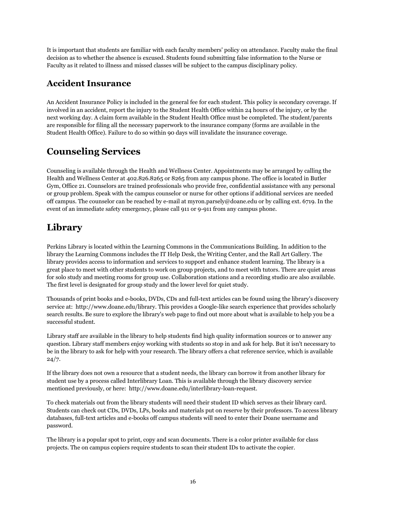It is important that students are familiar with each faculty members' policy on attendance. Faculty make the final decision as to whether the absence is excused. Students found submitting false information to the Nurse or Faculty as it related to illness and missed classes will be subject to the campus disciplinary policy.

# **Accident Insurance**

An Accident Insurance Policy is included in the general fee for each student. This policy is secondary coverage. If involved in an accident, report the injury to the Student Health Office within 24 hours of the injury, or by the next working day. A claim form available in the Student Health Office must be completed. The student/parents are responsible for filing all the necessary paperwork to the insurance company (forms are available in the Student Health Office). Failure to do so within 90 days will invalidate the insurance coverage.

# **Counseling Services**

Counseling is available through the Health and Wellness Center. Appointments may be arranged by calling the Health and Wellness Center at 402.826.8265 or 8265 from any campus phone. The office is located in Butler Gym, Office 21. Counselors are trained professionals who provide free, confidential assistance with any personal or group problem. Speak with the campus counselor or nurse for other options if additional services are needed off campus. The counselor can be reached by e-mail at myron.parsely@doane.edu or by calling ext. 6719. In the event of an immediate safety emergency, please call 911 or 9-911 from any campus phone.

# **Library**

Perkins Library is located within the Learning Commons in the Communications Building. In addition to the library the Learning Commons includes the IT Help Desk, the Writing Center, and the Rall Art Gallery. The library provides access to information and services to support and enhance student learning. The library is a great place to meet with other students to work on group projects, and to meet with tutors. There are quiet areas for solo study and meeting rooms for group use. Collaboration stations and a recording studio are also available. The first level is designated for group study and the lower level for quiet study.

Thousands of print books and e-books, DVDs, CDs and full-text articles can be found using the library's discovery service at: http://www.doane.edu/library. This provides a Google-like search experience that provides scholarly search results. Be sure to explore the library's web page to find out more about what is available to help you be a successful student.

Library staff are available in the library to help students find high quality information sources or to answer any question. Library staff members enjoy working with students so stop in and ask for help. But it isn't necessary to be in the library to ask for help with your research. The library offers a chat reference service, which is available  $24/7.$ 

If the library does not own a resource that a student needs, the library can borrow it from another library for student use by a process called Interlibrary Loan. This is available through the library discovery service mentioned previously, or here: http://www.doane.edu/interlibrary-loan-request.

To check materials out from the library students will need their student ID which serves as their library card. Students can check out CDs, DVDs, LPs, books and materials put on reserve by their professors. To access library databases, full-text articles and e-books off campus students will need to enter their Doane username and password.

The library is a popular spot to print, copy and scan documents. There is a color printer available for class projects. The on campus copiers require students to scan their student IDs to activate the copier.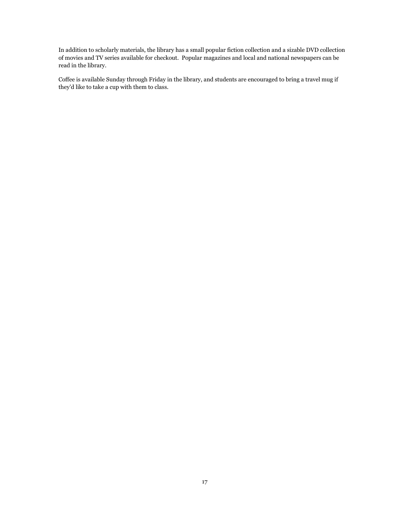In addition to scholarly materials, the library has a small popular fiction collection and a sizable DVD collection of movies and TV series available for checkout. Popular magazines and local and national newspapers can be read in the library.

Coffee is available Sunday through Friday in the library, and students are encouraged to bring a travel mug if they'd like to take a cup with them to class.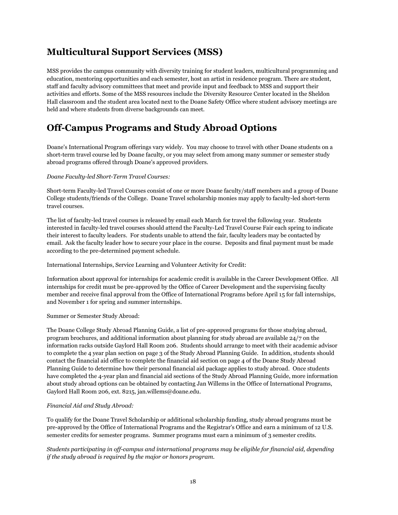# **Multicultural Support Services (MSS)**

MSS provides the campus community with diversity training for student leaders, multicultural programming and education, mentoring opportunities and each semester, host an artist in residence program. There are student, staff and faculty advisory committees that meet and provide input and feedback to MSS and support their activities and efforts. Some of the MSS resources include the Diversity Resource Center located in the Sheldon Hall classroom and the student area located next to the Doane Safety Office where student advisory meetings are held and where students from diverse backgrounds can meet.

# **Off-Campus Programs and Study Abroad Options**

Doane's International Program offerings vary widely. You may choose to travel with other Doane students on a short-term travel course led by Doane faculty, or you may select from among many summer or semester study abroad programs offered through Doane's approved providers.

#### *Doane Faculty-led Short-Term Travel Courses:*

Short-term Faculty-led Travel Courses consist of one or more Doane faculty/staff members and a group of Doane College students/friends of the College. Doane Travel scholarship monies may apply to faculty-led short-term travel courses.

The list of faculty-led travel courses is released by email each March for travel the following year. Students interested in faculty-led travel courses should attend the Faculty-Led Travel Course Fair each spring to indicate their interest to faculty leaders. For students unable to attend the fair, faculty leaders may be contacted by email. Ask the faculty leader how to secure your place in the course. Deposits and final payment must be made according to the pre-determined payment schedule.

International Internships, Service Learning and Volunteer Activity for Credit:

Information about approval for internships for academic credit is available in the Career Development Office. All internships for credit must be pre-approved by the Office of Career Development and the supervising faculty member and receive final approval from the Office of International Programs before April 15 for fall internships, and November 1 for spring and summer internships.

#### Summer or Semester Study Abroad:

The Doane College Study Abroad Planning Guide, a list of pre-approved programs for those studying abroad, program brochures, and additional information about planning for study abroad are available 24/7 on the information racks outside Gaylord Hall Room 206. Students should arrange to meet with their academic advisor to complete the 4 year plan section on page 3 of the Study Abroad Planning Guide. In addition, students should contact the financial aid office to complete the financial aid section on page 4 of the Doane Study Abroad Planning Guide to determine how their personal financial aid package applies to study abroad. Once students have completed the 4-year plan and financial aid sections of the Study Abroad Planning Guide, more information about study abroad options can be obtained by contacting Jan Willems in the Office of International Programs, Gaylord Hall Room 206, ext. 8215, jan.willems@doane.edu.

#### *Financial Aid and Study Abroad:*

To qualify for the Doane Travel Scholarship or additional scholarship funding, study abroad programs must be pre-approved by the Office of International Programs and the Registrar's Office and earn a minimum of 12 U.S. semester credits for semester programs. Summer programs must earn a minimum of 3 semester credits.

*Students participating in off-campus and international programs may be eligible for financial aid, depending if the study abroad is required by the major or honors program.*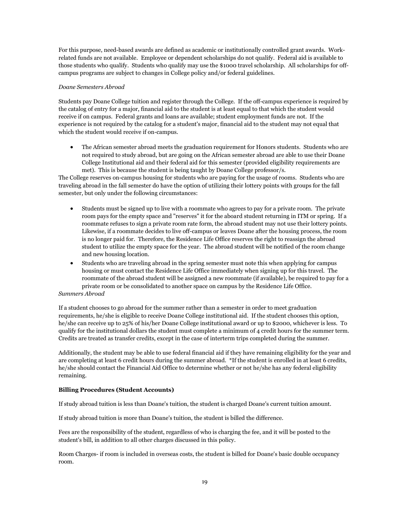For this purpose, need-based awards are defined as academic or institutionally controlled grant awards. Workrelated funds are not available. Employee or dependent scholarships do not qualify. Federal aid is available to those students who qualify. Students who qualify may use the \$1000 travel scholarship. All scholarships for offcampus programs are subject to changes in College policy and/or federal guidelines.

#### *Doane Semesters Abroad*

Students pay Doane College tuition and register through the College. If the off-campus experience is required by the catalog of entry for a major, financial aid to the student is at least equal to that which the student would receive if on campus. Federal grants and loans are available; student employment funds are not. If the experience is not required by the catalog for a student's major, financial aid to the student may not equal that which the student would receive if on-campus.

 The African semester abroad meets the graduation requirement for Honors students. Students who are not required to study abroad, but are going on the African semester abroad are able to use their Doane College Institutional aid and their federal aid for this semester (provided eligibility requirements are met). This is because the student is being taught by Doane College professor/s.

The College reserves on-campus housing for students who are paying for the usage of rooms. Students who are traveling abroad in the fall semester do have the option of utilizing their lottery points with groups for the fall semester, but only under the following circumstances:

- Students must be signed up to live with a roommate who agrees to pay for a private room. The private room pays for the empty space and "reserves" it for the aboard student returning in ITM or spring. If a roommate refuses to sign a private room rate form, the abroad student may not use their lottery points. Likewise, if a roommate decides to live off-campus or leaves Doane after the housing process, the room is no longer paid for. Therefore, the Residence Life Office reserves the right to reassign the abroad student to utilize the empty space for the year. The abroad student will be notified of the room change and new housing location.
- Students who are traveling abroad in the spring semester must note this when applying for campus housing or must contact the Residence Life Office immediately when signing up for this travel. The roommate of the abroad student will be assigned a new roommate (if available), be required to pay for a private room or be consolidated to another space on campus by the Residence Life Office.

#### *Summers Abroad*

If a student chooses to go abroad for the summer rather than a semester in order to meet graduation requirements, he/she is eligible to receive Doane College institutional aid. If the student chooses this option, he/she can receive up to 25% of his/her Doane College institutional award or up to \$2000, whichever is less. To qualify for the institutional dollars the student must complete a minimum of 4 credit hours for the summer term. Credits are treated as transfer credits, except in the case of interterm trips completed during the summer.

Additionally, the student may be able to use federal financial aid if they have remaining eligibility for the year and are completing at least 6 credit hours during the summer abroad. \*If the student is enrolled in at least 6 credits, he/she should contact the Financial Aid Office to determine whether or not he/she has any federal eligibility remaining.

#### **Billing Procedures (Student Accounts)**

If study abroad tuition is less than Doane's tuition, the student is charged Doane's current tuition amount.

If study abroad tuition is more than Doane's tuition, the student is billed the difference.

Fees are the responsibility of the student, regardless of who is charging the fee, and it will be posted to the student's bill, in addition to all other charges discussed in this policy.

Room Charges- if room is included in overseas costs, the student is billed for Doane's basic double occupancy room.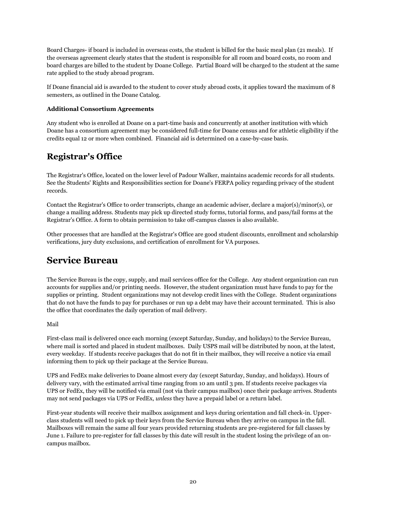Board Charges- if board is included in overseas costs, the student is billed for the basic meal plan (21 meals). If the overseas agreement clearly states that the student is responsible for all room and board costs, no room and board charges are billed to the student by Doane College. Partial Board will be charged to the student at the same rate applied to the study abroad program.

If Doane financial aid is awarded to the student to cover study abroad costs, it applies toward the maximum of 8 semesters, as outlined in the Doane Catalog.

#### **Additional Consortium Agreements**

Any student who is enrolled at Doane on a part-time basis and concurrently at another institution with which Doane has a consortium agreement may be considered full-time for Doane census and for athletic eligibility if the credits equal 12 or more when combined. Financial aid is determined on a case-by-case basis.

### **Registrar's Office**

The Registrar's Office, located on the lower level of Padour Walker, maintains academic records for all students. See the Students' Rights and Responsibilities section for Doane's FERPA policy regarding privacy of the student records.

Contact the Registrar's Office to order transcripts, change an academic adviser, declare a major(s)/minor(s), or change a mailing address. Students may pick up directed study forms, tutorial forms, and pass/fail forms at the Registrar's Office. A form to obtain permission to take off-campus classes is also available.

Other processes that are handled at the Registrar's Office are good student discounts, enrollment and scholarship verifications, jury duty exclusions, and certification of enrollment for VA purposes.

### **Service Bureau**

The Service Bureau is the copy, supply, and mail services office for the College. Any student organization can run accounts for supplies and/or printing needs. However, the student organization must have funds to pay for the supplies or printing. Student organizations may not develop credit lines with the College. Student organizations that do not have the funds to pay for purchases or run up a debt may have their account terminated. This is also the office that coordinates the daily operation of mail delivery.

#### Mail

First-class mail is delivered once each morning (except Saturday, Sunday, and holidays) to the Service Bureau, where mail is sorted and placed in student mailboxes. Daily USPS mail will be distributed by noon, at the latest, every weekday. If students receive packages that do not fit in their mailbox, they will receive a notice via email informing them to pick up their package at the Service Bureau.

UPS and FedEx make deliveries to Doane almost every day (except Saturday, Sunday, and holidays). Hours of delivery vary, with the estimated arrival time ranging from 10 am until 3 pm. If students receive packages via UPS or FedEx, they will be notified via email (not via their campus mailbox) once their package arrives. Students may not send packages via UPS or FedEx, *unless* they have a prepaid label or a return label.

First-year students will receive their mailbox assignment and keys during orientation and fall check-in. Upperclass students will need to pick up their keys from the Service Bureau when they arrive on campus in the fall. Mailboxes will remain the same all four years provided returning students are pre-registered for fall classes by June 1. Failure to pre-register for fall classes by this date will result in the student losing the privilege of an oncampus mailbox.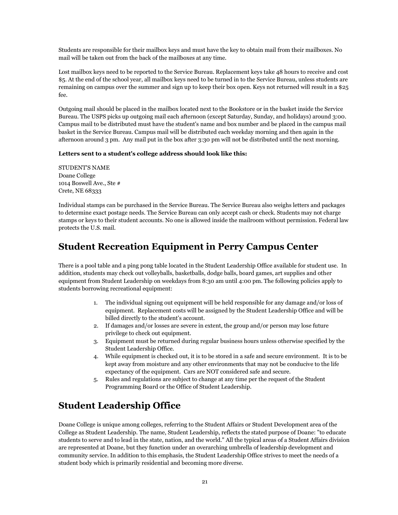Students are responsible for their mailbox keys and must have the key to obtain mail from their mailboxes. No mail will be taken out from the back of the mailboxes at any time.

Lost mailbox keys need to be reported to the Service Bureau. Replacement keys take 48 hours to receive and cost \$5. At the end of the school year, all mailbox keys need to be turned in to the Service Bureau, unless students are remaining on campus over the summer and sign up to keep their box open. Keys not returned will result in a \$25 fee.

Outgoing mail should be placed in the mailbox located next to the Bookstore or in the basket inside the Service Bureau. The USPS picks up outgoing mail each afternoon (except Saturday, Sunday, and holidays) around 3:00. Campus mail to be distributed must have the student's name and box number and be placed in the campus mail basket in the Service Bureau. Campus mail will be distributed each weekday morning and then again in the afternoon around 3 pm. Any mail put in the box after 3:30 pm will not be distributed until the next morning.

#### **Letters sent to a student's college address should look like this:**

STUDENT'S NAME Doane College 1014 Boswell Ave., Ste # Crete, NE 68333

Individual stamps can be purchased in the Service Bureau. The Service Bureau also weighs letters and packages to determine exact postage needs. The Service Bureau can only accept cash or check. Students may not charge stamps or keys to their student accounts. No one is allowed inside the mailroom without permission. Federal law protects the U.S. mail.

# **Student Recreation Equipment in Perry Campus Center**

There is a pool table and a ping pong table located in the Student Leadership Office available for student use. In addition, students may check out volleyballs, basketballs, dodge balls, board games, art supplies and other equipment from Student Leadership on weekdays from 8:30 am until 4:00 pm. The following policies apply to students borrowing recreational equipment:

- 1. The individual signing out equipment will be held responsible for any damage and/or loss of equipment. Replacement costs will be assigned by the Student Leadership Office and will be billed directly to the student's account.
- 2. If damages and/or losses are severe in extent, the group and/or person may lose future privilege to check out equipment.
- 3. Equipment must be returned during regular business hours unless otherwise specified by the Student Leadership Office.
- 4. While equipment is checked out, it is to be stored in a safe and secure environment. It is to be kept away from moisture and any other environments that may not be conducive to the life expectancy of the equipment. Cars are NOT considered safe and secure.
- 5. Rules and regulations are subject to change at any time per the request of the Student Programming Board or the Office of Student Leadership.

# **Student Leadership Office**

Doane College is unique among colleges, referring to the Student Affairs or Student Development area of the College as Student Leadership. The name, Student Leadership, reflects the stated purpose of Doane: "to educate students to serve and to lead in the state, nation, and the world." All the typical areas of a Student Affairs division are represented at Doane, but they function under an overarching umbrella of leadership development and community service. In addition to this emphasis, the Student Leadership Office strives to meet the needs of a student body which is primarily residential and becoming more diverse.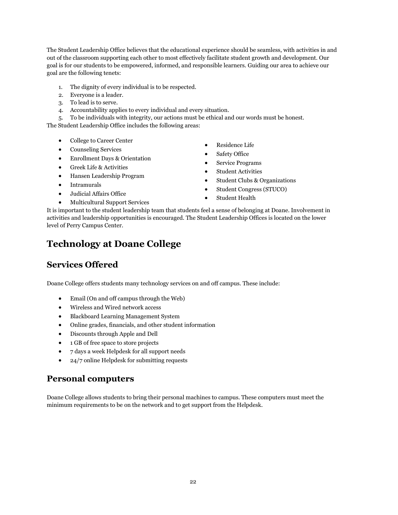The Student Leadership Office believes that the educational experience should be seamless, with activities in and out of the classroom supporting each other to most effectively facilitate student growth and development. Our goal is for our students to be empowered, informed, and responsible learners. Guiding our area to achieve our goal are the following tenets:

- 1. The dignity of every individual is to be respected.
- 2. Everyone is a leader.
- 3. To lead is to serve.
- 4. Accountability applies to every individual and every situation.

5. To be individuals with integrity, our actions must be ethical and our words must be honest. The Student Leadership Office includes the following areas:

- College to Career Center
- Counseling Services
- Enrollment Days & Orientation
- Greek Life & Activities
- Hansen Leadership Program
- Intramurals
- Judicial Affairs Office
- Multicultural Support Services
- Residence Life
- Safety Office
- Service Programs
- Student Activities
- Student Clubs & Organizations
- Student Congress (STUCO)
- Student Health

It is important to the student leadership team that students feel a sense of belonging at Doane. Involvement in activities and leadership opportunities is encouraged. The Student Leadership Offices is located on the lower level of Perry Campus Center.

# **Technology at Doane College**

### **Services Offered**

Doane College offers students many technology services on and off campus. These include:

- Email (On and off campus through the Web)
- Wireless and Wired network access
- Blackboard Learning Management System
- Online grades, financials, and other student information
- Discounts through Apple and Dell
- 1 GB of free space to store projects
- 7 days a week Helpdesk for all support needs
- 24/7 online Helpdesk for submitting requests

### **Personal computers**

Doane College allows students to bring their personal machines to campus. These computers must meet the minimum requirements to be on the network and to get support from the Helpdesk.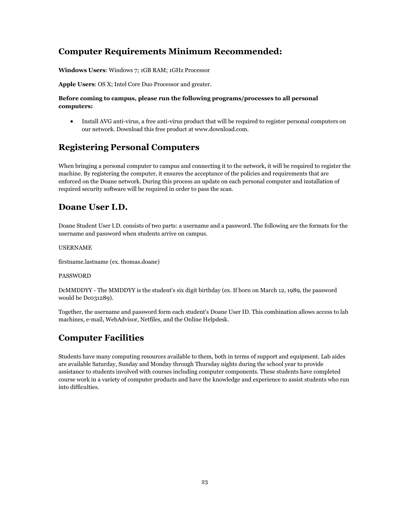### **Computer Requirements Minimum Recommended:**

**Windows Users**: Windows 7; 1GB RAM; 1GHz Processor

**Apple Users**: OS X; Intel Core Duo Processor and greater.

#### **Before coming to campus, please run the following programs/processes to all personal computers:**

 Install AVG anti-virus, a free anti-virus product that will be required to register personal computers on our network. Download this free product at www.download.com.

# **Registering Personal Computers**

When bringing a personal computer to campus and connecting it to the network, it will be required to register the machine. By registering the computer, it ensures the acceptance of the policies and requirements that are enforced on the Doane network. During this process an update on each personal computer and installation of required security software will be required in order to pass the scan.

### **Doane User I.D.**

Doane Student User I.D. consists of two parts: a username and a password. The following are the formats for the username and password when students arrive on campus.

#### USERNAME

firstname.lastname (ex. thomas.doane)

#### PASSWORD

DcMMDDYY - The MMDDYY is the student's six digit birthday (ex. If born on March 12, 1989, the password would be Dc031289).

Together, the username and password form each student's Doane User ID. This combination allows access to lab machines, e-mail, WebAdvisor, Netfiles, and the Online Helpdesk.

### **Computer Facilities**

Students have many computing resources available to them, both in terms of support and equipment. Lab aides are available Saturday, Sunday and Monday through Thursday nights during the school year to provide assistance to students involved with courses including computer components. These students have completed course work in a variety of computer products and have the knowledge and experience to assist students who run into difficulties.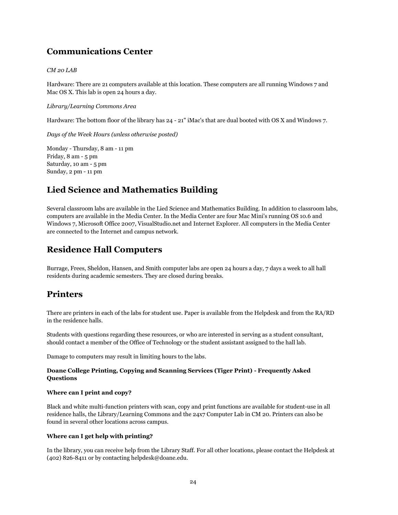# **Communications Center**

#### *CM 20 LAB*

Hardware: There are 21 computers available at this location. These computers are all running Windows 7 and Mac OS X. This lab is open 24 hours a day.

*Library/Learning Commons Area*

Hardware: The bottom floor of the library has 24 - 21" iMac's that are dual booted with OS X and Windows 7.

*Days of the Week Hours (unless otherwise posted)*

Monday - Thursday, 8 am - 11 pm Friday, 8 am - 5 pm Saturday, 10 am - 5 pm Sunday, 2 pm - 11 pm

### **Lied Science and Mathematics Building**

Several classroom labs are available in the Lied Science and Mathematics Building. In addition to classroom labs, computers are available in the Media Center. In the Media Center are four Mac Mini's running OS 10.6 and Windows 7, Microsoft Office 2007, VisualStudio.net and Internet Explorer. All computers in the Media Center are connected to the Internet and campus network.

### **Residence Hall Computers**

Burrage, Frees, Sheldon, Hansen, and Smith computer labs are open 24 hours a day, 7 days a week to all hall residents during academic semesters. They are closed during breaks.

### **Printers**

There are printers in each of the labs for student use. Paper is available from the Helpdesk and from the RA/RD in the residence halls.

Students with questions regarding these resources, or who are interested in serving as a student consultant, should contact a member of the Office of Technology or the student assistant assigned to the hall lab.

Damage to computers may result in limiting hours to the labs.

### **Doane College Printing, Copying and Scanning Services (Tiger Print) - Frequently Asked Questions**

#### **Where can I print and copy?**

Black and white multi-function printers with scan, copy and print functions are available for student-use in all residence halls, the Library/Learning Commons and the 24x7 Computer Lab in CM 20. Printers can also be found in several other locations across campus.

#### **Where can I get help with printing?**

In the library, you can receive help from the Library Staff. For all other locations, please contact the Helpdesk at (402) 826-8411 or by contacting helpdesk@doane.edu.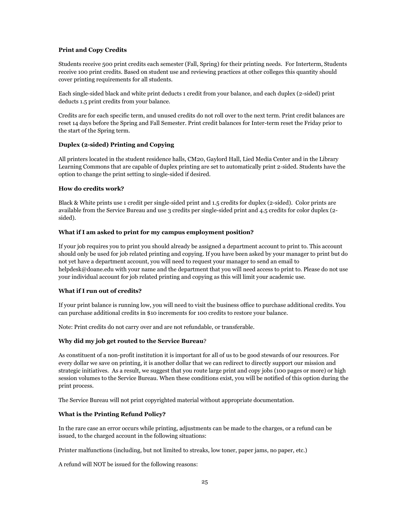#### **Print and Copy Credits**

Students receive 500 print credits each semester (Fall, Spring) for their printing needs. For Interterm, Students receive 100 print credits. Based on student use and reviewing practices at other colleges this quantity should cover printing requirements for all students.

Each single-sided black and white print deducts 1 credit from your balance, and each duplex (2-sided) print deducts 1.5 print credits from your balance.

Credits are for each specific term, and unused credits do not roll over to the next term. Print credit balances are reset 14 days before the Spring and Fall Semester. Print credit balances for Inter-term reset the Friday prior to the start of the Spring term.

#### **Duplex (2-sided) Printing and Copying**

All printers located in the student residence halls, CM20, Gaylord Hall, Lied Media Center and in the Library Learning Commons that are capable of duplex printing are set to automatically print 2-sided. Students have the option to change the print setting to single-sided if desired.

#### **How do credits work?**

Black & White prints use 1 credit per single-sided print and 1.5 credits for duplex (2-sided). Color prints are available from the Service Bureau and use 3 credits per single-sided print and 4.5 credits for color duplex (2 sided).

#### **What if I am asked to print for my campus employment position?**

If your job requires you to print you should already be assigned a department account to print to. This account should only be used for job related printing and copying. If you have been asked by your manager to print but do not yet have a department account, you will need to request your manager to send an email to helpdesk@doane.edu with your name and the department that you will need access to print to. Please do not use your individual account for job related printing and copying as this will limit your academic use.

#### **What if I run out of credits?**

If your print balance is running low, you will need to visit the business office to purchase additional credits. You can purchase additional credits in \$10 increments for 100 credits to restore your balance.

Note: Print credits do not carry over and are not refundable, or transferable.

#### **Why did my job get routed to the Service Bureau**?

As constituent of a non-profit institution it is important for all of us to be good stewards of our resources. For every dollar we save on printing, it is another dollar that we can redirect to directly support our mission and strategic initiatives. As a result, we suggest that you route large print and copy jobs (100 pages or more) or high session volumes to the Service Bureau. When these conditions exist, you will be notified of this option during the print process.

The Service Bureau will not print copyrighted material without appropriate documentation.

#### **What is the Printing Refund Policy?**

In the rare case an error occurs while printing, adjustments can be made to the charges, or a refund can be issued, to the charged account in the following situations:

Printer malfunctions (including, but not limited to streaks, low toner, paper jams, no paper, etc.)

A refund will NOT be issued for the following reasons: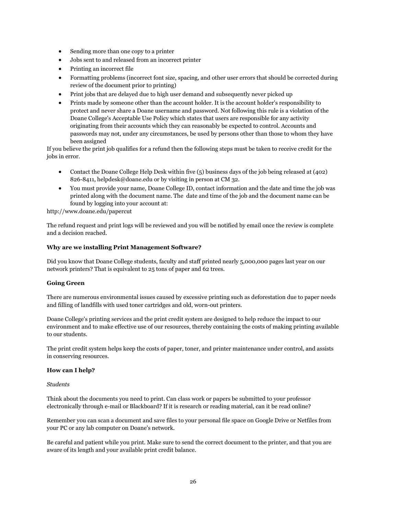- Sending more than one copy to a printer
- Jobs sent to and released from an incorrect printer
- Printing an incorrect file
- Formatting problems (incorrect font size, spacing, and other user errors that should be corrected during review of the document prior to printing)
- Print jobs that are delayed due to high user demand and subsequently never picked up
- Prints made by someone other than the account holder. It is the account holder's responsibility to protect and never share a Doane username and password. Not following this rule is a violation of the Doane College's Acceptable Use Policy which states that users are responsible for any activity originating from their accounts which they can reasonably be expected to control. Accounts and passwords may not, under any circumstances, be used by persons other than those to whom they have been assigned

If you believe the print job qualifies for a refund then the following steps must be taken to receive credit for the jobs in error.

- Contact the Doane College Help Desk within five (5) business days of the job being released at (402) 826-8411, helpdesk@doane.edu or by visiting in person at CM 32.
- You must provide your name, Doane College ID, contact information and the date and time the job was printed along with the document name. The date and time of the job and the document name can be found by logging into your account at:

http://www.doane.edu/papercut

The refund request and print logs will be reviewed and you will be notified by email once the review is complete and a decision reached.

#### **Why are we installing Print Management Software?**

Did you know that Doane College students, faculty and staff printed nearly 5,000,000 pages last year on our network printers? That is equivalent to 25 tons of paper and 62 trees.

#### **Going Green**

There are numerous environmental issues caused by excessive printing such as deforestation due to paper needs and filling of landfills with used toner cartridges and old, worn-out printers.

Doane College's printing services and the print credit system are designed to help reduce the impact to our environment and to make effective use of our resources, thereby containing the costs of making printing available to our students.

The print credit system helps keep the costs of paper, toner, and printer maintenance under control, and assists in conserving resources.

#### **How can I help?**

*Students*

Think about the documents you need to print. Can class work or papers be submitted to your professor electronically through e-mail or Blackboard? If it is research or reading material, can it be read online?

Remember you can scan a document and save files to your personal file space on Google Drive or Netfiles from your PC or any lab computer on Doane's network.

Be careful and patient while you print. Make sure to send the correct document to the printer, and that you are aware of its length and your available print credit balance.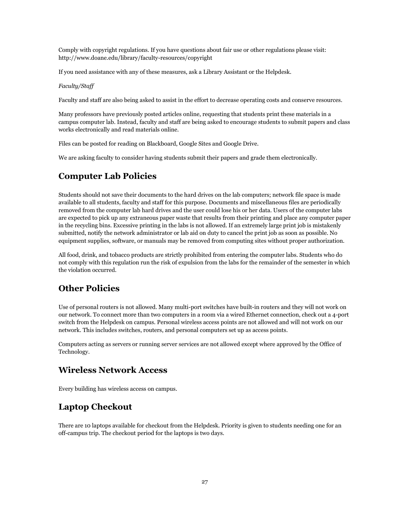Comply with copyright regulations. If you have questions about fair use or other regulations please visit: http://www.doane.edu/library/faculty-resources/copyright

If you need assistance with any of these measures, ask a Library Assistant or the Helpdesk.

#### *Faculty/Staff*

Faculty and staff are also being asked to assist in the effort to decrease operating costs and conserve resources.

Many professors have previously posted articles online, requesting that students print these materials in a campus computer lab. Instead, faculty and staff are being asked to encourage students to submit papers and class works electronically and read materials online.

Files can be posted for reading on Blackboard, Google Sites and Google Drive.

We are asking faculty to consider having students submit their papers and grade them electronically.

# **Computer Lab Policies**

Students should not save their documents to the hard drives on the lab computers; network file space is made available to all students, faculty and staff for this purpose. Documents and miscellaneous files are periodically removed from the computer lab hard drives and the user could lose his or her data. Users of the computer labs are expected to pick up any extraneous paper waste that results from their printing and place any computer paper in the recycling bins. Excessive printing in the labs is not allowed. If an extremely large print job is mistakenly submitted, notify the network administrator or lab aid on duty to cancel the print job as soon as possible. No equipment supplies, software, or manuals may be removed from computing sites without proper authorization.

All food, drink, and tobacco products are strictly prohibited from entering the computer labs. Students who do not comply with this regulation run the risk of expulsion from the labs for the remainder of the semester in which the violation occurred.

# **Other Policies**

Use of personal routers is not allowed. Many multi-port switches have built-in routers and they will not work on our network. To connect more than two computers in a room via a wired Ethernet connection, check out a 4-port switch from the Helpdesk on campus. Personal wireless access points are not allowed and will not work on our network. This includes switches, routers, and personal computers set up as access points.

Computers acting as servers or running server services are not allowed except where approved by the Office of Technology.

### **Wireless Network Access**

Every building has wireless access on campus.

# **Laptop Checkout**

There are 10 laptops available for checkout from the Helpdesk. Priority is given to students needing one for an off-campus trip. The checkout period for the laptops is two days.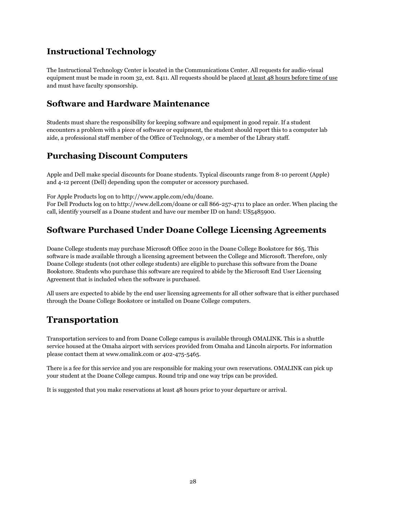### **Instructional Technology**

The Instructional Technology Center is located in the Communications Center. All requests for audio-visual equipment must be made in room 32, ext. 8411. All requests should be placed at least 48 hours before time of use and must have faculty sponsorship.

### **Software and Hardware Maintenance**

Students must share the responsibility for keeping software and equipment in good repair. If a student encounters a problem with a piece of software or equipment, the student should report this to a computer lab aide, a professional staff member of the Office of Technology, or a member of the Library staff.

### **Purchasing Discount Computers**

Apple and Dell make special discounts for Doane students. Typical discounts range from 8-10 percent (Apple) and 4-12 percent (Dell) depending upon the computer or accessory purchased.

For Apple Products log on to http://www.apple.com/edu/doane.

For Dell Products log on to http://www.dell.com/doane or call 866-257-4711 to place an order. When placing the call, identify yourself as a Doane student and have our member ID on hand: US5485900.

# **Software Purchased Under Doane College Licensing Agreements**

Doane College students may purchase Microsoft Office 2010 in the Doane College Bookstore for \$65. This software is made available through a licensing agreement between the College and Microsoft. Therefore, only Doane College students (not other college students) are eligible to purchase this software from the Doane Bookstore. Students who purchase this software are required to abide by the Microsoft End User Licensing Agreement that is included when the software is purchased.

All users are expected to abide by the end user licensing agreements for all other software that is either purchased through the Doane College Bookstore or installed on Doane College computers.

# **Transportation**

Transportation services to and from Doane College campus is available through OMALINK. This is a shuttle service housed at the Omaha airport with services provided from Omaha and Lincoln airports. For information please contact them at www.omalink.com or 402-475-5465.

There is a fee for this service and you are responsible for making your own reservations. OMALINK can pick up your student at the Doane College campus. Round trip and one way trips can be provided.

It is suggested that you make reservations at least 48 hours prior to your departure or arrival.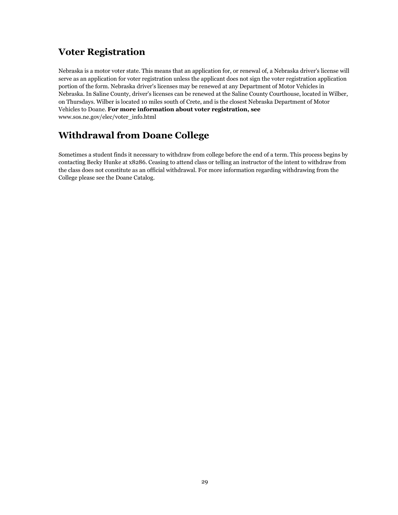# **Voter Registration**

Nebraska is a motor voter state. This means that an application for, or renewal of, a Nebraska driver's license will serve as an application for voter registration unless the applicant does not sign the voter registration application portion of the form. Nebraska driver's licenses may be renewed at any Department of Motor Vehicles in Nebraska. In Saline County, driver's licenses can be renewed at the Saline County Courthouse, located in Wilber, on Thursdays. Wilber is located 10 miles south of Crete, and is the closest Nebraska Department of Motor Vehicles to Doane. **For more information about voter registration, see** www.sos.ne.gov/elec/voter\_info.html

# **Withdrawal from Doane College**

Sometimes a student finds it necessary to withdraw from college before the end of a term. This process begins by contacting Becky Hunke at x8286. Ceasing to attend class or telling an instructor of the intent to withdraw from the class does not constitute as an official withdrawal. For more information regarding withdrawing from the College please see the Doane Catalog.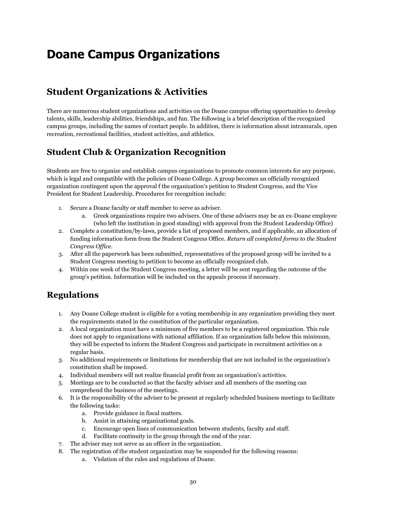# <span id="page-29-0"></span>**Doane Campus Organizations**

# **Student Organizations & Activities**

There are numerous student organizations and activities on the Doane campus offering opportunities to develop talents, skills, leadership abilities, friendships, and fun. The following is a brief description of the recognized campus groups, including the names of contact people. In addition, there is information about intramurals, open recreation, recreational facilities, student activities, and athletics.

### **Student Club & Organization Recognition**

Students are free to organize and establish campus organizations to promote common interests for any purpose, which is legal and compatible with the policies of Doane College. A group becomes an officially recognized organization contingent upon the approval f the organization's petition to Student Congress, and the Vice President for Student Leadership. Procedures for recognition include:

- 1. Secure a Doane faculty or staff member to serve as adviser.
	- a. Greek organizations require two advisers. One of these advisers may be an ex-Doane employee (who left the institution in good standing) with approval from the Student Leadership Office)
- 2. Complete a constitution/by-laws, provide a list of proposed members, and if applicable, an allocation of funding information form from the Student Congress Office. *Return all completed forms to the Student Congress Office*.
- 3. After all the paperwork has been submitted, representatives of the proposed group will be invited to a Student Congress meeting to petition to become an officially recognized club.
- 4. Within one week of the Student Congress meeting, a letter will be sent regarding the outcome of the group's petition. Information will be included on the appeals process if necessary.

# **Regulations**

- 1. Any Doane College student is eligible for a voting membership in any organization providing they meet the requirements stated in the constitution of the particular organization.
- 2. A local organization must have a minimum of five members to be a registered organization. This rule does not apply to organizations with national affiliation. If an organization falls below this minimum, they will be expected to inform the Student Congress and participate in recruitment activities on a regular basis.
- 3. No additional requirements or limitations for membership that are not included in the organization's constitution shall be imposed.
- 4. Individual members will not realize financial profit from an organization's activities.
- 5. Meetings are to be conducted so that the faculty adviser and all members of the meeting can comprehend the business of the meetings.
- 6. It is the responsibility of the adviser to be present at regularly scheduled business meetings to facilitate the following tasks:
	- a. Provide guidance in fiscal matters.
	- b. Assist in attaining organizational goals.
	- c. Encourage open lines of communication between students, faculty and staff.
	- d. Facilitate continuity in the group through the end of the year.
- 7. The adviser may not serve as an officer in the organization.
- 8. The registration of the student organization may be suspended for the following reasons:
	- a. Violation of the rules and regulations of Doane.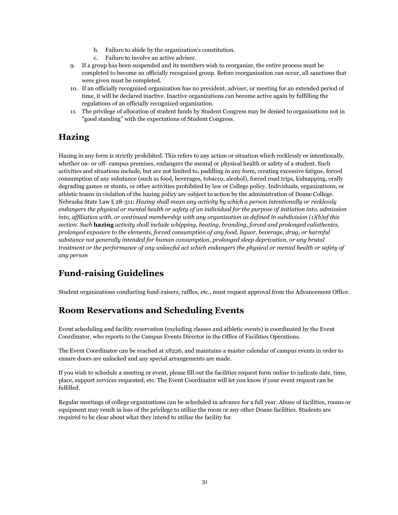- b. Failure to abide by the organization's constitution.
- c. Failure to involve an active adviser.
- 9. If a group has been suspended and its members wish to reorganize, the entire process must be completed to become an officially recognized group. Before reorganization can occur, all sanctions that were given must be completed.
- 10. If an officially recognized organization has no president, adviser, or meeting for an extended period of time, it will be declared inactive. Inactive organizations can become active again by fulfilling the regulations of an officially recognized organization.
- 11. The privilege of allocation of student funds by Student Congress may be denied to organizations not in "good standing" with the expectations of Student Congress.

# **Hazing**

Hazing in any form is strictly prohibited. This refers to any action or situation which recklessly or intentionally, whether on- or off- campus premises, endangers the mental or physical health or safety of a student. Such activities and situations include, but are not limited to, paddling in any form, creating excessive fatigue, forced consumption of any substance (such as food, beverages, tobacco, alcohol), forced road trips, kidnapping, orally degrading games or stunts, or other activities prohibited by law or College policy. Individuals, organizations, or athletic teams in violation of the hazing policy are subject to action by the administration of Doane College. Nebraska State Law § 28-311: *Hazing shall mean any activity by which a person intentionally or recklessly endangers the physical or mental health or safety of an individual for the purpose of initiation into, admission into, affiliation with, or continued membership with any organization as defined in subdivision (1)(b)of this section. Such* **hazing** *activity shall include whipping, beating, branding, forced and prolonged calisthenics, prolonged exposure to the elements, forced consumption of any food, liquor, beverage, drug, or harmful substance not generally intended for human consumption, prolonged sleep deprivation, or any brutal treatment or the performance of any unlawful act which endangers the physical or mental health or safety of any person*

# **Fund-raising Guidelines**

Student organizations conducting fund-raisers, raffles, etc., must request approval from the Advancement Office.

# **Room Reservations and Scheduling Events**

Event scheduling and facility reservation (excluding classes and athletic events) is coordinated by the Event Coordinator, who reports to the Campus Events Director in the Office of Facilities Operations.

The Event Coordinator can be reached at x8226, and maintains a master calendar of campus events in order to ensure doors are unlocked and any special arrangements are made.

If you wish to schedule a meeting or event, please fill out the facilities request form online to indicate date, time, place, support services requested, etc. The Event Coordinator will let you know if your event request can be fulfilled.

Regular meetings of college organizations can be scheduled in advance for a full year. Abuse of facilities, rooms or equipment may result in loss of the privilege to utilize the room or any other Doane facilities. Students are required to be clear about what they intend to utilize the facility for.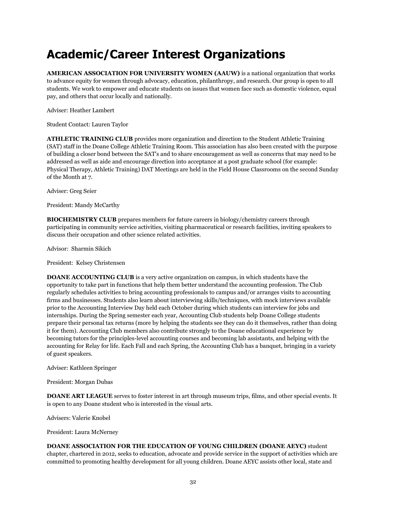# <span id="page-31-0"></span>**Academic/Career Interest Organizations**

**AMERICAN ASSOCIATION FOR UNIVERSITY WOMEN (AAUW)** is a national organization that works to advance equity for women through advocacy, education, philanthropy, and research. Our group is open to all students. We work to empower and educate students on issues that women face such as domestic violence, equal pay, and others that occur locally and nationally.

Adviser: Heather Lambert

Student Contact: Lauren Taylor

**ATHLETIC TRAINING CLUB** provides more organization and direction to the Student Athletic Training (SAT) staff in the Doane College Athletic Training Room. This association has also been created with the purpose of building a closer bond between the SAT's and to share encouragement as well as concerns that may need to be addressed as well as aide and encourage direction into acceptance at a post graduate school (for example: Physical Therapy, Athletic Training) DAT Meetings are held in the Field House Classrooms on the second Sunday of the Month at 7.

Adviser: Greg Seier

President: Mandy McCarthy

**BIOCHEMISTRY CLUB** prepares members for future careers in biology/chemistry careers through participating in community service activities, visiting pharmaceutical or research facilities, inviting speakers to discuss their occupation and other science related activities.

Advisor: Sharmin Sikich

President: Kelsey Christensen

**DOANE ACCOUNTING CLUB** is a very active organization on campus, in which students have the opportunity to take part in functions that help them better understand the accounting profession. The Club regularly schedules activities to bring accounting professionals to campus and/or arranges visits to accounting firms and businesses. Students also learn about interviewing skills/techniques, with mock interviews available prior to the Accounting Interview Day held each October during which students can interview for jobs and internships. During the Spring semester each year, Accounting Club students help Doane College students prepare their personal tax returns (more by helping the students see they can do it themselves, rather than doing it for them). Accounting Club members also contribute strongly to the Doane educational experience by becoming tutors for the principles-level accounting courses and becoming lab assistants, and helping with the accounting for Relay for life. Each Fall and each Spring, the Accounting Club has a banquet, bringing in a variety of guest speakers.

Adviser: Kathleen Springer

President: Morgan Dubas

**DOANE ART LEAGUE** serves to foster interest in art through museum trips, films, and other special events. It is open to any Doane student who is interested in the visual arts.

Advisers: Valerie Knobel

President: Laura McNerney

**DOANE ASSOCIATION FOR THE EDUCATION OF YOUNG CHILDREN (DOANE AEYC)** student chapter, chartered in 2012, seeks to education, advocate and provide service in the support of activities which are committed to promoting healthy development for all young children. Doane AEYC assists other local, state and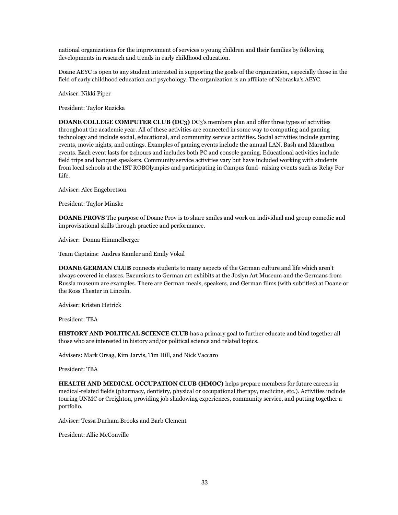national organizations for the improvement of services o young children and their families by following developments in research and trends in early childhood education.

Doane AEYC is open to any student interested in supporting the goals of the organization, especially those in the field of early childhood education and psychology. The organization is an affiliate of Nebraska's AEYC.

Adviser: Nikki Piper

President: Taylor Ruzicka

**DOANE COLLEGE COMPUTER CLUB (DC3)** DC3's members plan and offer three types of activities throughout the academic year. All of these activities are connected in some way to computing and gaming technology and include social, educational, and community service activities. Social activities include gaming events, movie nights, and outings. Examples of gaming events include the annual LAN. Bash and Marathon events. Each event lasts for 24hours and includes both PC and console gaming. Educational activities include field trips and banquet speakers. Community service activities vary but have included working with students from local schools at the IST ROBOlympics and participating in Campus fund- raising events such as Relay For Life.

Adviser: Alec Engebretson

President: Taylor Minske

**DOANE PROVS** The purpose of Doane Prov is to share smiles and work on individual and group comedic and improvisational skills through practice and performance.

Adviser: Donna Himmelberger

Team Captains: Andres Kamler and Emily Vokal

**DOANE GERMAN CLUB** connects students to many aspects of the German culture and life which aren't always covered in classes. Excursions to German art exhibits at the Joslyn Art Museum and the Germans from Russia museum are examples. There are German meals, speakers, and German films (with subtitles) at Doane or the Ross Theater in Lincoln.

Adviser: Kristen Hetrick

President: TBA

**HISTORY AND POLITICAL SCIENCE CLUB** has a primary goal to further educate and bind together all those who are interested in history and/or political science and related topics.

Advisers: Mark Orsag, Kim Jarvis, Tim Hill, and Nick Vaccaro

President: TBA

**HEALTH AND MEDICAL OCCUPATION CLUB (HMOC)** helps prepare members for future careers in medical-related fields (pharmacy, dentistry, physical or occupational therapy, medicine, etc.). Activities include touring UNMC or Creighton, providing job shadowing experiences, community service, and putting together a portfolio.

Adviser: Tessa Durham Brooks and Barb Clement

President: Allie McConville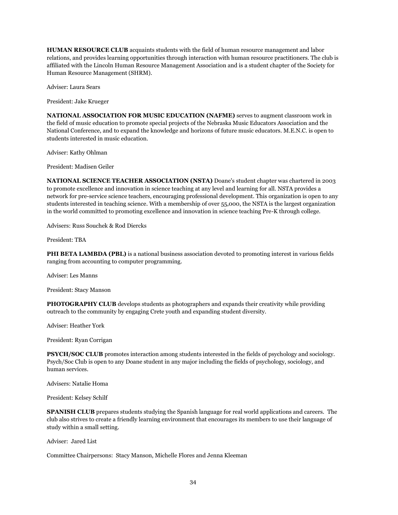**HUMAN RESOURCE CLUB** acquaints students with the field of human resource management and labor relations, and provides learning opportunities through interaction with human resource practitioners. The club is affiliated with the Lincoln Human Resource Management Association and is a student chapter of the Society for Human Resource Management (SHRM).

Adviser: Laura Sears

President: Jake Krueger

**NATIONAL ASSOCIATION FOR MUSIC EDUCATION (NAFME)** serves to augment classroom work in the field of music education to promote special projects of the Nebraska Music Educators Association and the National Conference, and to expand the knowledge and horizons of future music educators. M.E.N.C. is open to students interested in music education.

Adviser: Kathy Ohlman

President: Madisen Geiler

**NATIONAL SCIENCE TEACHER ASSOCIATION (NSTA)** Doane's student chapter was chartered in 2003 to promote excellence and innovation in science teaching at any level and learning for all. NSTA provides a network for pre-service science teachers, encouraging professional development. This organization is open to any students interested in teaching science. With a membership of over 55,000, the NSTA is the largest organization in the world committed to promoting excellence and innovation in science teaching Pre-K through college.

Advisers: Russ Souchek & Rod Diercks

President: TBA

**PHI BETA LAMBDA (PBL)** is a national business association devoted to promoting interest in various fields ranging from accounting to computer programming.

Adviser: Les Manns

President: Stacy Manson

**PHOTOGRAPHY CLUB** develops students as photographers and expands their creativity while providing outreach to the community by engaging Crete youth and expanding student diversity.

Adviser: Heather York

President: Ryan Corrigan

**PSYCH/SOC CLUB** promotes interaction among students interested in the fields of psychology and sociology. Psych/Soc Club is open to any Doane student in any major including the fields of psychology, sociology, and human services.

Advisers: Natalie Homa

President: Kelsey Schilf

**SPANISH CLUB** prepares students studying the Spanish language for real world applications and careers. The club also strives to create a friendly learning environment that encourages its members to use their language of study within a small setting.

Adviser: Jared List

Committee Chairpersons: Stacy Manson, Michelle Flores and Jenna Kleeman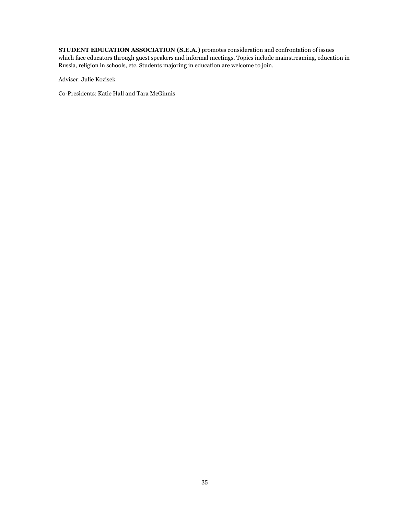**STUDENT EDUCATION ASSOCIATION (S.E.A.)** promotes consideration and confrontation of issues which face educators through guest speakers and informal meetings. Topics include mainstreaming, education in Russia, religion in schools, etc. Students majoring in education are welcome to join.

Adviser: Julie Kozisek

Co-Presidents: Katie Hall and Tara McGinnis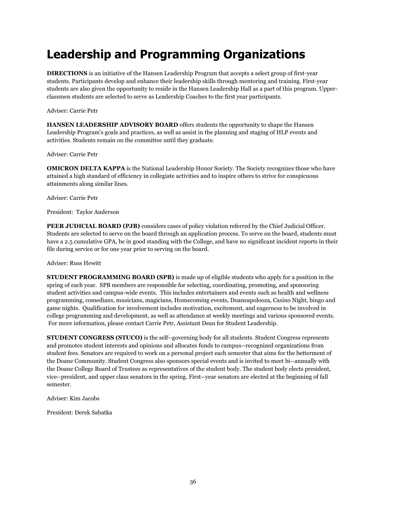# <span id="page-35-0"></span>**Leadership and Programming Organizations**

**DIRECTIONS** is an initiative of the Hansen Leadership Program that accepts a select group of first-year students. Participants develop and enhance their leadership skills through mentoring and training. First-year students are also given the opportunity to reside in the Hansen Leadership Hall as a part of this program. Upperclassmen students are selected to serve as Leadership Coaches to the first year participants.

Adviser: Carrie Petr

**HANSEN LEADERSHIP ADVISORY BOARD** offers students the opportunity to shape the Hansen Leadership Program's goals and practices, as well as assist in the planning and staging of HLP events and activities. Students remain on the committee until they graduate.

Adviser: Carrie Petr

**OMICRON DELTA KAPPA** is the National Leadership Honor Society. The Society recognizes those who have attained a high standard of efficiency in collegiate activities and to inspire others to strive for conspicuous attainments along similar lines.

Adviser: Carrie Petr

President: Taylor Anderson

**PEER JUDICIAL BOARD (PJB)** considers cases of policy violation referred by the Chief Judicial Officer. Students are selected to serve on the board through an application process. To serve on the board, students must have a 2.5 cumulative GPA, be in good standing with the College, and have no significant incident reports in their file during service or for one year prior to serving on the board.

Adviser: Russ Hewitt

**STUDENT PROGRAMMING BOARD (SPB)** is made up of eligible students who apply for a position in the spring of each year. SPB members are responsible for selecting, coordinating, promoting, and sponsoring student activities and campus-wide events. This includes entertainers and events such as health and wellness programming, comedians, musicians, magicians, Homecoming events, Doaneapolooza, Casino Night, bingo and game nights. Qualification for involvement includes motivation, excitement, and eagerness to be involved in college programming and development, as well as attendance at weekly meetings and various sponsored events. For more information, please contact Carrie Petr, Assistant Dean for Student Leadership.

**STUDENT CONGRESS (STUCO)** is the self-‐governing body for all students. Student Congress represents and promotes student interests and opinions and allocates funds to campus-‐recognized organizations from student fees. Senators are required to work on a personal project each semester that aims for the betterment of the Doane Community. Student Congress also sponsors special events and is invited to meet bi-‐annually with the Doane College Board of Trustees as representatives of the student body. The student body elects president, vice-‐president, and upper class senators in the spring. First-‐year senators are elected at the beginning of fall semester.

Adviser: Kim Jacobs

President: Derek Sabatka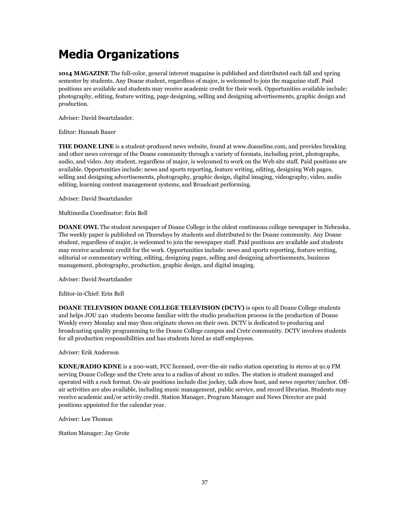# **Media Organizations**

**1014 MAGAZINE** The full-color, general interest magazine is published and distributed each fall and spring semester by students. Any Doane student, regardless of major, is welcomed to join the magazine staff. Paid positions are available and students may receive academic credit for their work. Opportunities available include: photography, editing, feature writing, page designing, selling and designing advertisements, graphic design and production.

Adviser: David Swartzlander.

Editor: Hannah Bauer

**THE DOANE LINE** is a student-produced news website, found at www.doaneline.com, and provides breaking and other news coverage of the Doane community through a variety of formats, including print, photographs, audio, and video. Any student, regardless of major, is welcomed to work on the Web site staff. Paid positions are available. Opportunities include: news and sports reporting, feature writing, editing, designing Web pages, selling and designing advertisements, photography, graphic design, digital imaging, videography, video, audio editing, learning content management systems, and Broadcast performing.

Adviser: David Swartzlander

Multimedia Coordinator: Erin Bell

**DOANE OWL** The student newspaper of Doane College is the oldest continuous college newspaper in Nebraska. The weekly paper is published on Thursdays by students and distributed to the Doane community. Any Doane student, regardless of major, is welcomed to join the newspaper staff. Paid positions are available and students may receive academic credit for the work. Opportunities include: news and sports reporting, feature writing, editorial or commentary writing, editing, designing pages, selling and designing advertisements, business management, photography, production, graphic design, and digital imaging.

Adviser: David Swartzlander

Editor-in-Chief: Erin Bell

**DOANE TELEVISION DOANE COLLEGE TELEVISION (DCTV)** is open to all Doane College students and helps JOU 240 students become familiar with the studio production process in the production of Doane Weekly every Monday and may then originate shows on their own. DCTV is dedicated to producing and broadcasting quality programming to the Doane College campus and Crete community. DCTV involves students for all production responsibilities and has students hired as staff employees.

Adviser: Erik Anderson

**KDNE/RADIO KDNE** is a 200-watt, FCC licensed, over-the-air radio station operating in stereo at 91.9 FM serving Doane College and the Crete area to a radius of about 10 miles. The station is student managed and operated with a rock format. On-air positions include disc jockey, talk show host, and news reporter/anchor. Offair activities are also available, including music management, public service, and record librarian. Students may receive academic and/or activity credit. Station Manager, Program Manager and News Director are paid positions appointed for the calendar year.

Adviser: Lee Thomas

Station Manager: Jay Grote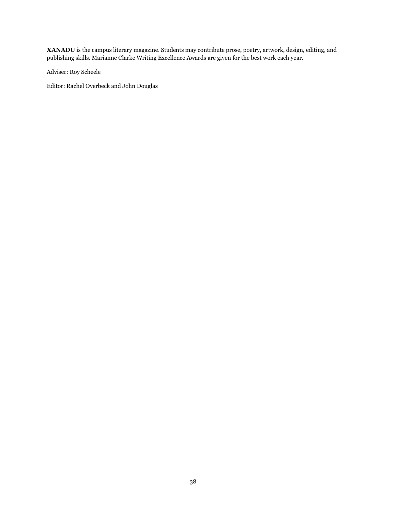**XANADU** is the campus literary magazine. Students may contribute prose, poetry, artwork, design, editing, and publishing skills. Marianne Clarke Writing Excellence Awards are given for the best work each year.

Adviser: Roy Scheele

Editor: Rachel Overbeck and John Douglas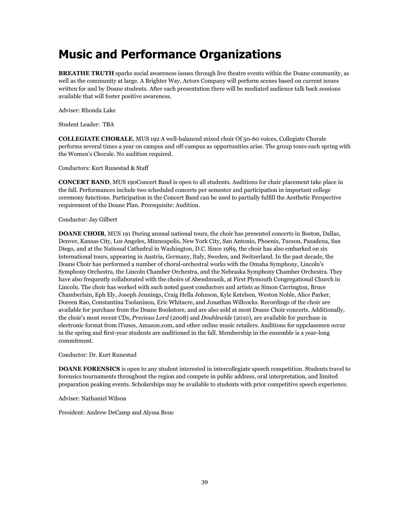# **Music and Performance Organizations**

**BREATHE TRUTH** sparks social awareness issues through live theatre events within the Doane community, as well as the community at large. A Brighter Way, Actors Company will perform scenes based on current issues written for and by Doane students. After each presentation there will be mediated audience talk back sessions available that will foster positive awareness.

Adviser: Rhonda Lake

Student Leader: TBA

**COLLEGIATE CHORALE**, MUS 192 A well-balanced mixed choir Of 50-60 voices, Collegiate Chorale performs several times a year on campus and off-campus as opportunities arise. The group tours each spring with the Women's Chorale. No audition required.

Conductors: Kurt Runestad & Staff

**CONCERT BAND**, MUS 190Concert Band is open to all students. Auditions for chair placement take place in the fall. Performances include two scheduled concerts per semester and participation in important college ceremony functions. Participation in the Concert Band can be used to partially fulfill the Aesthetic Perspective requirement of the Doane Plan. Prerequisite: Audition.

#### Conductor: Jay Gilbert

**DOANE CHOIR**, MUS 191 During annual national tours, the choir has presented concerts in Boston, Dallas, Denver, Kansas City, Los Angeles, Minneapolis, New York City, San Antonio, Phoenix, Tucson, Pasadena, San Diego, and at the National Cathedral in Washington, D.C. Since 1989, the choir has also embarked on six international tours, appearing in Austria, Germany, Italy, Sweden, and Switzerland. In the past decade, the Doane Choir has performed a number of choral-orchestral works with the Omaha Symphony, Lincoln's Symphony Orchestra, the Lincoln Chamber Orchestra, and the Nebraska Symphony Chamber Orchestra. They have also frequently collaborated with the choirs of Abendmusik, at First Plymouth Congregational Church in Lincoln. The choir has worked with such noted guest conductors and artists as Simon Carrington, Bruce Chamberlain, Eph Ely, Joseph Jennings, Craig Hella Johnson, Kyle Ketelsen, Weston Noble, Alice Parker, Doreen Rao, Constantina Tsolaninou, Eric Whitacre, and Jonathan Willcocks. Recordings of the choir are available for purchase from the Doane Bookstore, and are also sold at most Doane Choir concerts. Additionally, the choir's most recent CDs, *Precious Lord* (2008) and *Doublewide* (2010), are available for purchase in electronic format from iTunes, Amazon.com, and other online music retailers. Auditions for uppclassmen occur in the spring and first-year students are auditioned in the fall. Membership in the ensemble is a year-long commitment.

Conductor: Dr. Kurt Runestad

**DOANE FORENSICS** is open to any student interested in intercollegiate speech competition. Students travel to forensics tournaments throughout the region and compete in public address, oral interpretation, and limited preparation peaking events. Scholarships may be available to students with prior competitive speech experience.

Adviser: Nathaniel Wilson

President: Andrew DeCamp and Alyssa Bouc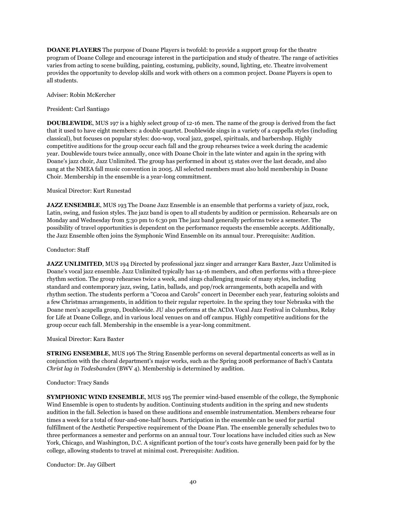**DOANE PLAYERS** The purpose of Doane Players is twofold: to provide a support group for the theatre program of Doane College and encourage interest in the participation and study of theatre. The range of activities varies from acting to scene building, painting, costuming, publicity, sound, lighting, etc. Theatre involvement provides the opportunity to develop skills and work with others on a common project. Doane Players is open to all students.

Adviser: Robin McKercher

President: Carl Santiago

**DOUBLEWIDE**, MUS 197 is a highly select group of 12-16 men. The name of the group is derived from the fact that it used to have eight members: a double quartet. Doublewide sings in a variety of a cappella styles (including classical), but focuses on popular styles: doo-wop, vocal jazz, gospel, spirituals, and barbershop. Highly competitive auditions for the group occur each fall and the group rehearses twice a week during the academic year. Doublewide tours twice annually, once with Doane Choir in the late winter and again in the spring with Doane's jazz choir, Jazz Unlimited. The group has performed in about 15 states over the last decade, and also sang at the NMEA fall music convention in 2005. All selected members must also hold membership in Doane Choir. Membership in the ensemble is a year-long commitment.

#### Musical Director: Kurt Runestad

**JAZZ ENSEMBLE**, MUS 193 The Doane Jazz Ensemble is an ensemble that performs a variety of jazz, rock, Latin, swing, and fusion styles. The jazz band is open to all students by audition or permission. Rehearsals are on Monday and Wednesday from 5:30 pm to 6:30 pm The jazz band generally performs twice a semester. The possibility of travel opportunities is dependent on the performance requests the ensemble accepts. Additionally, the Jazz Ensemble often joins the Symphonic Wind Ensemble on its annual tour. Prerequisite: Audition.

#### Conductor: Staff

**JAZZ UNLIMITED**, MUS 194 Directed by professional jazz singer and arranger Kara Baxter, Jazz Unlimited is Doane's vocal jazz ensemble. Jazz Unlimited typically has 14-16 members, and often performs with a three-piece rhythm section. The group rehearses twice a week, and sings challenging music of many styles, including standard and contemporary jazz, swing, Latin, ballads, and pop/rock arrangements, both acapella and with rhythm section. The students perform a "Cocoa and Carols" concert in December each year, featuring soloists and a few Christmas arrangements, in addition to their regular repertoire. In the spring they tour Nebraska with the Doane men's acapella group, Doublewide. JU also performs at the ACDA Vocal Jazz Festival in Columbus, Relay for Life at Doane College, and in various local venues on and off campus. Highly competitive auditions for the group occur each fall. Membership in the ensemble is a year-long commitment.

#### Musical Director: Kara Baxter

**STRING ENSEMBLE**, MUS 196 The String Ensemble performs on several departmental concerts as well as in conjunction with the choral department's major works, such as the Spring 2008 performance of Bach's Cantata *Christ lag in Todesbanden* (BWV 4). Membership is determined by audition.

#### Conductor: Tracy Sands

**SYMPHONIC WIND ENSEMBLE**, MUS 195 The premier wind-based ensemble of the college, the Symphonic Wind Ensemble is open to students by audition. Continuing students audition in the spring and new students audition in the fall. Selection is based on these auditions and ensemble instrumentation. Members rehearse four times a week for a total of four-and-one-half hours. Participation in the ensemble can be used for partial fulfillment of the Aesthetic Perspective requirement of the Doane Plan. The ensemble generally schedules two to three performances a semester and performs on an annual tour. Tour locations have included cities such as New York, Chicago, and Washington, D.C. A significant portion of the tour's costs have generally been paid for by the college, allowing students to travel at minimal cost. Prerequisite: Audition.

Conductor: Dr. Jay Gilbert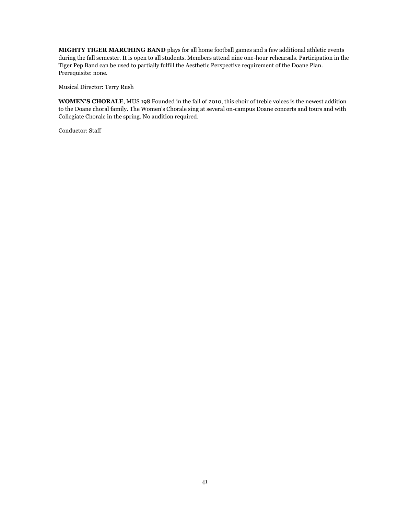**MIGHTY TIGER MARCHING BAND** plays for all home football games and a few additional athletic events during the fall semester. It is open to all students. Members attend nine one-hour rehearsals. Participation in the Tiger Pep Band can be used to partially fulfill the Aesthetic Perspective requirement of the Doane Plan. Prerequisite: none.

Musical Director: Terry Rush

**WOMEN'S CHORALE**, MUS 198 Founded in the fall of 2010, this choir of treble voices is the newest addition to the Doane choral family. The Women's Chorale sing at several on-campus Doane concerts and tours and with Collegiate Chorale in the spring. No audition required.

Conductor: Staff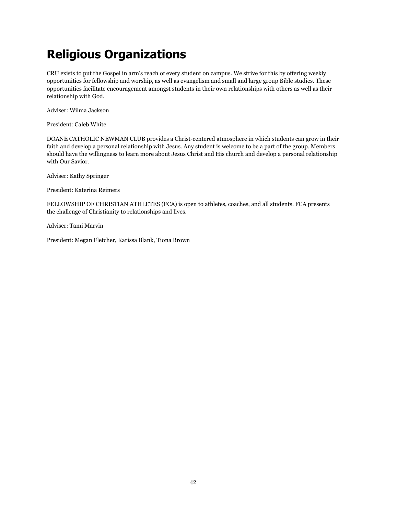# **Religious Organizations**

CRU exists to put the Gospel in arm's reach of every student on campus. We strive for this by offering weekly opportunities for fellowship and worship, as well as evangelism and small and large group Bible studies. These opportunities facilitate encouragement amongst students in their own relationships with others as well as their relationship with God.

Adviser: Wilma Jackson

President: Caleb White

DOANE CATHOLIC NEWMAN CLUB provides a Christ-centered atmosphere in which students can grow in their faith and develop a personal relationship with Jesus. Any student is welcome to be a part of the group. Members should have the willingness to learn more about Jesus Christ and His church and develop a personal relationship with Our Savior.

Adviser: Kathy Springer

President: Katerina Reimers

FELLOWSHIP OF CHRISTIAN ATHLETES (FCA) is open to athletes, coaches, and all students. FCA presents the challenge of Christianity to relationships and lives.

Adviser: Tami Marvin

President: Megan Fletcher, Karissa Blank, Tiona Brown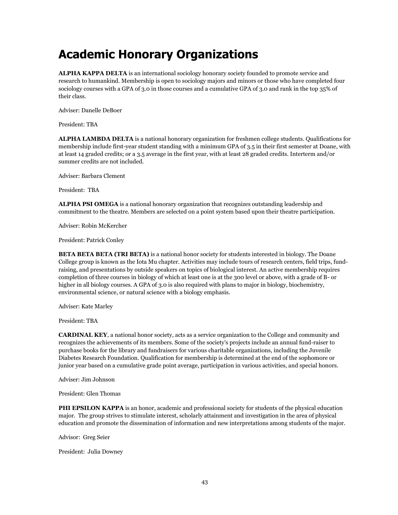# **Academic Honorary Organizations**

**ALPHA KAPPA DELTA** is an international sociology honorary society founded to promote service and research to humankind. Membership is open to sociology majors and minors or those who have completed four sociology courses with a GPA of 3.0 in those courses and a cumulative GPA of 3.0 and rank in the top 35% of their class.

Adviser: Danelle DeBoer

President: TBA

**ALPHA LAMBDA DELTA** is a national honorary organization for freshmen college students. Qualifications for membership include first-year student standing with a minimum GPA of 3.5 in their first semester at Doane, with at least 14 graded credits; or a 3.5 average in the first year, with at least 28 graded credits. Interterm and/or summer credits are not included.

Adviser: Barbara Clement

President: TBA

**ALPHA PSI OMEGA** is a national honorary organization that recognizes outstanding leadership and commitment to the theatre. Members are selected on a point system based upon their theatre participation.

Adviser: Robin McKercher

President: Patrick Conley

**BETA BETA BETA (TRI BETA)** is a national honor society for students interested in biology. The Doane College group is known as the Iota Mu chapter. Activities may include tours of research centers, field trips, fundraising, and presentations by outside speakers on topics of biological interest. An active membership requires completion of three courses in biology of which at least one is at the 300 level or above, with a grade of B- or higher in all biology courses. A GPA of 3.0 is also required with plans to major in biology, biochemistry, environmental science, or natural science with a biology emphasis.

Adviser: Kate Marley

President: TBA

**CARDINAL KEY**, a national honor society, acts as a service organization to the College and community and recognizes the achievements of its members. Some of the society's projects include an annual fund-raiser to purchase books for the library and fundraisers for various charitable organizations, including the Juvenile Diabetes Research Foundation. Qualification for membership is determined at the end of the sophomore or junior year based on a cumulative grade point average, participation in various activities, and special honors.

Adviser: Jim Johnson

President: Glen Thomas

**PHI EPSILON KAPPA** is an honor, academic and professional society for students of the physical education major. The group strives to stimulate interest, scholarly attainment and investigation in the area of physical education and promote the dissemination of information and new interpretations among students of the major.

Advisor: Greg Seier

President: Julia Downey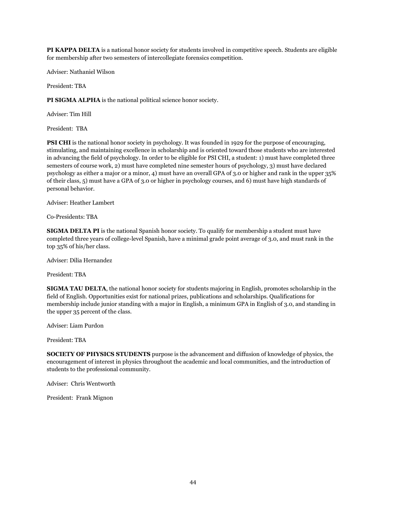**PI KAPPA DELTA** is a national honor society for students involved in competitive speech. Students are eligible for membership after two semesters of intercollegiate forensics competition.

Adviser: Nathaniel Wilson

President: TBA

**PI SIGMA ALPHA** is the national political science honor society.

Adviser: Tim Hill

President: TBA

**PSI CHI** is the national honor society in psychology. It was founded in 1929 for the purpose of encouraging, stimulating, and maintaining excellence in scholarship and is oriented toward those students who are interested in advancing the field of psychology. In order to be eligible for PSI CHI, a student: 1) must have completed three semesters of course work, 2) must have completed nine semester hours of psychology, 3) must have declared psychology as either a major or a minor, 4) must have an overall GPA of 3.0 or higher and rank in the upper 35% of their class, 5) must have a GPA of 3.0 or higher in psychology courses, and 6) must have high standards of personal behavior.

Adviser: Heather Lambert

Co-Presidents: TBA

**SIGMA DELTA PI** is the national Spanish honor society. To qualify for membership a student must have completed three years of college-level Spanish, have a minimal grade point average of 3.0, and must rank in the top 35% of his/her class.

Adviser: Dilia Hernandez

President: TBA

**SIGMA TAU DELTA**, the national honor society for students majoring in English, promotes scholarship in the field of English. Opportunities exist for national prizes, publications and scholarships. Qualifications for membership include junior standing with a major in English, a minimum GPA in English of 3.0, and standing in the upper 35 percent of the class.

Adviser: Liam Purdon

President: TBA

**SOCIETY OF PHYSICS STUDENTS** purpose is the advancement and diffusion of knowledge of physics, the encouragement of interest in physics throughout the academic and local communities, and the introduction of students to the professional community.

Adviser: Chris Wentworth

President: Frank Mignon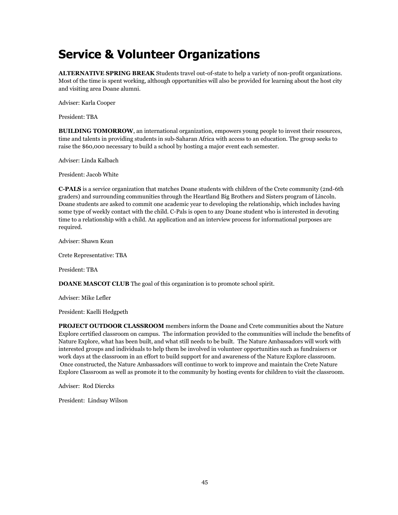# **Service & Volunteer Organizations**

**ALTERNATIVE SPRING BREAK** Students travel out-of-state to help a variety of non-profit organizations. Most of the time is spent working, although opportunities will also be provided for learning about the host city and visiting area Doane alumni.

Adviser: Karla Cooper

President: TBA

**BUILDING TOMORROW**, an international organization, empowers young people to invest their resources, time and talents in providing students in sub-Saharan Africa with access to an education. The group seeks to raise the \$60,000 necessary to build a school by hosting a major event each semester.

Adviser: Linda Kalbach

President: Jacob White

**C-PALS** is a service organization that matches Doane students with children of the Crete community (2nd-6th graders) and surrounding communities through the Heartland Big Brothers and Sisters program of Lincoln. Doane students are asked to commit one academic year to developing the relationship, which includes having some type of weekly contact with the child. C-Pals is open to any Doane student who is interested in devoting time to a relationship with a child. An application and an interview process for informational purposes are required.

Adviser: Shawn Kean

Crete Representative: TBA

President: TBA

**DOANE MASCOT CLUB** The goal of this organization is to promote school spirit.

Adviser: Mike Lefler

President: Kaelli Hedgpeth

**PROJECT OUTDOOR CLASSROOM** members inform the Doane and Crete communities about the Nature Explore certified classroom on campus. The information provided to the communities will include the benefits of Nature Explore, what has been built, and what still needs to be built. The Nature Ambassadors will work with interested groups and individuals to help them be involved in volunteer opportunities such as fundraisers or work days at the classroom in an effort to build support for and awareness of the Nature Explore classroom. Once constructed, the Nature Ambassadors will continue to work to improve and maintain the Crete Nature Explore Classroom as well as promote it to the community by hosting events for children to visit the classroom.

Adviser: Rod Diercks

President: Lindsay Wilson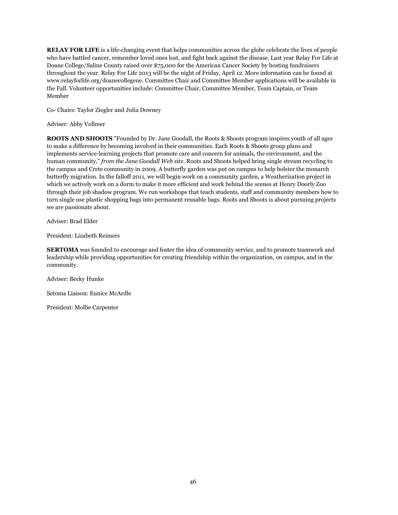**RELAY FOR LIFE** is a life-changing event that helps communities across the globe celebrate the lives of people who have battled cancer, remember loved ones lost, and fight back against the disease. Last year Relay For Life at Doane College/Saline County raised over \$75,000 for the American Cancer Society by hosting fundraisers throughout the year. Relay For Life 2013 will be the night of Friday, April 12. More information can be found at www.relayforlife.org/doanecollegene. Committee Chair and Committee Member applications will be available in the Fall. Volunteer opportunities include: Committee Chair, Committee Member, Team Captain, or Team Member

Co- Chairs: Taylor Ziegler and Julia Downey

Adviser: Abby Vollmer

**ROOTS AND SHOOTS** "Founded by Dr. Jane Goodall, the Roots & Shoots program inspires youth of all ages to make a difference by becoming involved in their communities. Each Roots & Shoots group plans and implements service-learning projects that promote care and concern for animals, the environment, and the human community," *from the Jane Goodall Web site*. Roots and Shoots helped bring single stream recycling to the campus and Crete community in 2009. A butterfly garden was put on campus to help bolster the monarch butterfly migration. In the falloff 2011, we will begin work on a community garden, a Weatherization project in which we actively work on a dorm to make it more efficient and work behind the scenes at Henry Doorly Zoo through their job shadow program. We run workshops that teach students, staff and community members how to turn single use plastic shopping bags into permanent reusable bags. Roots and Shoots is about pursuing projects we are passionate about.

Adviser: Brad Elder

President: Lizabeth Reimers

**SERTOMA** was founded to encourage and foster the idea of community service, and to promote teamwork and leadership while providing opportunities for creating friendship within the organization, on campus, and in the community.

Adviser: Becky Hunke

Setoma Liaison: Eunice McArdle

President: Mollie Carpenter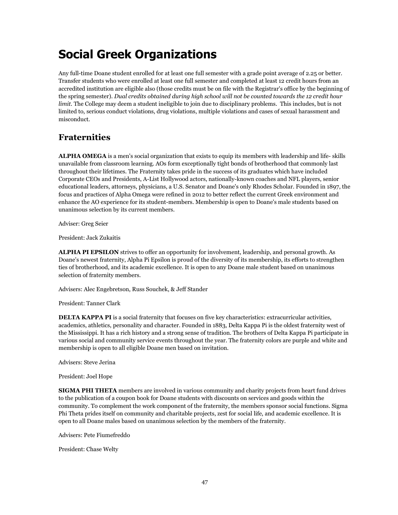# **Social Greek Organizations**

Any full-time Doane student enrolled for at least one full semester with a grade point average of 2.25 or better. Transfer students who were enrolled at least one full semester and completed at least 12 credit hours from an accredited institution are eligible also (those credits must be on file with the Registrar's office by the beginning of the spring semester). *Dual credits obtained during high school will not be counted towards the 12 credit hour limit*. The College may deem a student ineligible to join due to disciplinary problems. This includes, but is not limited to, serious conduct violations, drug violations, multiple violations and cases of sexual harassment and misconduct.

### **Fraternities**

**ALPHA OMEGA** is a men's social organization that exists to equip its members with leadership and life- skills unavailable from classroom learning. AOs form exceptionally tight bonds of brotherhood that commonly last throughout their lifetimes. The Fraternity takes pride in the success of its graduates which have included Corporate CEOs and Presidents, A-List Hollywood actors, nationally-known coaches and NFL players, senior educational leaders, attorneys, physicians, a U.S. Senator and Doane's only Rhodes Scholar. Founded in 1897, the focus and practices of Alpha Omega were refined in 2012 to better reflect the current Greek environment and enhance the AO experience for its student-members. Membership is open to Doane's male students based on unanimous selection by its current members.

Adviser: Greg Seier

President: Jack Zukaitis

**ALPHA PI EPSILON** strives to offer an opportunity for involvement, leadership, and personal growth. As Doane's newest fraternity, Alpha Pi Epsilon is proud of the diversity of its membership, its efforts to strengthen ties of brotherhood, and its academic excellence. It is open to any Doane male student based on unanimous selection of fraternity members.

Advisers: Alec Engebretson, Russ Souchek, & Jeff Stander

President: Tanner Clark

**DELTA KAPPA PI** is a social fraternity that focuses on five key characteristics: extracurricular activities, academics, athletics, personality and character. Founded in 1883, Delta Kappa Pi is the oldest fraternity west of the Mississippi. It has a rich history and a strong sense of tradition. The brothers of Delta Kappa Pi participate in various social and community service events throughout the year. The fraternity colors are purple and white and membership is open to all eligible Doane men based on invitation.

Advisers: Steve Jerina

President: Joel Hope

**SIGMA PHI THETA** members are involved in various community and charity projects from heart fund drives to the publication of a coupon book for Doane students with discounts on services and goods within the community. To complement the work component of the fraternity, the members sponsor social functions. Sigma Phi Theta prides itself on community and charitable projects, zest for social life, and academic excellence. It is open to all Doane males based on unanimous selection by the members of the fraternity.

Advisers: Pete Fiumefreddo

President: Chase Welty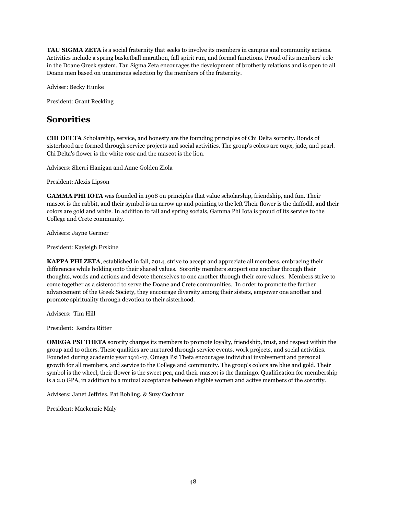**TAU SIGMA ZETA** is a social fraternity that seeks to involve its members in campus and community actions. Activities include a spring basketball marathon, fall spirit run, and formal functions. Proud of its members' role in the Doane Greek system, Tau Sigma Zeta encourages the development of brotherly relations and is open to all Doane men based on unanimous selection by the members of the fraternity.

Adviser: Becky Hunke

President: Grant Reckling

#### **Sororities**

**CHI DELTA** Scholarship, service, and honesty are the founding principles of Chi Delta sorority. Bonds of sisterhood are formed through service projects and social activities. The group's colors are onyx, jade, and pearl. Chi Delta's flower is the white rose and the mascot is the lion.

Advisers: Sherri Hanigan and Anne Golden Ziola

President: Alexis Lipson

**GAMMA PHI IOTA** was founded in 1908 on principles that value scholarship, friendship, and fun. Their mascot is the rabbit, and their symbol is an arrow up and pointing to the left Their flower is the daffodil, and their colors are gold and white. In addition to fall and spring socials, Gamma Phi Iota is proud of its service to the College and Crete community.

Advisers: Jayne Germer

President: Kayleigh Erskine

**KAPPA PHI ZETA**, established in fall, 2014, strive to accept and appreciate all members, embracing their differences while holding onto their shared values. Sorority members support one another through their thoughts, words and actions and devote themselves to one another through their core values. Members strive to come together as a sisterood to serve the Doane and Crete communities. In order to promote the further advancement of the Greek Society, they encourage diversity among their sisters, empower one another and promote spirituality through devotion to their sisterhood.

Advisers: Tim Hill

President: Kendra Ritter

**OMEGA PSI THETA** sorority charges its members to promote loyalty, friendship, trust, and respect within the group and to others. These qualities are nurtured through service events, work projects, and social activities. Founded during academic year 1916-17, Omega Psi Theta encourages individual involvement and personal growth for all members, and service to the College and community. The group's colors are blue and gold. Their symbol is the wheel, their flower is the sweet pea, and their mascot is the flamingo. Qualification for membership is a 2.0 GPA, in addition to a mutual acceptance between eligible women and active members of the sorority.

Advisers: Janet Jeffries, Pat Bohling, & Suzy Cochnar

President: Mackenzie Maly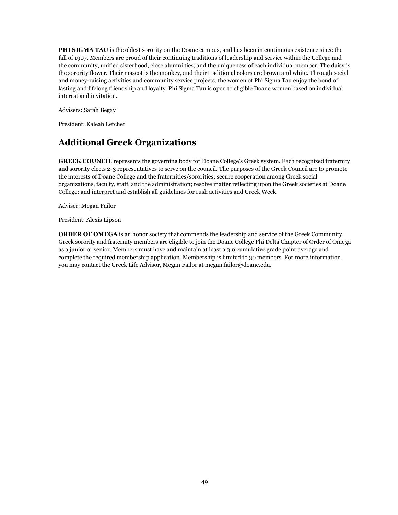**PHI SIGMA TAU** is the oldest sorority on the Doane campus, and has been in continuous existence since the fall of 1907. Members are proud of their continuing traditions of leadership and service within the College and the community, unified sisterhood, close alumni ties, and the uniqueness of each individual member. The daisy is the sorority flower. Their mascot is the monkey, and their traditional colors are brown and white. Through social and money-raising activities and community service projects, the women of Phi Sigma Tau enjoy the bond of lasting and lifelong friendship and loyalty. Phi Sigma Tau is open to eligible Doane women based on individual interest and invitation.

Advisers: Sarah Begay

President: Kaleah Letcher

### **Additional Greek Organizations**

**GREEK COUNCIL** represents the governing body for Doane College's Greek system. Each recognized fraternity and sorority elects 2-3 representatives to serve on the council. The purposes of the Greek Council are to promote the interests of Doane College and the fraternities/sororities; secure cooperation among Greek social organizations, faculty, staff, and the administration; resolve matter reflecting upon the Greek societies at Doane College; and interpret and establish all guidelines for rush activities and Greek Week.

Adviser: Megan Failor

President: Alexis Lipson

**ORDER OF OMEGA** is an honor society that commends the leadership and service of the Greek Community. Greek sorority and fraternity members are eligible to join the Doane College Phi Delta Chapter of Order of Omega as a junior or senior. Members must have and maintain at least a 3.0 cumulative grade point average and complete the required membership application. Membership is limited to 30 members. For more information you may contact the Greek Life Advisor, Megan Failor at megan.failor@doane.edu.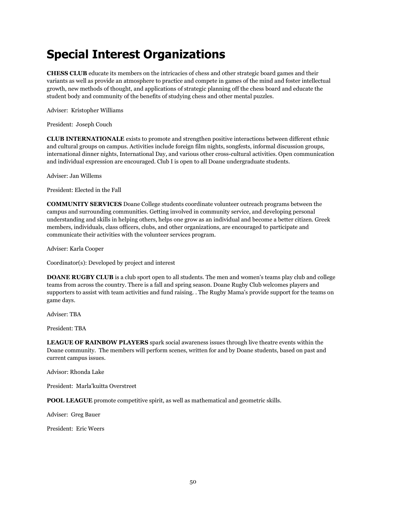# **Special Interest Organizations**

**CHESS CLUB** educate its members on the intricacies of chess and other strategic board games and their variants as well as provide an atmosphere to practice and compete in games of the mind and foster intellectual growth, new methods of thought, and applications of strategic planning off the chess board and educate the student body and community of the benefits of studying chess and other mental puzzles.

Adviser: Kristopher Williams

President: Joseph Couch

**CLUB INTERNATIONALE** exists to promote and strengthen positive interactions between different ethnic and cultural groups on campus. Activities include foreign film nights, songfests, informal discussion groups, international dinner nights, International Day, and various other cross-cultural activities. Open communication and individual expression are encouraged. Club I is open to all Doane undergraduate students.

Adviser: Jan Willems

President: Elected in the Fall

**COMMUNITY SERVICES** Doane College students coordinate volunteer outreach programs between the campus and surrounding communities. Getting involved in community service, and developing personal understanding and skills in helping others, helps one grow as an individual and become a better citizen. Greek members, individuals, class officers, clubs, and other organizations, are encouraged to participate and communicate their activities with the volunteer services program.

Adviser: Karla Cooper

Coordinator(s): Developed by project and interest

**DOANE RUGBY CLUB** is a club sport open to all students. The men and women's teams play club and college teams from across the country. There is a fall and spring season. Doane Rugby Club welcomes players and supporters to assist with team activities and fund raising. . The Rugby Mama's provide support for the teams on game days.

Adviser: TBA

President: TBA

**LEAGUE OF RAINBOW PLAYERS** spark social awareness issues through live theatre events within the Doane community. The members will perform scenes, written for and by Doane students, based on past and current campus issues.

Advisor: Rhonda Lake

President: Marla'kuitta Overstreet

**POOL LEAGUE** promote competitive spirit, as well as mathematical and geometric skills.

Adviser: Greg Bauer

President: Eric Weers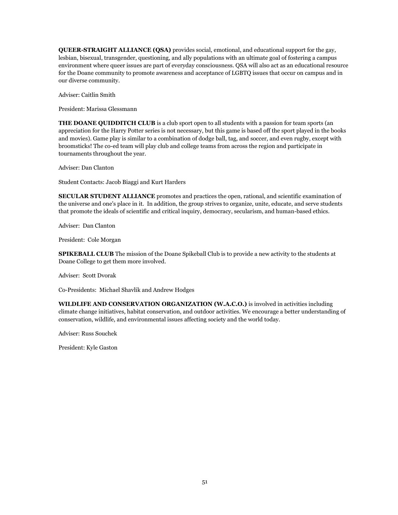**QUEER-STRAIGHT ALLIANCE (QSA)** provides social, emotional, and educational support for the gay, lesbian, bisexual, transgender, questioning, and ally populations with an ultimate goal of fostering a campus environment where queer issues are part of everyday consciousness. QSA will also act as an educational resource for the Doane community to promote awareness and acceptance of LGBTQ issues that occur on campus and in our diverse community.

Adviser: Caitlin Smith

President: Marissa Glessmann

**THE DOANE QUIDDITCH CLUB** is a club sport open to all students with a passion for team sports (an appreciation for the Harry Potter series is not necessary, but this game is based off the sport played in the books and movies). Game play is similar to a combination of dodge ball, tag, and soccer, and even rugby, except with broomsticks! The co-ed team will play club and college teams from across the region and participate in tournaments throughout the year.

Adviser: Dan Clanton

Student Contacts: Jacob Biaggi and Kurt Harders

**SECULAR STUDENT ALLIANCE** promotes and practices the open, rational, and scientific examination of the universe and one's place in it. In addition, the group strives to organize, unite, educate, and serve students that promote the ideals of scientific and critical inquiry, democracy, secularism, and human-based ethics.

Adviser: Dan Clanton

President: Cole Morgan

**SPIKEBALL CLUB** The mission of the Doane Spikeball Club is to provide a new activity to the students at Doane College to get them more involved.

Adviser: Scott Dvorak

Co-Presidents: Michael Shavlik and Andrew Hodges

**WILDLIFE AND CONSERVATION ORGANIZATION (W.A.C.O.)** is involved in activities including climate change initiatives, habitat conservation, and outdoor activities. We encourage a better understanding of conservation, wildlife, and environmental issues affecting society and the world today.

Adviser: Russ Souchek

President: Kyle Gaston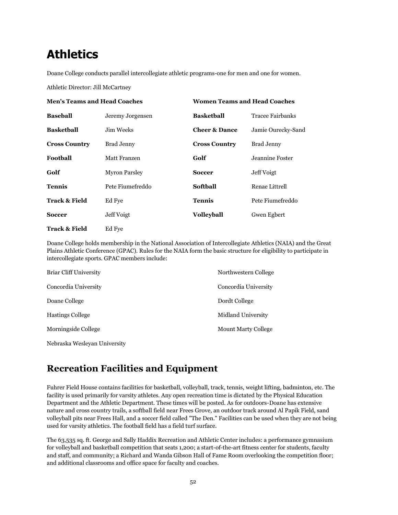# **Athletics**

Doane College conducts parallel intercollegiate athletic programs-one for men and one for women.

Athletic Director: Jill McCartney

| <b>Men's Teams and Head Coaches</b> |                      |                          | <b>Women Teams and Head Coaches</b> |  |
|-------------------------------------|----------------------|--------------------------|-------------------------------------|--|
| <b>Baseball</b>                     | Jeremy Jorgensen     | <b>Basketball</b>        | Tracee Fairbanks                    |  |
| <b>Basketball</b>                   | Jim Weeks.           | <b>Cheer &amp; Dance</b> | Jamie Ourecky-Sand                  |  |
| <b>Cross Country</b>                | Brad Jenny           | <b>Cross Country</b>     | Brad Jenny                          |  |
| Foothall                            | Matt Franzen         | Golf                     | Jeannine Foster                     |  |
| Golf                                | <b>Myron Parsley</b> | <b>Soccer</b>            | Jeff Voigt                          |  |
| <b>Tennis</b>                       | Pete Fiumefreddo     | Softball                 | Renae Littrell                      |  |
| <b>Track &amp; Field</b>            | Ed Fye               | Tennis                   | Pete Fiumefreddo                    |  |
| <b>Soccer</b>                       | Jeff Voigt           | <b>Volleyball</b>        | Gwen Egbert                         |  |
| <b>Track &amp; Field</b>            | Ed Fye               |                          |                                     |  |

Doane College holds membership in the National Association of Intercollegiate Athletics (NAIA) and the Great Plains Athletic Conference (GPAC). Rules for the NAIA form the basic structure for eligibility to participate in intercollegiate sports. GPAC members include:

| <b>Briar Cliff University</b> | Northwestern College       |
|-------------------------------|----------------------------|
| Concordia University          | Concordia University       |
| Doane College                 | Dordt College              |
| <b>Hastings College</b>       | Midland University         |
| Morningside College           | <b>Mount Marty College</b> |
|                               |                            |

Nebraska Wesleyan University

# **Recreation Facilities and Equipment**

Fuhrer Field House contains facilities for basketball, volleyball, track, tennis, weight lifting, badminton, etc. The facility is used primarily for varsity athletes. Any open recreation time is dictated by the Physical Education Department and the Athletic Department. These times will be posted. As for outdoors-Doane has extensive nature and cross country trails, a softball field near Frees Grove, an outdoor track around Al Papik Field, sand volleyball pits near Frees Hall, and a soccer field called "The Den." Facilities can be used when they are not being used for varsity athletics. The football field has a field turf surface.

The 63,535 sq. ft. George and Sally Haddix Recreation and Athletic Center includes: a performance gymnasium for volleyball and basketball competition that seats 1,200; a start-of-the-art fitness center for students, faculty and staff, and community; a Richard and Wanda Gibson Hall of Fame Room overlooking the competition floor; and additional classrooms and office space for faculty and coaches.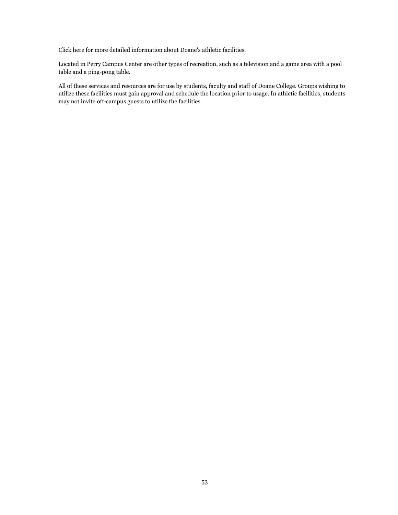Click here for more detailed information about Doane's athletic facilities.

Located in Perry Campus Center are other types of recreation, such as a television and a game area with a pool table and a ping-pong table.

All of these services and resources are for use by students, faculty and staff of Doane College. Groups wishing to utilize these facilities must gain approval and schedule the location prior to usage. In athletic facilities, students may not invite off-campus guests to utilize the facilities.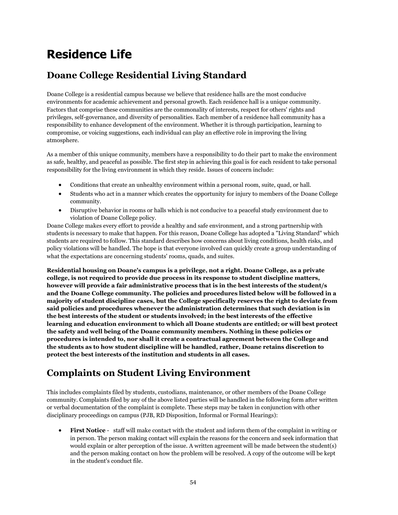# **Residence Life**

# **Doane College Residential Living Standard**

Doane College is a residential campus because we believe that residence halls are the most conducive environments for academic achievement and personal growth. Each residence hall is a unique community. Factors that comprise these communities are the commonality of interests, respect for others' rights and privileges, self-governance, and diversity of personalities. Each member of a residence hall community has a responsibility to enhance development of the environment. Whether it is through participation, learning to compromise, or voicing suggestions, each individual can play an effective role in improving the living atmosphere.

As a member of this unique community, members have a responsibility to do their part to make the environment as safe, healthy, and peaceful as possible. The first step in achieving this goal is for each resident to take personal responsibility for the living environment in which they reside. Issues of concern include:

- Conditions that create an unhealthy environment within a personal room, suite, quad, or hall.
- Students who act in a manner which creates the opportunity for injury to members of the Doane College community.
- Disruptive behavior in rooms or halls which is not conducive to a peaceful study environment due to violation of Doane College policy.

Doane College makes every effort to provide a healthy and safe environment, and a strong partnership with students is necessary to make that happen. For this reason, Doane College has adopted a "Living Standard" which students are required to follow. This standard describes how concerns about living conditions, health risks, and policy violations will be handled. The hope is that everyone involved can quickly create a group understanding of what the expectations are concerning students' rooms, quads, and suites.

**Residential housing on Doane's campus is a privilege, not a right. Doane College, as a private college, is not required to provide due process in its response to student discipline matters, however will provide a fair administrative process that is in the best interests of the student/s and the Doane College community. The policies and procedures listed below will be followed in a majority of student discipline cases, but the College specifically reserves the right to deviate from said policies and procedures whenever the administration determines that such deviation is in the best interests of the student or students involved; in the best interests of the effective learning and education environment to which all Doane students are entitled; or will best protect the safety and well being of the Doane community members. Nothing in these policies or procedures is intended to, nor shall it create a contractual agreement between the College and the students as to how student discipline will be handled, rather, Doane retains discretion to protect the best interests of the institution and students in all cases.**

# **Complaints on Student Living Environment**

This includes complaints filed by students, custodians, maintenance, or other members of the Doane College community. Complaints filed by any of the above listed parties will be handled in the following form after written or verbal documentation of the complaint is complete. These steps may be taken in conjunction with other disciplinary proceedings on campus (PJB, RD Disposition, Informal or Formal Hearings):

 **First Notice** - staff will make contact with the student and inform them of the complaint in writing or in person. The person making contact will explain the reasons for the concern and seek information that would explain or alter perception of the issue. A written agreement will be made between the student(s) and the person making contact on how the problem will be resolved. A copy of the outcome will be kept in the student's conduct file.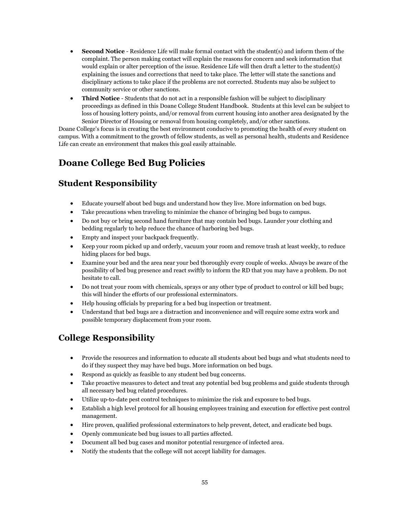- **Second Notice** Residence Life will make formal contact with the student(s) and inform them of the complaint. The person making contact will explain the reasons for concern and seek information that would explain or alter perception of the issue. Residence Life will then draft a letter to the student(s) explaining the issues and corrections that need to take place. The letter will state the sanctions and disciplinary actions to take place if the problems are not corrected. Students may also be subject to community service or other sanctions.
- **Third Notice** Students that do not act in a responsible fashion will be subject to disciplinary proceedings as defined in this Doane College Student Handbook. Students at this level can be subject to loss of housing lottery points, and/or removal from current housing into another area designated by the Senior Director of Housing or removal from housing completely, and/or other sanctions.

Doane College's focus is in creating the best environment conducive to promoting the health of every student on campus. With a commitment to the growth of fellow students, as well as personal health, students and Residence Life can create an environment that makes this goal easily attainable.

# **Doane College Bed Bug Policies**

## **Student Responsibility**

- Educate yourself about bed bugs and understand how they live. More information on bed bugs.
- Take precautions when traveling to minimize the chance of bringing bed bugs to campus.
- Do not buy or bring second hand furniture that may contain bed bugs. Launder your clothing and bedding regularly to help reduce the chance of harboring bed bugs.
- Empty and inspect your backpack frequently.
- Keep your room picked up and orderly, vacuum your room and remove trash at least weekly, to reduce hiding places for bed bugs.
- Examine your bed and the area near your bed thoroughly every couple of weeks. Always be aware of the possibility of bed bug presence and react swiftly to inform the RD that you may have a problem. Do not hesitate to call.
- Do not treat your room with chemicals, sprays or any other type of product to control or kill bed bugs; this will hinder the efforts of our professional exterminators.
- Help housing officials by preparing for a bed bug inspection or treatment.
- Understand that bed bugs are a distraction and inconvenience and will require some extra work and possible temporary displacement from your room.

## **College Responsibility**

- Provide the resources and information to educate all students about bed bugs and what students need to do if they suspect they may have bed bugs. More information on bed bugs.
- Respond as quickly as feasible to any student bed bug concerns.
- Take proactive measures to detect and treat any potential bed bug problems and guide students through all necessary bed bug related procedures.
- Utilize up-to-date pest control techniques to minimize the risk and exposure to bed bugs.
- Establish a high level protocol for all housing employees training and execution for effective pest control management.
- Hire proven, qualified professional exterminators to help prevent, detect, and eradicate bed bugs.
- Openly communicate bed bug issues to all parties affected.
- Document all bed bug cases and monitor potential resurgence of infected area.
- Notify the students that the college will not accept liability for damages.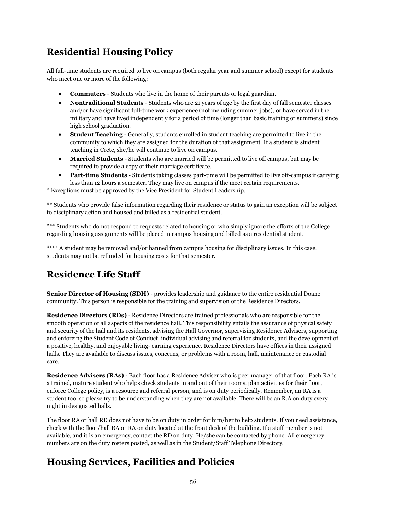# **Residential Housing Policy**

All full-time students are required to live on campus (both regular year and summer school) except for students who meet one or more of the following:

- **Commuters** Students who live in the home of their parents or legal guardian.
- **Nontraditional Students** Students who are 21 years of age by the first day of fall semester classes and/or have significant full-time work experience (not including summer jobs), or have served in the military and have lived independently for a period of time (longer than basic training or summers) since high school graduation.
- **Student Teaching** Generally, students enrolled in student teaching are permitted to live in the community to which they are assigned for the duration of that assignment. If a student is student teaching in Crete, she/he will continue to live on campus.
- **Married Students** Students who are married will be permitted to live off campus, but may be required to provide a copy of their marriage certificate.
- **Part-time Students** Students taking classes part-time will be permitted to live off-campus if carrying less than 12 hours a semester. They may live on campus if the meet certain requirements.

\* Exceptions must be approved by the Vice President for Student Leadership.

\*\* Students who provide false information regarding their residence or status to gain an exception will be subject to disciplinary action and housed and billed as a residential student.

\*\*\* Students who do not respond to requests related to housing or who simply ignore the efforts of the College regarding housing assignments will be placed in campus housing and billed as a residential student.

\*\*\*\* A student may be removed and/or banned from campus housing for disciplinary issues. In this case, students may not be refunded for housing costs for that semester.

# **Residence Life Staff**

**Senior Director of Housing (SDH)** - provides leadership and guidance to the entire residential Doane community. This person is responsible for the training and supervision of the Residence Directors.

**Residence Directors (RDs)** - Residence Directors are trained professionals who are responsible for the smooth operation of all aspects of the residence hall. This responsibility entails the assurance of physical safety and security of the hall and its residents, advising the Hall Governor, supervising Residence Advisers, supporting and enforcing the Student Code of Conduct, individual advising and referral for students, and the development of a positive, healthy, and enjoyable living- earning experience. Residence Directors have offices in their assigned halls. They are available to discuss issues, concerns, or problems with a room, hall, maintenance or custodial care.

**Residence Advisers (RAs)** - Each floor has a Residence Adviser who is peer manager of that floor. Each RA is a trained, mature student who helps check students in and out of their rooms, plan activities for their floor, enforce College policy, is a resource and referral person, and is on duty periodically. Remember, an RA is a student too, so please try to be understanding when they are not available. There will be an R.A on duty every night in designated halls.

The floor RA or hall RD does not have to be on duty in order for him/her to help students. If you need assistance, check with the floor/hall RA or RA on duty located at the front desk of the building. If a staff member is not available, and it is an emergency, contact the RD on duty. He/she can be contacted by phone. All emergency numbers are on the duty rosters posted, as well as in the Student/Staff Telephone Directory.

# **Housing Services, Facilities and Policies**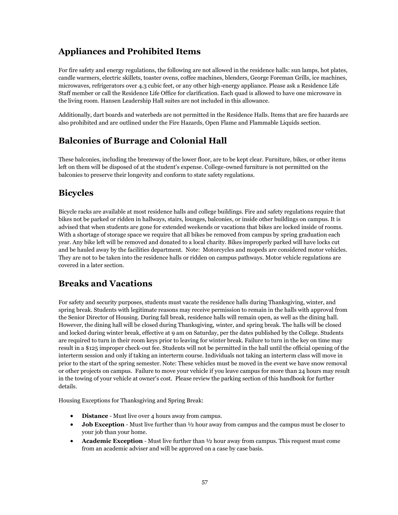#### **Appliances and Prohibited Items**

For fire safety and energy regulations, the following are not allowed in the residence halls: sun lamps, hot plates, candle warmers, electric skillets, toaster ovens, coffee machines, blenders, George Foreman Grills, ice machines, microwaves, refrigerators over 4.3 cubic feet, or any other high-energy appliance. Please ask a Residence Life Staff member or call the Residence Life Office for clarification. Each quad is allowed to have one microwave in the living room. Hansen Leadership Hall suites are not included in this allowance.

Additionally, dart boards and waterbeds are not permitted in the Residence Halls. Items that are fire hazards are also prohibited and are outlined under the Fire Hazards, Open Flame and Flammable Liquids section.

#### **Balconies of Burrage and Colonial Hall**

These balconies, including the breezeway of the lower floor, are to be kept clear. Furniture, bikes, or other items left on them will be disposed of at the student's expense. College-owned furniture is not permitted on the balconies to preserve their longevity and conform to state safety regulations.

#### **Bicycles**

Bicycle racks are available at most residence halls and college buildings. Fire and safety regulations require that bikes not be parked or ridden in hallways, stairs, lounges, balconies, or inside other buildings on campus. It is advised that when students are gone for extended weekends or vacations that bikes are locked inside of rooms. With a shortage of storage space we require that all bikes be removed from campus by spring graduation each year. Any bike left will be removed and donated to a local charity. Bikes improperly parked will have locks cut and be hauled away by the facilities department. Note: Motorcycles and mopeds are considered motor vehicles. They are not to be taken into the residence halls or ridden on campus pathways. Motor vehicle regulations are covered in a later section.

#### **Breaks and Vacations**

For safety and security purposes, students must vacate the residence halls during Thanksgiving, winter, and spring break. Students with legitimate reasons may receive permission to remain in the halls with approval from the Senior Director of Housing. During fall break, residence halls will remain open, as well as the dining hall. However, the dining hall will be closed during Thanksgiving, winter, and spring break. The halls will be closed and locked during winter break, effective at 9 am on Saturday, per the dates published by the College. Students are required to turn in their room keys prior to leaving for winter break. Failure to turn in the key on time may result in a \$125 improper check-out fee. Students will not be permitted in the hall until the official opening of the interterm session and only if taking an interterm course. Individuals not taking an interterm class will move in prior to the start of the spring semester. Note: These vehicles must be moved in the event we have snow removal or other projects on campus. Failure to move your vehicle if you leave campus for more than 24 hours may result in the towing of your vehicle at owner's cost. Please review the parking section of this handbook for further details.

Housing Exceptions for Thanksgiving and Spring Break:

- **• Distance** Must live over 4 hours away from campus.
- **Job Exception** Must live further than  $\frac{1}{2}$  hour away from campus and the campus must be closer to your job than your home.
- **Academic Exception** Must live further than ½ hour away from campus. This request must come from an academic adviser and will be approved on a case by case basis.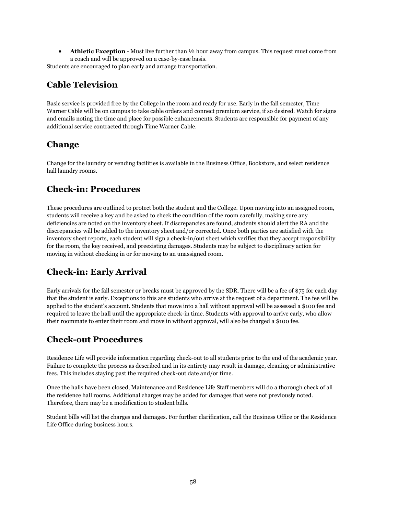**Athletic Exception** - Must live further than ½ hour away from campus. This request must come from a coach and will be approved on a case-by-case basis.

Students are encouraged to plan early and arrange transportation.

## **Cable Television**

Basic service is provided free by the College in the room and ready for use. Early in the fall semester, Time Warner Cable will be on campus to take cable orders and connect premium service, if so desired. Watch for signs and emails noting the time and place for possible enhancements. Students are responsible for payment of any additional service contracted through Time Warner Cable.

### **Change**

Change for the laundry or vending facilities is available in the Business Office, Bookstore, and select residence hall laundry rooms.

#### **Check-in: Procedures**

These procedures are outlined to protect both the student and the College. Upon moving into an assigned room, students will receive a key and be asked to check the condition of the room carefully, making sure any deficiencies are noted on the inventory sheet. If discrepancies are found, students should alert the RA and the discrepancies will be added to the inventory sheet and/or corrected. Once both parties are satisfied with the inventory sheet reports, each student will sign a check-in/out sheet which verifies that they accept responsibility for the room, the key received, and preexisting damages. Students may be subject to disciplinary action for moving in without checking in or for moving to an unassigned room.

#### **Check-in: Early Arrival**

Early arrivals for the fall semester or breaks must be approved by the SDR. There will be a fee of \$75 for each day that the student is early. Exceptions to this are students who arrive at the request of a department. The fee will be applied to the student's account. Students that move into a hall without approval will be assessed a \$100 fee and required to leave the hall until the appropriate check-in time. Students with approval to arrive early, who allow their roommate to enter their room and move in without approval, will also be charged a \$100 fee.

#### **Check-out Procedures**

Residence Life will provide information regarding check-out to all students prior to the end of the academic year. Failure to complete the process as described and in its entirety may result in damage, cleaning or administrative fees. This includes staying past the required check-out date and/or time.

Once the halls have been closed, Maintenance and Residence Life Staff members will do a thorough check of all the residence hall rooms. Additional charges may be added for damages that were not previously noted. Therefore, there may be a modification to student bills.

Student bills will list the charges and damages. For further clarification, call the Business Office or the Residence Life Office during business hours.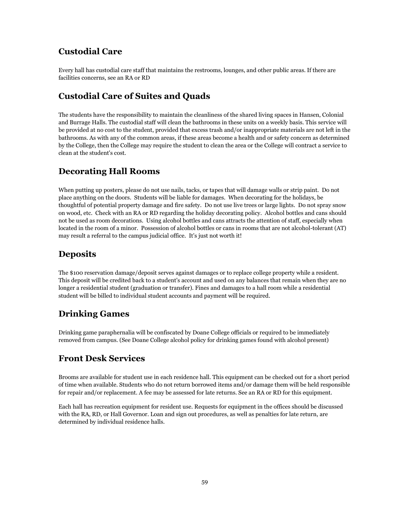#### **Custodial Care**

Every hall has custodial care staff that maintains the restrooms, lounges, and other public areas. If there are facilities concerns, see an RA or RD

### **Custodial Care of Suites and Quads**

The students have the responsibility to maintain the cleanliness of the shared living spaces in Hansen, Colonial and Burrage Halls. The custodial staff will clean the bathrooms in these units on a weekly basis. This service will be provided at no cost to the student, provided that excess trash and/or inappropriate materials are not left in the bathrooms. As with any of the common areas, if these areas become a health and or safety concern as determined by the College, then the College may require the student to clean the area or the College will contract a service to clean at the student's cost.

#### **Decorating Hall Rooms**

When putting up posters, please do not use nails, tacks, or tapes that will damage walls or strip paint. Do not place anything on the doors. Students will be liable for damages. When decorating for the holidays, be thoughtful of potential property damage and fire safety. Do not use live trees or large lights. Do not spray snow on wood, etc. Check with an RA or RD regarding the holiday decorating policy. Alcohol bottles and cans should not be used as room decorations. Using alcohol bottles and cans attracts the attention of staff, especially when located in the room of a minor. Possession of alcohol bottles or cans in rooms that are not alcohol-tolerant (AT) may result a referral to the campus judicial office. It's just not worth it!

### **Deposits**

The \$100 reservation damage/deposit serves against damages or to replace college property while a resident. This deposit will be credited back to a student's account and used on any balances that remain when they are no longer a residential student (graduation or transfer). Fines and damages to a hall room while a residential student will be billed to individual student accounts and payment will be required.

#### **Drinking Games**

Drinking game paraphernalia will be confiscated by Doane College officials or required to be immediately removed from campus. (See Doane College alcohol policy for drinking games found with alcohol present)

#### **Front Desk Services**

Brooms are available for student use in each residence hall. This equipment can be checked out for a short period of time when available. Students who do not return borrowed items and/or damage them will be held responsible for repair and/or replacement. A fee may be assessed for late returns. See an RA or RD for this equipment.

Each hall has recreation equipment for resident use. Requests for equipment in the offices should be discussed with the RA, RD, or Hall Governor. Loan and sign out procedures, as well as penalties for late return, are determined by individual residence halls.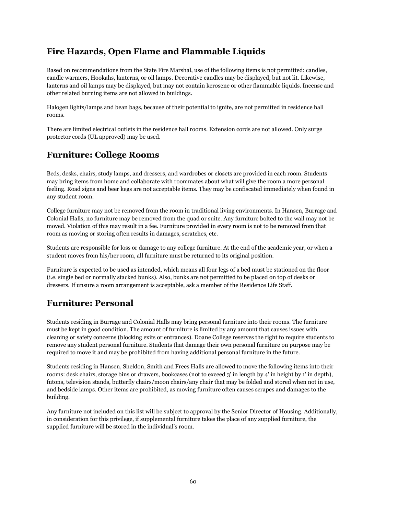#### **Fire Hazards, Open Flame and Flammable Liquids**

Based on recommendations from the State Fire Marshal, use of the following items is not permitted: candles, candle warmers, Hookahs, lanterns, or oil lamps. Decorative candles may be displayed, but not lit. Likewise, lanterns and oil lamps may be displayed, but may not contain kerosene or other flammable liquids. Incense and other related burning items are not allowed in buildings.

Halogen lights/lamps and bean bags, because of their potential to ignite, are not permitted in residence hall rooms.

There are limited electrical outlets in the residence hall rooms. Extension cords are not allowed. Only surge protector cords (UL approved) may be used.

#### **Furniture: College Rooms**

Beds, desks, chairs, study lamps, and dressers, and wardrobes or closets are provided in each room. Students may bring items from home and collaborate with roommates about what will give the room a more personal feeling. Road signs and beer kegs are not acceptable items. They may be confiscated immediately when found in any student room.

College furniture may not be removed from the room in traditional living environments. In Hansen, Burrage and Colonial Halls, no furniture may be removed from the quad or suite. Any furniture bolted to the wall may not be moved. Violation of this may result in a fee. Furniture provided in every room is not to be removed from that room as moving or storing often results in damages, scratches, etc.

Students are responsible for loss or damage to any college furniture. At the end of the academic year, or when a student moves from his/her room, all furniture must be returned to its original position.

Furniture is expected to be used as intended, which means all four legs of a bed must be stationed on the floor (i.e. single bed or normally stacked bunks). Also, bunks are not permitted to be placed on top of desks or dressers. If unsure a room arrangement is acceptable, ask a member of the Residence Life Staff.

#### **Furniture: Personal**

Students residing in Burrage and Colonial Halls may bring personal furniture into their rooms. The furniture must be kept in good condition. The amount of furniture is limited by any amount that causes issues with cleaning or safety concerns (blocking exits or entrances). Doane College reserves the right to require students to remove any student personal furniture. Students that damage their own personal furniture on purpose may be required to move it and may be prohibited from having additional personal furniture in the future.

Students residing in Hansen, Sheldon, Smith and Frees Halls are allowed to move the following items into their rooms: desk chairs, storage bins or drawers, bookcases (not to exceed 3' in length by 4' in height by 1' in depth), futons, television stands, butterfly chairs/moon chairs/any chair that may be folded and stored when not in use, and bedside lamps. Other items are prohibited, as moving furniture often causes scrapes and damages to the building.

Any furniture not included on this list will be subject to approval by the Senior Director of Housing. Additionally, in consideration for this privilege, if supplemental furniture takes the place of any supplied furniture, the supplied furniture will be stored in the individual's room.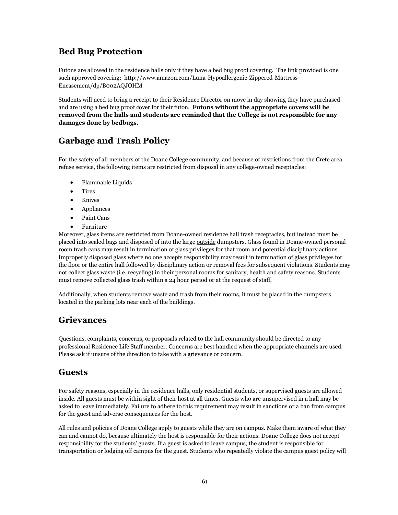#### **Bed Bug Protection**

Futons are allowed in the residence halls only if they have a bed bug proof covering. The link provided is one such approved covering: http://www.amazon.com/Luna-Hypoallergenic-Zippered-Mattress-Encasement/dp/B002AQJOHM

Students will need to bring a receipt to their Residence Director on move in day showing they have purchased and are using a bed bug proof cover for their futon. **Futons without the appropriate covers will be removed from the halls and students are reminded that the College is not responsible for any damages done by bedbugs.** 

### **Garbage and Trash Policy**

For the safety of all members of the Doane College community, and because of restrictions from the Crete area refuse service, the following items are restricted from disposal in any college-owned receptacles:

- Flammable Liquids
- Tires
- Knives
- Appliances
- Paint Cans
- Furniture

Moreover, glass items are restricted from Doane-owned residence hall trash receptacles, but instead must be placed into sealed bags and disposed of into the large outside dumpsters. Glass found in Doane-owned personal room trash cans may result in termination of glass privileges for that room and potential disciplinary actions. Improperly disposed glass where no one accepts responsibility may result in termination of glass privileges for the floor or the entire hall followed by disciplinary action or removal fees for subsequent violations. Students may not collect glass waste (i.e. recycling) in their personal rooms for sanitary, health and safety reasons. Students must remove collected glass trash within a 24 hour period or at the request of staff.

Additionally, when students remove waste and trash from their rooms, it must be placed in the dumpsters located in the parking lots near each of the buildings.

#### **Grievances**

Questions, complaints, concerns, or proposals related to the hall community should be directed to any professional Residence Life Staff member. Concerns are best handled when the appropriate channels are used. Please ask if unsure of the direction to take with a grievance or concern.

#### **Guests**

For safety reasons, especially in the residence halls, only residential students, or supervised guests are allowed inside. All guests must be within sight of their host at all times. Guests who are unsupervised in a hall may be asked to leave immediately. Failure to adhere to this requirement may result in sanctions or a ban from campus for the guest and adverse consequences for the host.

All rules and policies of Doane College apply to guests while they are on campus. Make them aware of what they can and cannot do, because ultimately the host is responsible for their actions. Doane College does not accept responsibility for the students' guests. If a guest is asked to leave campus, the student is responsible for transportation or lodging off campus for the guest. Students who repeatedly violate the campus guest policy will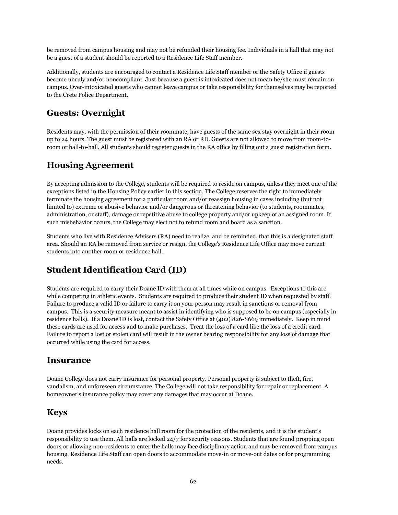be removed from campus housing and may not be refunded their housing fee. Individuals in a hall that may not be a guest of a student should be reported to a Residence Life Staff member.

Additionally, students are encouraged to contact a Residence Life Staff member or the Safety Office if guests become unruly and/or noncompliant. Just because a guest is intoxicated does not mean he/she must remain on campus. Over-intoxicated guests who cannot leave campus or take responsibility for themselves may be reported to the Crete Police Department.

#### **Guests: Overnight**

Residents may, with the permission of their roommate, have guests of the same sex stay overnight in their room up to 24 hours. The guest must be registered with an RA or RD. Guests are not allowed to move from room-toroom or hall-to-hall. All students should register guests in the RA office by filling out a guest registration form.

#### **Housing Agreement**

By accepting admission to the College, students will be required to reside on campus, unless they meet one of the exceptions listed in the Housing Policy earlier in this section. The College reserves the right to immediately terminate the housing agreement for a particular room and/or reassign housing in cases including (but not limited to) extreme or abusive behavior and/or dangerous or threatening behavior (to students, roommates, administration, or staff), damage or repetitive abuse to college property and/or upkeep of an assigned room. If such misbehavior occurs, the College may elect not to refund room and board as a sanction.

Students who live with Residence Advisers (RA) need to realize, and be reminded, that this is a designated staff area. Should an RA be removed from service or resign, the College's Residence Life Office may move current students into another room or residence hall.

#### **Student Identification Card (ID)**

Students are required to carry their Doane ID with them at all times while on campus. Exceptions to this are while competing in athletic events. Students are required to produce their student ID when requested by staff. Failure to produce a valid ID or failure to carry it on your person may result in sanctions or removal from campus. This is a security measure meant to assist in identifying who is supposed to be on campus (especially in residence halls). If a Doane ID is lost, contact the Safety Office at (402) 826-8669 immediately. Keep in mind these cards are used for access and to make purchases. Treat the loss of a card like the loss of a credit card. Failure to report a lost or stolen card will result in the owner bearing responsibility for any loss of damage that occurred while using the card for access.

#### **Insurance**

Doane College does not carry insurance for personal property. Personal property is subject to theft, fire, vandalism, and unforeseen circumstance. The College will not take responsibility for repair or replacement. A homeowner's insurance policy may cover any damages that may occur at Doane.

#### **Keys**

Doane provides locks on each residence hall room for the protection of the residents, and it is the student's responsibility to use them. All halls are locked 24/7 for security reasons. Students that are found propping open doors or allowing non-residents to enter the halls may face disciplinary action and may be removed from campus housing. Residence Life Staff can open doors to accommodate move-in or move-out dates or for programming needs.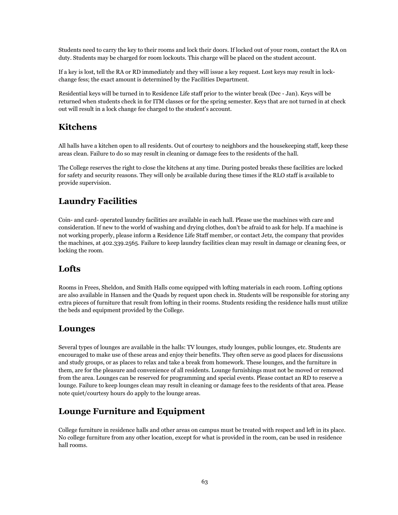Students need to carry the key to their rooms and lock their doors. If locked out of your room, contact the RA on duty. Students may be charged for room lockouts. This charge will be placed on the student account.

If a key is lost, tell the RA or RD immediately and they will issue a key request. Lost keys may result in lockchange fess; the exact amount is determined by the Facilities Department.

Residential keys will be turned in to Residence Life staff prior to the winter break (Dec - Jan). Keys will be returned when students check in for ITM classes or for the spring semester. Keys that are not turned in at check out will result in a lock change fee charged to the student's account.

#### **Kitchens**

All halls have a kitchen open to all residents. Out of courtesy to neighbors and the housekeeping staff, keep these areas clean. Failure to do so may result in cleaning or damage fees to the residents of the hall.

The College reserves the right to close the kitchens at any time. During posted breaks these facilities are locked for safety and security reasons. They will only be available during these times if the RLO staff is available to provide supervision.

#### **Laundry Facilities**

Coin- and card- operated laundry facilities are available in each hall. Please use the machines with care and consideration. If new to the world of washing and drying clothes, don't be afraid to ask for help. If a machine is not working properly, please inform a Residence Life Staff member, or contact Jetz, the company that provides the machines, at 402.339.2565. Failure to keep laundry facilities clean may result in damage or cleaning fees, or locking the room.

#### **Lofts**

Rooms in Frees, Sheldon, and Smith Halls come equipped with lofting materials in each room. Lofting options are also available in Hansen and the Quads by request upon check in. Students will be responsible for storing any extra pieces of furniture that result from lofting in their rooms. Students residing the residence halls must utilize the beds and equipment provided by the College.

#### **Lounges**

Several types of lounges are available in the halls: TV lounges, study lounges, public lounges, etc. Students are encouraged to make use of these areas and enjoy their benefits. They often serve as good places for discussions and study groups, or as places to relax and take a break from homework. These lounges, and the furniture in them, are for the pleasure and convenience of all residents. Lounge furnishings must not be moved or removed from the area. Lounges can be reserved for programming and special events. Please contact an RD to reserve a lounge. Failure to keep lounges clean may result in cleaning or damage fees to the residents of that area. Please note quiet/courtesy hours do apply to the lounge areas.

#### **Lounge Furniture and Equipment**

College furniture in residence halls and other areas on campus must be treated with respect and left in its place. No college furniture from any other location, except for what is provided in the room, can be used in residence hall rooms.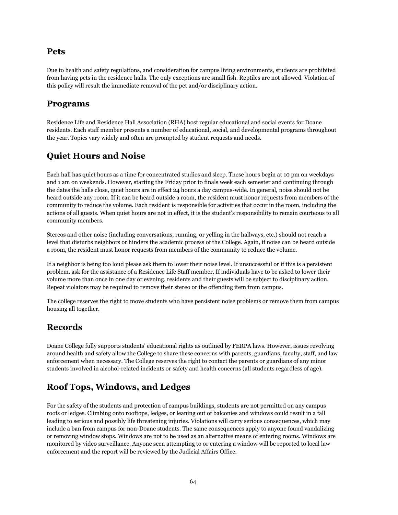#### **Pets**

Due to health and safety regulations, and consideration for campus living environments, students are prohibited from having pets in the residence halls. The only exceptions are small fish. Reptiles are not allowed. Violation of this policy will result the immediate removal of the pet and/or disciplinary action.

#### **Programs**

Residence Life and Residence Hall Association (RHA) host regular educational and social events for Doane residents. Each staff member presents a number of educational, social, and developmental programs throughout the year. Topics vary widely and often are prompted by student requests and needs.

#### **Quiet Hours and Noise**

Each hall has quiet hours as a time for concentrated studies and sleep. These hours begin at 10 pm on weekdays and 1 am on weekends. However, starting the Friday prior to finals week each semester and continuing through the dates the halls close, quiet hours are in effect 24 hours a day campus-wide. In general, noise should not be heard outside any room. If it can be heard outside a room, the resident must honor requests from members of the community to reduce the volume. Each resident is responsible for activities that occur in the room, including the actions of all guests. When quiet hours are not in effect, it is the student's responsibility to remain courteous to all community members.

Stereos and other noise (including conversations, running, or yelling in the hallways, etc.) should not reach a level that disturbs neighbors or hinders the academic process of the College. Again, if noise can be heard outside a room, the resident must honor requests from members of the community to reduce the volume.

If a neighbor is being too loud please ask them to lower their noise level. If unsuccessful or if this is a persistent problem, ask for the assistance of a Residence Life Staff member. If individuals have to be asked to lower their volume more than once in one day or evening, residents and their guests will be subject to disciplinary action. Repeat violators may be required to remove their stereo or the offending item from campus.

The college reserves the right to move students who have persistent noise problems or remove them from campus housing all together.

#### **Records**

Doane College fully supports students' educational rights as outlined by FERPA laws. However, issues revolving around health and safety allow the College to share these concerns with parents, guardians, faculty, staff, and law enforcement when necessary. The College reserves the right to contact the parents or guardians of any minor students involved in alcohol-related incidents or safety and health concerns (all students regardless of age).

#### **Roof Tops, Windows, and Ledges**

For the safety of the students and protection of campus buildings, students are not permitted on any campus roofs or ledges. Climbing onto rooftops, ledges, or leaning out of balconies and windows could result in a fall leading to serious and possibly life threatening injuries. Violations will carry serious consequences, which may include a ban from campus for non-Doane students. The same consequences apply to anyone found vandalizing or removing window stops. Windows are not to be used as an alternative means of entering rooms. Windows are monitored by video surveillance. Anyone seen attempting to or entering a window will be reported to local law enforcement and the report will be reviewed by the Judicial Affairs Office.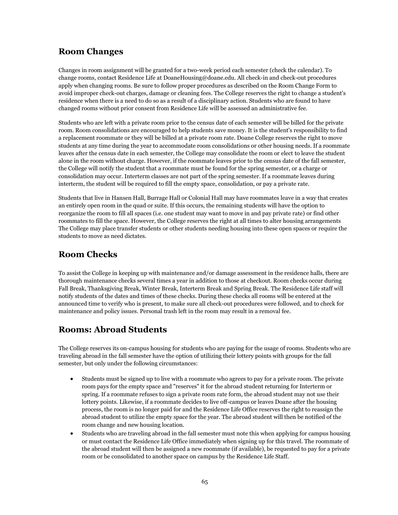#### **Room Changes**

Changes in room assignment will be granted for a two-week period each semester (check the calendar). To change rooms, contact Residence Life at DoaneHousing@doane.edu. All check-in and check-out procedures apply when changing rooms. Be sure to follow proper procedures as described on the Room Change Form to avoid improper check-out charges, damage or cleaning fees. The College reserves the right to change a student's residence when there is a need to do so as a result of a disciplinary action. Students who are found to have changed rooms without prior consent from Residence Life will be assessed an administrative fee.

Students who are left with a private room prior to the census date of each semester will be billed for the private room. Room consolidations are encouraged to help students save money. It is the student's responsibility to find a replacement roommate or they will be billed at a private room rate. Doane College reserves the right to move students at any time during the year to accommodate room consolidations or other housing needs. If a roommate leaves after the census date in each semester, the College may consolidate the room or elect to leave the student alone in the room without charge. However, if the roommate leaves prior to the census date of the fall semester, the College will notify the student that a roommate must be found for the spring semester, or a charge or consolidation may occur. Interterm classes are not part of the spring semester. If a roommate leaves during interterm, the student will be required to fill the empty space, consolidation, or pay a private rate.

Students that live in Hansen Hall, Burrage Hall or Colonial Hall may have roommates leave in a way that creates an entirely open room in the quad or suite. If this occurs, the remaining students will have the option to reorganize the room to fill all spaces (i.e. one student may want to move in and pay private rate) or find other roommates to fill the space. However, the College reserves the right at all times to alter housing arrangements The College may place transfer students or other students needing housing into these open spaces or require the students to move as need dictates.

## **Room Checks**

To assist the College in keeping up with maintenance and/or damage assessment in the residence halls, there are thorough maintenance checks several times a year in addition to those at checkout. Room checks occur during Fall Break, Thanksgiving Break, Winter Break, Interterm Break and Spring Break. The Residence Life staff will notify students of the dates and times of these checks. During these checks all rooms will be entered at the announced time to verify who is present, to make sure all check-out procedures were followed, and to check for maintenance and policy issues. Personal trash left in the room may result in a removal fee.

#### **Rooms: Abroad Students**

The College reserves its on-campus housing for students who are paying for the usage of rooms. Students who are traveling abroad in the fall semester have the option of utilizing their lottery points with groups for the fall semester, but only under the following circumstances:

- Students must be signed up to live with a roommate who agrees to pay for a private room. The private room pays for the empty space and "reserves" it for the abroad student returning for Interterm or spring. If a roommate refuses to sign a private room rate form, the abroad student may not use their lottery points. Likewise, if a roommate decides to live off-campus or leaves Doane after the housing process, the room is no longer paid for and the Residence Life Office reserves the right to reassign the abroad student to utilize the empty space for the year. The abroad student will then be notified of the room change and new housing location.
- Students who are traveling abroad in the fall semester must note this when applying for campus housing or must contact the Residence Life Office immediately when signing up for this travel. The roommate of the abroad student will then be assigned a new roommate (if available), be requested to pay for a private room or be consolidated to another space on campus by the Residence Life Staff.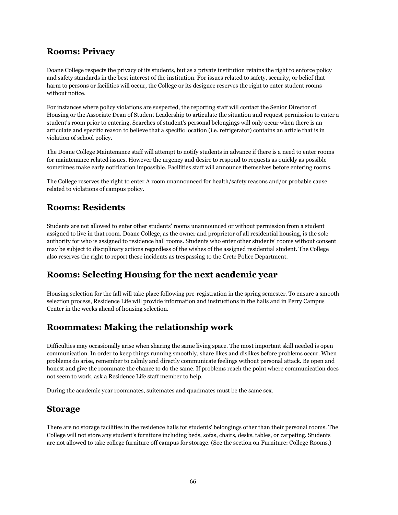#### **Rooms: Privacy**

Doane College respects the privacy of its students, but as a private institution retains the right to enforce policy and safety standards in the best interest of the institution. For issues related to safety, security, or belief that harm to persons or facilities will occur, the College or its designee reserves the right to enter student rooms without notice.

For instances where policy violations are suspected, the reporting staff will contact the Senior Director of Housing or the Associate Dean of Student Leadership to articulate the situation and request permission to enter a student's room prior to entering. Searches of student's personal belongings will only occur when there is an articulate and specific reason to believe that a specific location (i.e. refrigerator) contains an article that is in violation of school policy.

The Doane College Maintenance staff will attempt to notify students in advance if there is a need to enter rooms for maintenance related issues. However the urgency and desire to respond to requests as quickly as possible sometimes make early notification impossible. Facilities staff will announce themselves before entering rooms.

The College reserves the right to enter A room unannounced for health/safety reasons and/or probable cause related to violations of campus policy.

#### **Rooms: Residents**

Students are not allowed to enter other students' rooms unannounced or without permission from a student assigned to live in that room. Doane College, as the owner and proprietor of all residential housing, is the sole authority for who is assigned to residence hall rooms. Students who enter other students' rooms without consent may be subject to disciplinary actions regardless of the wishes of the assigned residential student. The College also reserves the right to report these incidents as trespassing to the Crete Police Department.

#### **Rooms: Selecting Housing for the next academic year**

Housing selection for the fall will take place following pre-registration in the spring semester. To ensure a smooth selection process, Residence Life will provide information and instructions in the halls and in Perry Campus Center in the weeks ahead of housing selection.

#### **Roommates: Making the relationship work**

Difficulties may occasionally arise when sharing the same living space. The most important skill needed is open communication. In order to keep things running smoothly, share likes and dislikes before problems occur. When problems do arise, remember to calmly and directly communicate feelings without personal attack. Be open and honest and give the roommate the chance to do the same. If problems reach the point where communication does not seem to work, ask a Residence Life staff member to help.

During the academic year roommates, suitemates and quadmates must be the same sex.

#### **Storage**

There are no storage facilities in the residence halls for students' belongings other than their personal rooms. The College will not store any student's furniture including beds, sofas, chairs, desks, tables, or carpeting. Students are not allowed to take college furniture off campus for storage. (See the section on Furniture: College Rooms.)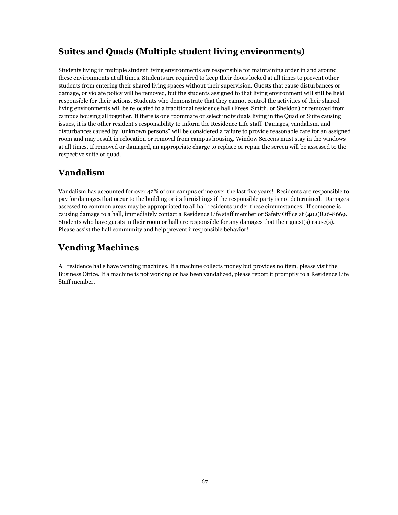#### **Suites and Quads (Multiple student living environments)**

Students living in multiple student living environments are responsible for maintaining order in and around these environments at all times. Students are required to keep their doors locked at all times to prevent other students from entering their shared living spaces without their supervision. Guests that cause disturbances or damage, or violate policy will be removed, but the students assigned to that living environment will still be held responsible for their actions. Students who demonstrate that they cannot control the activities of their shared living environments will be relocated to a traditional residence hall (Frees, Smith, or Sheldon) or removed from campus housing all together. If there is one roommate or select individuals living in the Quad or Suite causing issues, it is the other resident's responsibility to inform the Residence Life staff. Damages, vandalism, and disturbances caused by "unknown persons" will be considered a failure to provide reasonable care for an assigned room and may result in relocation or removal from campus housing. Window Screens must stay in the windows at all times. If removed or damaged, an appropriate charge to replace or repair the screen will be assessed to the respective suite or quad.

#### **Vandalism**

Vandalism has accounted for over 42% of our campus crime over the last five years! Residents are responsible to pay for damages that occur to the building or its furnishings if the responsible party is not determined. Damages assessed to common areas may be appropriated to all hall residents under these circumstances. If someone is causing damage to a hall, immediately contact a Residence Life staff member or Safety Office at (402)826-8669. Students who have guests in their room or hall are responsible for any damages that their guest(s) cause(s). Please assist the hall community and help prevent irresponsible behavior!

### **Vending Machines**

All residence halls have vending machines. If a machine collects money but provides no item, please visit the Business Office. If a machine is not working or has been vandalized, please report it promptly to a Residence Life Staff member.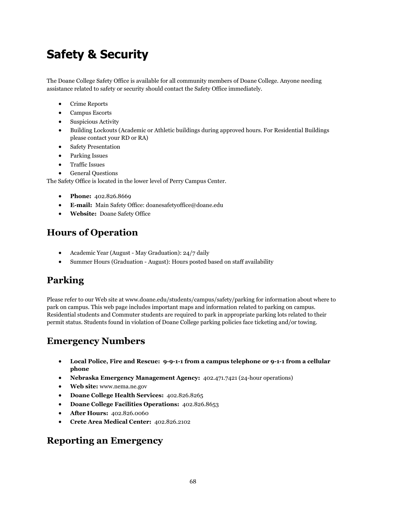# **Safety & Security**

The Doane College Safety Office is available for all community members of Doane College. Anyone needing assistance related to safety or security should contact the Safety Office immediately.

- Crime Reports
- Campus Escorts
- Suspicious Activity
- Building Lockouts (Academic or Athletic buildings during approved hours. For Residential Buildings please contact your RD or RA)
- Safety Presentation
- Parking Issues
- Traffic Issues
- General Questions

The Safety Office is located in the lower level of Perry Campus Center.

- **Phone:** 402.826.8669
- **E-mail:** Main Safety Office: doanesafetyoffice@doane.edu
- **Website:** Doane Safety Office

# **Hours of Operation**

- Academic Year (August May Graduation): 24/7 daily
- Summer Hours (Graduation August): Hours posted based on staff availability

# **Parking**

Please refer to our Web site at www.doane.edu/students/campus/safety/parking for information about where to park on campus. This web page includes important maps and information related to parking on campus. Residential students and Commuter students are required to park in appropriate parking lots related to their permit status. Students found in violation of Doane College parking policies face ticketing and/or towing.

## **Emergency Numbers**

- **Local Police, Fire and Rescue: 9-9-1-1 from a campus telephone or 9-1-1 from a cellular phone**
- **Nebraska Emergency Management Agency:** 402.471.7421 (24-hour operations)
- **Web site:** www.nema.ne.gov
- **Doane College Health Services:** 402.826.8265
- **Doane College Facilities Operations:** 402.826.8653
- **After Hours:** 402.826.0060
- **Crete Area Medical Center:** 402.826.2102

#### **Reporting an Emergency**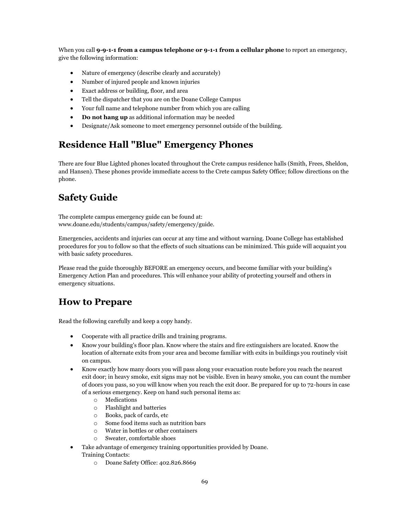When you call **9-9-1-1 from a campus telephone or 9-1-1 from a cellular phone** to report an emergency, give the following information:

- Nature of emergency (describe clearly and accurately)
- Number of injured people and known injuries
- Exact address or building, floor, and area
- Tell the dispatcher that you are on the Doane College Campus
- Your full name and telephone number from which you are calling
- **Do not hang up** as additional information may be needed
- Designate/Ask someone to meet emergency personnel outside of the building.

# **Residence Hall "Blue" Emergency Phones**

There are four Blue Lighted phones located throughout the Crete campus residence halls (Smith, Frees, Sheldon, and Hansen). These phones provide immediate access to the Crete campus Safety Office; follow directions on the phone.

# **Safety Guide**

The complete campus emergency guide can be found at: www.doane.edu/students/campus/safety/emergency/guide.

Emergencies, accidents and injuries can occur at any time and without warning. Doane College has established procedures for you to follow so that the effects of such situations can be minimized. This guide will acquaint you with basic safety procedures.

Please read the guide thoroughly BEFORE an emergency occurs, and become familiar with your building's Emergency Action Plan and procedures. This will enhance your ability of protecting yourself and others in emergency situations.

## **How to Prepare**

Read the following carefully and keep a copy handy.

- Cooperate with all practice drills and training programs.
- Know your building's floor plan. Know where the stairs and fire extinguishers are located. Know the location of alternate exits from your area and become familiar with exits in buildings you routinely visit on campus.
- Know exactly how many doors you will pass along your evacuation route before you reach the nearest exit door; in heavy smoke, exit signs may not be visible. Even in heavy smoke, you can count the number of doors you pass, so you will know when you reach the exit door. Be prepared for up to 72-hours in case of a serious emergency. Keep on hand such personal items as:
	- o Medications
	- o Flashlight and batteries
	- o Books, pack of cards, etc
	- o Some food items such as nutrition bars
	- o Water in bottles or other containers
	- o Sweater, comfortable shoes
- Take advantage of emergency training opportunities provided by Doane. Training Contacts:
	- o Doane Safety Office: 402.826.8669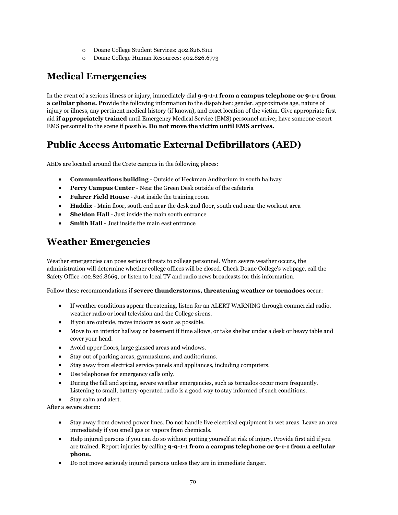- o Doane College Student Services: 402.826.8111
- o Doane College Human Resources: 402.826.6773

# **Medical Emergencies**

In the event of a serious illness or injury, immediately dial **9-9-1-1 from a campus telephone or 9-1-1 from a cellular phone. P**rovide the following information to the dispatcher: gender, approximate age, nature of injury or illness, any pertinent medical history (if known), and exact location of the victim. Give appropriate first aid **if appropriately trained** until Emergency Medical Service (EMS) personnel arrive; have someone escort EMS personnel to the scene if possible. **Do not move the victim until EMS arrives.**

# **Public Access Automatic External Defibrillators (AED)**

AEDs are located around the Crete campus in the following places:

- **Communications building** Outside of Heckman Auditorium in south hallway
- **Perry Campus Center** Near the Green Desk outside of the cafeteria
- **Fuhrer Field House** Just inside the training room
- **Haddix** Main floor, south end near the desk 2nd floor, south end near the workout area
- **Sheldon Hall** Just inside the main south entrance
- **Smith Hall** Just inside the main east entrance

# **Weather Emergencies**

Weather emergencies can pose serious threats to college personnel. When severe weather occurs, the administration will determine whether college offices will be closed. Check Doane College's webpage, call the Safety Office 402.826.8669, or listen to local TV and radio news broadcasts for this information.

Follow these recommendations if **severe thunderstorms, threatening weather or tornadoes** occur:

- If weather conditions appear threatening, listen for an ALERT WARNING through commercial radio, weather radio or local television and the College sirens.
- If you are outside, move indoors as soon as possible.
- Move to an interior hallway or basement if time allows, or take shelter under a desk or heavy table and cover your head.
- Avoid upper floors, large glassed areas and windows.
- Stay out of parking areas, gymnasiums, and auditoriums.
- Stay away from electrical service panels and appliances, including computers.
- Use telephones for emergency calls only.
- During the fall and spring, severe weather emergencies, such as tornados occur more frequently. Listening to small, battery-operated radio is a good way to stay informed of such conditions.
- Stay calm and alert.

After a severe storm:

- Stay away from downed power lines. Do not handle live electrical equipment in wet areas. Leave an area immediately if you smell gas or vapors from chemicals.
- Help injured persons if you can do so without putting yourself at risk of injury. Provide first aid if you are trained. Report injuries by calling **9-9-1-1 from a campus telephone or 9-1-1 from a cellular phone.**
- Do not move seriously injured persons unless they are in immediate danger.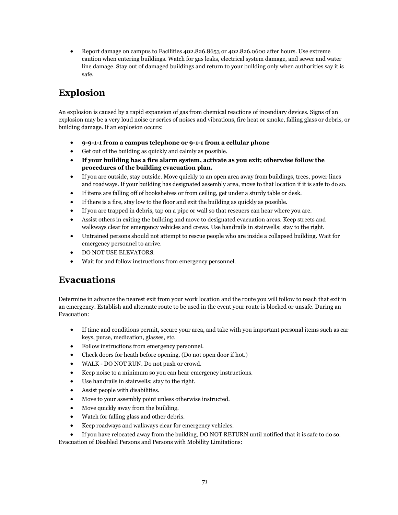Report damage on campus to Facilities 402.826.8653 or 402.826.0600 after hours. Use extreme caution when entering buildings. Watch for gas leaks, electrical system damage, and sewer and water line damage. Stay out of damaged buildings and return to your building only when authorities say it is safe.

# **Explosion**

An explosion is caused by a rapid expansion of gas from chemical reactions of incendiary devices. Signs of an explosion may be a very loud noise or series of noises and vibrations, fire heat or smoke, falling glass or debris, or building damage. If an explosion occurs:

- **9-9-1-1 from a campus telephone or 9-1-1 from a cellular phone**
- Get out of the building as quickly and calmly as possible.
- **If your building has a fire alarm system, activate as you exit; otherwise follow the procedures of the building evacuation plan.**
- If you are outside, stay outside. Move quickly to an open area away from buildings, trees, power lines and roadways. If your building has designated assembly area, move to that location if it is safe to do so.
- If items are falling off of bookshelves or from ceiling, get under a sturdy table or desk.
- If there is a fire, stay low to the floor and exit the building as quickly as possible.
- If you are trapped in debris, tap on a pipe or wall so that rescuers can hear where you are.
- Assist others in exiting the building and move to designated evacuation areas. Keep streets and walkways clear for emergency vehicles and crews. Use handrails in stairwells; stay to the right.
- Untrained persons should not attempt to rescue people who are inside a collapsed building. Wait for emergency personnel to arrive.
- DO NOT USE ELEVATORS.
- Wait for and follow instructions from emergency personnel.

## **Evacuations**

Determine in advance the nearest exit from your work location and the route you will follow to reach that exit in an emergency. Establish and alternate route to be used in the event your route is blocked or unsafe. During an Evacuation:

- If time and conditions permit, secure your area, and take with you important personal items such as car keys, purse, medication, glasses, etc.
- Follow instructions from emergency personnel.
- Check doors for heath before opening. (Do not open door if hot.)
- WALK DO NOT RUN. Do not push or crowd.
- Keep noise to a minimum so you can hear emergency instructions.
- Use handrails in stairwells; stay to the right.
- Assist people with disabilities.
- Move to your assembly point unless otherwise instructed.
- Move quickly away from the building.
- Watch for falling glass and other debris.
- Keep roadways and walkways clear for emergency vehicles.
- If you have relocated away from the building, DO NOT RETURN until notified that it is safe to do so.

Evacuation of Disabled Persons and Persons with Mobility Limitations: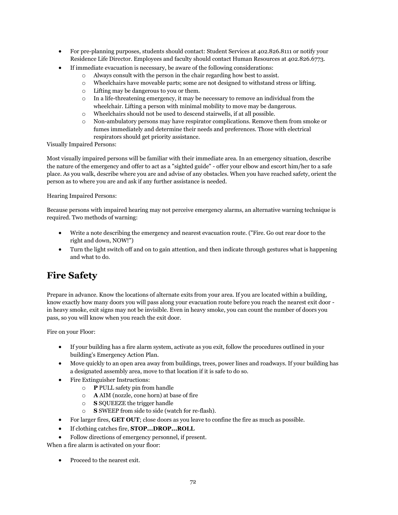- For pre-planning purposes, students should contact: Student Services at 402.826.8111 or notify your Residence Life Director. Employees and faculty should contact Human Resources at 402.826.6773.
- If immediate evacuation is necessary, be aware of the following considerations:
	- o Always consult with the person in the chair regarding how best to assist.
	- o Wheelchairs have moveable parts; some are not designed to withstand stress or lifting.
	- o Lifting may be dangerous to you or them.
	- o In a life-threatening emergency, it may be necessary to remove an individual from the wheelchair. Lifting a person with minimal mobility to move may be dangerous.
	- o Wheelchairs should not be used to descend stairwells, if at all possible.
	- o Non-ambulatory persons may have respirator complications. Remove them from smoke or fumes immediately and determine their needs and preferences. Those with electrical respirators should get priority assistance.

Visually Impaired Persons:

Most visually impaired persons will be familiar with their immediate area. In an emergency situation, describe the nature of the emergency and offer to act as a "sighted guide" - offer your elbow and escort him/her to a safe place. As you walk, describe where you are and advise of any obstacles. When you have reached safety, orient the person as to where you are and ask if any further assistance is needed.

Hearing Impaired Persons:

Because persons with impaired hearing may not perceive emergency alarms, an alternative warning technique is required. Two methods of warning:

- Write a note describing the emergency and nearest evacuation route. ("Fire. Go out rear door to the right and down, NOW!")
- Turn the light switch off and on to gain attention, and then indicate through gestures what is happening and what to do.

## **Fire Safety**

Prepare in advance. Know the locations of alternate exits from your area. If you are located within a building, know exactly how many doors you will pass along your evacuation route before you reach the nearest exit door in heavy smoke, exit signs may not be invisible. Even in heavy smoke, you can count the number of doors you pass, so you will know when you reach the exit door.

Fire on your Floor:

- If your building has a fire alarm system, activate as you exit, follow the procedures outlined in your building's Emergency Action Plan.
- Move quickly to an open area away from buildings, trees, power lines and roadways. If your building has a designated assembly area, move to that location if it is safe to do so.
- Fire Extinguisher Instructions:
	- o **P** PULL safety pin from handle
	- o **A** AIM (nozzle, cone horn) at base of fire
	- o **S** SQUEEZE the trigger handle
	- o **S** SWEEP from side to side (watch for re-flash).
- For larger fires, **GET OUT**; close doors as you leave to confine the fire as much as possible.
- If clothing catches fire, **STOP...DROP...ROLL**
- Follow directions of emergency personnel, if present.

When a fire alarm is activated on your floor:

• Proceed to the nearest exit.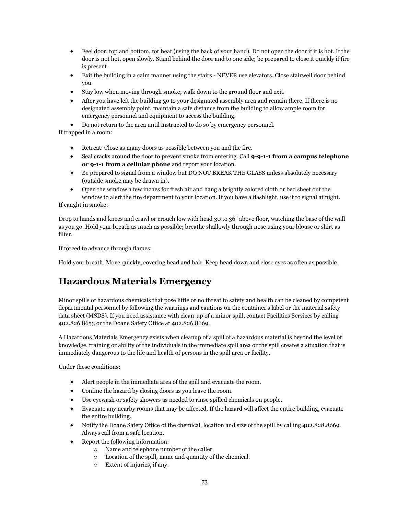- Feel door, top and bottom, for heat (using the back of your hand). Do not open the door if it is hot. If the door is not hot, open slowly. Stand behind the door and to one side; be prepared to close it quickly if fire is present.
- Exit the building in a calm manner using the stairs NEVER use elevators. Close stairwell door behind you.
- Stay low when moving through smoke; walk down to the ground floor and exit.
- After you have left the building go to your designated assembly area and remain there. If there is no designated assembly point, maintain a safe distance from the building to allow ample room for emergency personnel and equipment to access the building.
- Do not return to the area until instructed to do so by emergency personnel.

If trapped in a room:

- Retreat: Close as many doors as possible between you and the fire.
- Seal cracks around the door to prevent smoke from entering. Call **9-9-1-1 from a campus telephone or 9-1-1 from a cellular phone** and report your location.
- Be prepared to signal from a window but DO NOT BREAK THE GLASS unless absolutely necessary (outside smoke may be drawn in).
- Open the window a few inches for fresh air and hang a brightly colored cloth or bed sheet out the window to alert the fire department to your location. If you have a flashlight, use it to signal at night.

If caught in smoke:

Drop to hands and knees and crawl or crouch low with head 30 to 36" above floor, watching the base of the wall as you go. Hold your breath as much as possible; breathe shallowly through nose using your blouse or shirt as filter.

If forced to advance through flames:

Hold your breath. Move quickly, covering head and hair. Keep head down and close eyes as often as possible.

# **Hazardous Materials Emergency**

Minor spills of hazardous chemicals that pose little or no threat to safety and health can be cleaned by competent departmental personnel by following the warnings and cautions on the container's label or the material safety data sheet (MSDS). If you need assistance with clean-up of a minor spill, contact Facilities Services by calling 402.826.8653 or the Doane Safety Office at 402.826.8669.

A Hazardous Materials Emergency exists when cleanup of a spill of a hazardous material is beyond the level of knowledge, training or ability of the individuals in the immediate spill area or the spill creates a situation that is immediately dangerous to the life and health of persons in the spill area or facility.

Under these conditions:

- Alert people in the immediate area of the spill and evacuate the room.
- Confine the hazard by closing doors as you leave the room.
- Use eyewash or safety showers as needed to rinse spilled chemicals on people.
- Evacuate any nearby rooms that may be affected. If the hazard will affect the entire building, evacuate the entire building.
- Notify the Doane Safety Office of the chemical, location and size of the spill by calling 402.828.8669. Always call from a safe location.
- Report the following information:
	- o Name and telephone number of the caller.
	- o Location of the spill, name and quantity of the chemical.
	- o Extent of injuries, if any.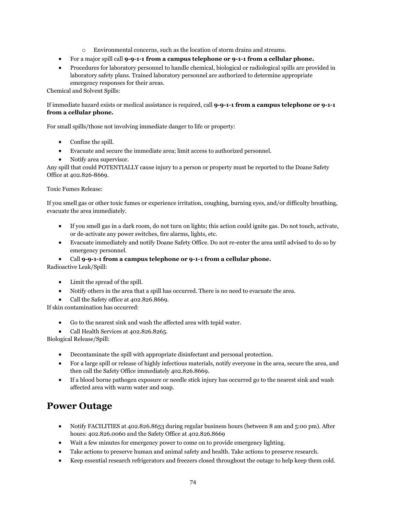- o Environmental concerns, such as the location of storm drains and streams.
- For a major spill call **9-9-1-1 from a campus telephone or 9-1-1 from a cellular phone.**
- Procedures for laboratory personnel to handle chemical, biological or radiological spills are provided in laboratory safety plans. Trained laboratory personnel are authorized to determine appropriate emergency responses for their areas.

Chemical and Solvent Spills:

If immediate hazard exists or medical assistance is required, call **9-9-1-1 from a campus telephone or 9-1-1 from a cellular phone.**

For small spills/those not involving immediate danger to life or property:

- Confine the spill.
- Evacuate and secure the immediate area; limit access to authorized personnel.
- Notify area supervisor.

Any spill that could POTENTIALLY cause injury to a person or property must be reported to the Doane Safety Office at 402.826-8669.

### Toxic Fumes Release:

If you smell gas or other toxic fumes or experience irritation, coughing, burning eyes, and/or difficulty breathing, evacuate the area immediately.

- If you smell gas in a dark room, do not turn on lights; this action could ignite gas. Do not touch, activate, or de-activate any power switches, fire alarms, lights, etc.
- Evacuate immediately and notify Doane Safety Office. Do not re-enter the area until advised to do so by emergency personnel.
- Call **9-9-1-1 from a campus telephone or 9-1-1 from a cellular phone.**

Radioactive Leak/Spill:

- Limit the spread of the spill.
- Notify others in the area that a spill has occurred. There is no need to evacuate the area.
- Call the Safety office at 402.826.8669.

If skin contamination has occurred:

- Go to the nearest sink and wash the affected area with tepid water.
- Call Health Services at 402.826.8265.

Biological Release/Spill:

- Decontaminate the spill with appropriate disinfectant and personal protection.
- For a large spill or release of highly infectious materials, notify everyone in the area, secure the area, and then call the Safety Office immediately 402.826.8669.
- If a blood borne pathogen exposure or needle stick injury has occurred go to the nearest sink and wash affected area with warm water and soap.

## **Power Outage**

- Notify FACILITIES at 402.826.8653 during regular business hours (between 8 am and 5:00 pm). After hours: 402.826.0060 and the Safety Office at 402.826.8669
- Wait a few minutes for emergency power to come on to provide emergency lighting.
- Take actions to preserve human and animal safety and health. Take actions to preserve research.
- Keep essential research refrigerators and freezers closed throughout the outage to help keep them cold.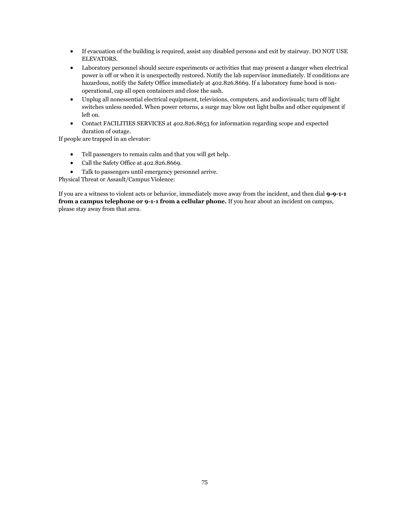- If evacuation of the building is required, assist any disabled persons and exit by stairway. DO NOT USE ELEVATORS.
- Laboratory personnel should secure experiments or activities that may present a danger when electrical power is off or when it is unexpectedly restored. Notify the lab supervisor immediately. If conditions are hazardous, notify the Safety Office immediately at 402.826.8669. If a laboratory fume hood is nonoperational, cap all open containers and close the sash.
- Unplug all nonessential electrical equipment, televisions, computers, and audiovisuals; turn off light switches unless needed. When power returns, a surge may blow out light bulbs and other equipment if left on.
- Contact FACILITIES SERVICES at 402.826.8653 for information regarding scope and expected duration of outage.

If people are trapped in an elevator:

- Tell passengers to remain calm and that you will get help.
- Call the Safety Office at 402.826.8669.
- Talk to passengers until emergency personnel arrive.

Physical Threat or Assault/Campus Violence:

If you are a witness to violent acts or behavior, immediately move away from the incident, and then dial **9-9-1-1 from a campus telephone or 9-1-1 from a cellular phone.** If you hear about an incident on campus, please stay away from that area.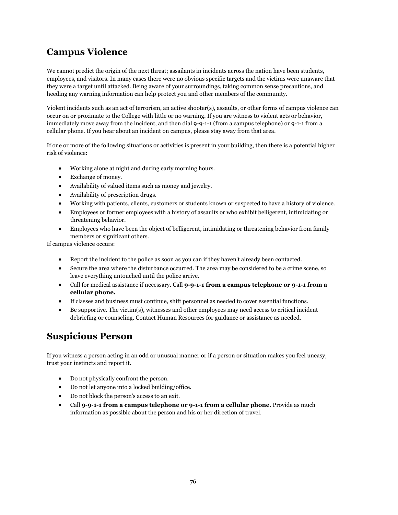# **Campus Violence**

We cannot predict the origin of the next threat; assailants in incidents across the nation have been students, employees, and visitors. In many cases there were no obvious specific targets and the victims were unaware that they were a target until attacked. Being aware of your surroundings, taking common sense precautions, and heeding any warning information can help protect you and other members of the community.

Violent incidents such as an act of terrorism, an active shooter(s), assaults, or other forms of campus violence can occur on or proximate to the College with little or no warning. If you are witness to violent acts or behavior, immediately move away from the incident, and then dial 9-9-1-1 (from a campus telephone) or 9-1-1 from a cellular phone. If you hear about an incident on campus, please stay away from that area.

If one or more of the following situations or activities is present in your building, then there is a potential higher risk of violence:

- Working alone at night and during early morning hours.
- Exchange of money.
- Availability of valued items such as money and jewelry.
- Availability of prescription drugs.
- Working with patients, clients, customers or students known or suspected to have a history of violence.
- Employees or former employees with a history of assaults or who exhibit belligerent, intimidating or threatening behavior.
- Employees who have been the object of belligerent, intimidating or threatening behavior from family members or significant others.

If campus violence occurs:

- Report the incident to the police as soon as you can if they haven't already been contacted.
- Secure the area where the disturbance occurred. The area may be considered to be a crime scene, so leave everything untouched until the police arrive.
- Call for medical assistance if necessary. Call **9-9-1-1 from a campus telephone or 9-1-1 from a cellular phone.**
- If classes and business must continue, shift personnel as needed to cover essential functions.
- $\bullet$  Be supportive. The victim(s), witnesses and other employees may need access to critical incident debriefing or counseling. Contact Human Resources for guidance or assistance as needed.

## **Suspicious Person**

If you witness a person acting in an odd or unusual manner or if a person or situation makes you feel uneasy, trust your instincts and report it.

- Do not physically confront the person.
- Do not let anyone into a locked building/office.
- Do not block the person's access to an exit.
- Call **9-9-1-1 from a campus telephone or 9-1-1 from a cellular phone.** Provide as much information as possible about the person and his or her direction of travel.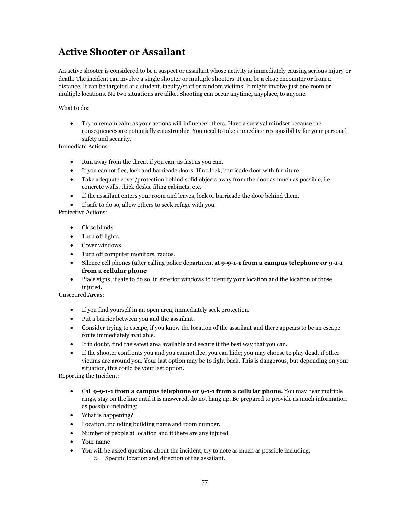# **Active Shooter or Assailant**

An active shooter is considered to be a suspect or assailant whose activity is immediately causing serious injury or death. The incident can involve a single shooter or multiple shooters. It can be a close encounter or from a distance. It can be targeted at a student, faculty/staff or random victims. It might involve just one room or multiple locations. No two situations are alike. Shooting can occur anytime, anyplace, to anyone.

What to do:

 Try to remain calm as your actions will influence others. Have a survival mindset because the consequences are potentially catastrophic. You need to take immediate responsibility for your personal safety and security.

Immediate Actions:

- Run away from the threat if you can, as fast as you can.
- If you cannot flee, lock and barricade doors. If no lock, barricade door with furniture.
- Take adequate cover/protection behind solid objects away from the door as much as possible, i.e. concrete walls, thick desks, filing cabinets, etc.
- If the assailant enters your room and leaves, lock or barricade the door behind them.
- If safe to do so, allow others to seek refuge with you.

Protective Actions:

- Close blinds.
- Turn off lights.
- Cover windows.
- Turn off computer monitors, radios.
- Silence cell phones (after calling police department at **9-9-1-1 from a campus telephone or 9-1-1 from a cellular phone**
- Place signs, if safe to do so, in exterior windows to identify your location and the location of those injured.

Unsecured Areas:

- If you find yourself in an open area, immediately seek protection.
- Put a barrier between you and the assailant.
- Consider trying to escape, if you know the location of the assailant and there appears to be an escape route immediately available.
- If in doubt, find the safest area available and secure it the best way that you can.
- If the shooter confronts you and you cannot flee, you can hide; you may choose to play dead, if other victims are around you. Your last option may be to fight back. This is dangerous, but depending on your situation, this could be your last option.

Reporting the Incident:

- Call **9-9-1-1 from a campus telephone or 9-1-1 from a cellular phone.** You may hear multiple rings, stay on the line until it is answered, do not hang up. Be prepared to provide as much information as possible including:
- What is happening?
- Location, including building name and room number.
- Number of people at location and if there are any injured
- Your name
- You will be asked questions about the incident, try to note as much as possible including:
	- o Specific location and direction of the assailant.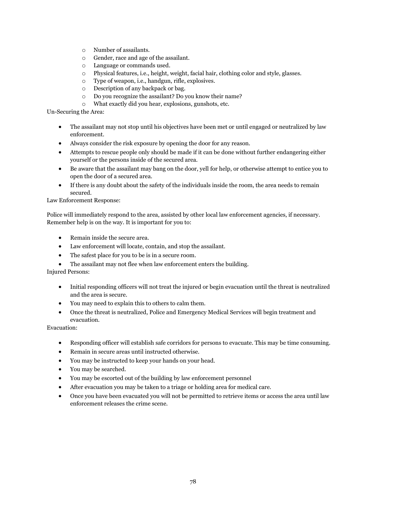- o Number of assailants.
- o Gender, race and age of the assailant.
- o Language or commands used.
- o Physical features, i.e., height, weight, facial hair, clothing color and style, glasses.
- o Type of weapon, i.e., handgun, rifle, explosives.
- o Description of any backpack or bag.
- o Do you recognize the assailant? Do you know their name?
- o What exactly did you hear, explosions, gunshots, etc.

Un-Securing the Area:

- The assailant may not stop until his objectives have been met or until engaged or neutralized by law enforcement.
- Always consider the risk exposure by opening the door for any reason.
- Attempts to rescue people only should be made if it can be done without further endangering either yourself or the persons inside of the secured area.
- Be aware that the assailant may bang on the door, yell for help, or otherwise attempt to entice you to open the door of a secured area.
- If there is any doubt about the safety of the individuals inside the room, the area needs to remain secured.

Law Enforcement Response:

Police will immediately respond to the area, assisted by other local law enforcement agencies, if necessary. Remember help is on the way. It is important for you to:

- Remain inside the secure area.
- Law enforcement will locate, contain, and stop the assailant.
- The safest place for you to be is in a secure room.
- The assailant may not flee when law enforcement enters the building.

Injured Persons:

- Initial responding officers will not treat the injured or begin evacuation until the threat is neutralized and the area is secure.
- You may need to explain this to others to calm them.
- Once the threat is neutralized, Police and Emergency Medical Services will begin treatment and evacuation.

Evacuation:

- Responding officer will establish safe corridors for persons to evacuate. This may be time consuming.
- Remain in secure areas until instructed otherwise.
- You may be instructed to keep your hands on your head.
- You may be searched.
- You may be escorted out of the building by law enforcement personnel
- After evacuation you may be taken to a triage or holding area for medical care.
- Once you have been evacuated you will not be permitted to retrieve items or access the area until law enforcement releases the crime scene.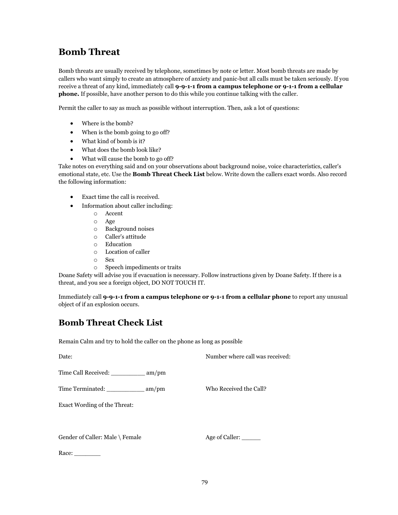# **Bomb Threat**

Bomb threats are usually received by telephone, sometimes by note or letter. Most bomb threats are made by callers who want simply to create an atmosphere of anxiety and panic-but all calls must be taken seriously. If you receive a threat of any kind, immediately call **9-9-1-1 from a campus telephone or 9-1-1 from a cellular phone.** If possible, have another person to do this while you continue talking with the caller.

Permit the caller to say as much as possible without interruption. Then, ask a lot of questions:

- Where is the bomb?
- When is the bomb going to go off?
- What kind of bomb is it?
- What does the bomb look like?
- What will cause the bomb to go off?

Take notes on everything said and on your observations about background noise, voice characteristics, caller's emotional state, etc. Use the **Bomb Threat Check List** below. Write down the callers exact words. Also record the following information:

- Exact time the call is received.
- Information about caller including:
	- o Accent
	- o Age
	- o Background noises
	- o Caller's attitude
	- o Education
	- o Location of caller
	- o Sex
	- o Speech impediments or traits

Doane Safety will advise you if evacuation is necessary. Follow instructions given by Doane Safety. If there is a threat, and you see a foreign object, DO NOT TOUCH IT.

Immediately call **9-9-1-1 from a campus telephone or 9-1-1 from a cellular phone** to report any unusual object of if an explosion occurs.

## **Bomb Threat Check List**

Remain Calm and try to hold the caller on the phone as long as possible

Date: Number where call was received:

Time Call Received: \_\_\_\_\_\_\_\_\_ am/pm

Time Terminated: \_\_\_\_\_\_\_\_\_\_\_ am/pm Who Received the Call?

Exact Wording of the Threat:

Gender of Caller: Male \ Female Age of Caller:

Race: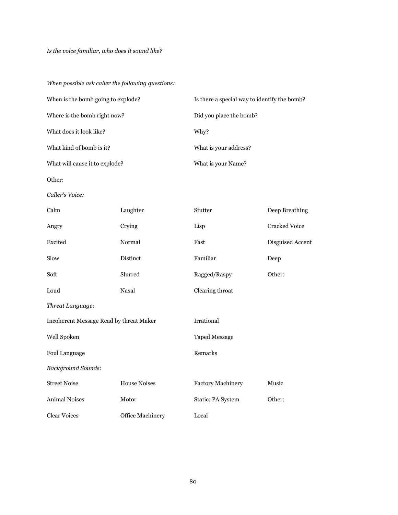*When possible ask caller the following questions:*

| When is the bomb going to explode? | Is there a special way to identify the bomb? |
|------------------------------------|----------------------------------------------|
| Where is the bomb right now?       | Did you place the bomb?                      |
| What does it look like?            | Why?                                         |
| What kind of bomb is it?           | What is your address?                        |
| What will cause it to explode?     | What is your Name?                           |

Other:

*Caller's Voice:*

| Calm                                    | Laughter            | Stutter                  | Deep Breathing       |  |
|-----------------------------------------|---------------------|--------------------------|----------------------|--|
| Angry                                   | Crying              | Lisp                     | <b>Cracked Voice</b> |  |
| Excited                                 | Normal              | Fast                     | Disguised Accent     |  |
| Slow                                    | Distinct            | Familiar                 | Deep                 |  |
| Soft                                    | Slurred             | Ragged/Raspy             | Other:               |  |
| Loud                                    | Nasal               | Clearing throat          |                      |  |
| Threat Language:                        |                     |                          |                      |  |
| Incoherent Message Read by threat Maker |                     | Irrational               |                      |  |
| Well Spoken                             |                     | <b>Taped Message</b>     |                      |  |
| Foul Language                           |                     | Remarks                  |                      |  |
| <b>Background Sounds:</b>               |                     |                          |                      |  |
| <b>Street Noise</b>                     | <b>House Noises</b> | <b>Factory Machinery</b> | Music                |  |
| <b>Animal Noises</b>                    | Motor               | Static: PA System        | Other:               |  |
| <b>Clear Voices</b>                     | Office Machinery    | Local                    |                      |  |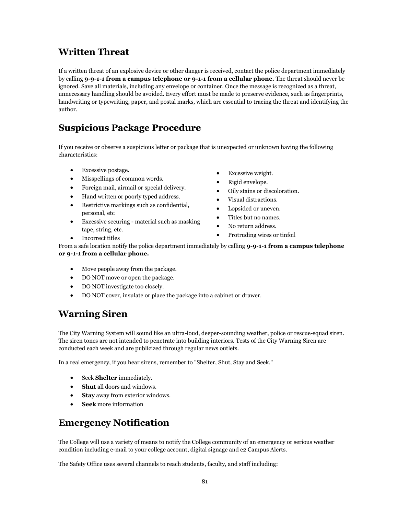# **Written Threat**

If a written threat of an explosive device or other danger is received, contact the police department immediately by calling **9-9-1-1 from a campus telephone or 9-1-1 from a cellular phone.** The threat should never be ignored. Save all materials, including any envelope or container. Once the message is recognized as a threat, unnecessary handling should be avoided. Every effort must be made to preserve evidence, such as fingerprints, handwriting or typewriting, paper, and postal marks, which are essential to tracing the threat and identifying the author.

# **Suspicious Package Procedure**

If you receive or observe a suspicious letter or package that is unexpected or unknown having the following characteristics:

- Excessive postage.
- Misspellings of common words.
- Foreign mail, airmail or special delivery.
- Hand written or poorly typed address.
- Restrictive markings such as confidential, personal, etc
- Excessive securing material such as masking tape, string, etc.
- Incorrect titles
- Excessive weight.
- Rigid envelope.
- Oily stains or discoloration.
- Visual distractions.
- Lopsided or uneven.
- Titles but no names.
- No return address.
- Protruding wires or tinfoil

From a safe location notify the police department immediately by calling **9-9-1-1 from a campus telephone or 9-1-1 from a cellular phone.**

- Move people away from the package.
- DO NOT move or open the package.
- DO NOT investigate too closely.
- DO NOT cover, insulate or place the package into a cabinet or drawer.

# **Warning Siren**

The City Warning System will sound like an ultra-loud, deeper-sounding weather, police or rescue-squad siren. The siren tones are not intended to penetrate into building interiors. Tests of the City Warning Siren are conducted each week and are publicized through regular news outlets.

In a real emergency, if you hear sirens, remember to "Shelter, Shut, Stay and Seek."

- Seek **Shelter** immediately.
- **Shut** all doors and windows.
- **Stay** away from exterior windows.
- **Seek** more information

# **Emergency Notification**

The College will use a variety of means to notify the College community of an emergency or serious weather condition including e-mail to your college account, digital signage and e2 Campus Alerts.

The Safety Office uses several channels to reach students, faculty, and staff including: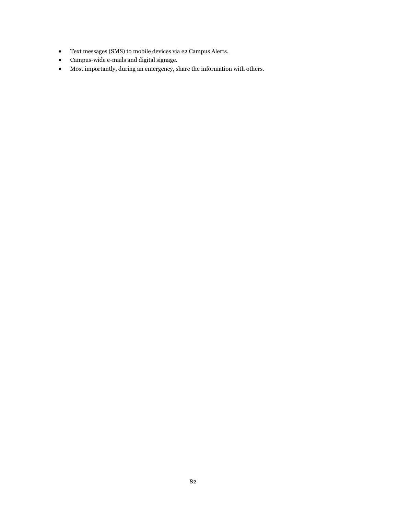- Text messages (SMS) to mobile devices via e2 Campus Alerts.
- Campus-wide e-mails and digital signage.
- Most importantly, during an emergency, share the information with others.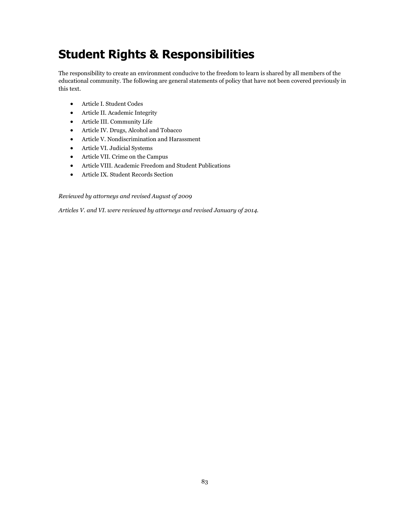# **Student Rights & Responsibilities**

The responsibility to create an environment conducive to the freedom to learn is shared by all members of the educational community. The following are general statements of policy that have not been covered previously in this text.

- Article I. Student Codes
- Article II. Academic Integrity
- Article III. Community Life
- Article IV. Drugs, Alcohol and Tobacco
- Article V. Nondiscrimination and Harassment
- Article VI. Judicial Systems
- Article VII. Crime on the Campus
- Article VIII. Academic Freedom and Student Publications
- Article IX. Student Records Section

*Reviewed by attorneys and revised August of 2009*

*Articles V. and VI. were reviewed by attorneys and revised January of 2014.*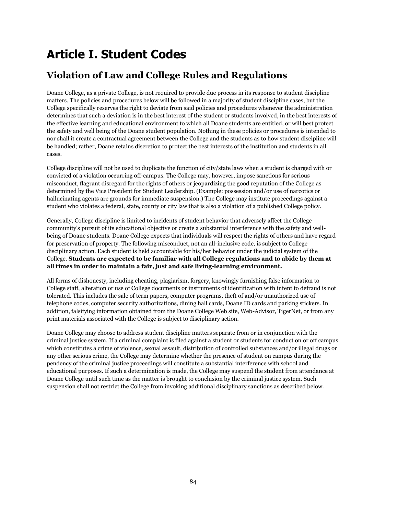# **Article I. Student Codes**

# **Violation of Law and College Rules and Regulations**

Doane College, as a private College, is not required to provide due process in its response to student discipline matters. The policies and procedures below will be followed in a majority of student discipline cases, but the College specifically reserves the right to deviate from said policies and procedures whenever the administration determines that such a deviation is in the best interest of the student or students involved, in the best interests of the effective learning and educational environment to which all Doane students are entitled, or will best protect the safety and well being of the Doane student population. Nothing in these policies or procedures is intended to nor shall it create a contractual agreement between the College and the students as to how student discipline will be handled; rather, Doane retains discretion to protect the best interests of the institution and students in all cases.

College discipline will not be used to duplicate the function of city/state laws when a student is charged with or convicted of a violation occurring off-campus. The College may, however, impose sanctions for serious misconduct, flagrant disregard for the rights of others or jeopardizing the good reputation of the College as determined by the Vice President for Student Leadership. (Example: possession and/or use of narcotics or hallucinating agents are grounds for immediate suspension.) The College may institute proceedings against a student who violates a federal, state, county or city law that is also a violation of a published College policy.

Generally, College discipline is limited to incidents of student behavior that adversely affect the College community's pursuit of its educational objective or create a substantial interference with the safety and wellbeing of Doane students. Doane College expects that individuals will respect the rights of others and have regard for preservation of property. The following misconduct, not an all-inclusive code, is subject to College disciplinary action. Each student is held accountable for his/her behavior under the judicial system of the College. **Students are expected to be familiar with all College regulations and to abide by them at all times in order to maintain a fair, just and safe living-learning environment.**

All forms of dishonesty, including cheating, plagiarism, forgery, knowingly furnishing false information to College staff, alteration or use of College documents or instruments of identification with intent to defraud is not tolerated. This includes the sale of term papers, computer programs, theft of and/or unauthorized use of telephone codes, computer security authorizations, dining hall cards, Doane ID cards and parking stickers. In addition, falsifying information obtained from the Doane College Web site, Web-Advisor, TigerNet, or from any print materials associated with the College is subject to disciplinary action.

Doane College may choose to address student discipline matters separate from or in conjunction with the criminal justice system. If a criminal complaint is filed against a student or students for conduct on or off campus which constitutes a crime of violence, sexual assault, distribution of controlled substances and/or illegal drugs or any other serious crime, the College may determine whether the presence of student on campus during the pendency of the criminal justice proceedings will constitute a substantial interference with school and educational purposes. If such a determination is made, the College may suspend the student from attendance at Doane College until such time as the matter is brought to conclusion by the criminal justice system. Such suspension shall not restrict the College from invoking additional disciplinary sanctions as described below.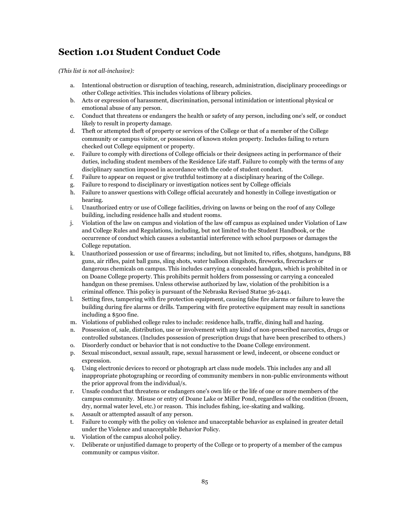# **Section 1.01 Student Conduct Code**

*(This list is not all-inclusive):*

- a. Intentional obstruction or disruption of teaching, research, administration, disciplinary proceedings or other College activities. This includes violations of library policies.
- b. Acts or expression of harassment, discrimination, personal intimidation or intentional physical or emotional abuse of any person.
- c. Conduct that threatens or endangers the health or safety of any person, including one's self, or conduct likely to result in property damage.
- d. Theft or attempted theft of property or services of the College or that of a member of the College community or campus visitor, or possession of known stolen property. Includes failing to return checked out College equipment or property.
- e. Failure to comply with directions of College officials or their designees acting in performance of their duties, including student members of the Residence Life staff. Failure to comply with the terms of any disciplinary sanction imposed in accordance with the code of student conduct.
- f. Failure to appear on request or give truthful testimony at a disciplinary hearing of the College.
- g. Failure to respond to disciplinary or investigation notices sent by College officials
- h. Failure to answer questions with College official accurately and honestly in College investigation or hearing.
- i. Unauthorized entry or use of College facilities, driving on lawns or being on the roof of any College building, including residence halls and student rooms.
- j. Violation of the law on campus and violation of the law off campus as explained under Violation of Law and College Rules and Regulations, including, but not limited to the Student Handbook, or the occurrence of conduct which causes a substantial interference with school purposes or damages the College reputation.
- k. Unauthorized possession or use of firearms; including, but not limited to, rifles, shotguns, handguns, BB guns, air rifles, paint ball guns, sling shots, water balloon slingshots, fireworks, firecrackers or dangerous chemicals on campus. This includes carrying a concealed handgun, which is prohibited in or on Doane College property. This prohibits permit holders from possessing or carrying a concealed handgun on these premises. Unless otherwise authorized by law, violation of the prohibition is a criminal offence. This policy is pursuant of the Nebraska Revised Statue 36-2441.
- l. Setting fires, tampering with fire protection equipment, causing false fire alarms or failure to leave the building during fire alarms or drills. Tampering with fire protective equipment may result in sanctions including a \$500 fine.
- m. Violations of published college rules to include: residence halls, traffic, dining hall and hazing.
- n. Possession of, sale, distribution, use or involvement with any kind of non-prescribed narcotics, drugs or controlled substances. (Includes possession of prescription drugs that have been prescribed to others.)
- o. Disorderly conduct or behavior that is not conductive to the Doane College environment.
- p. Sexual misconduct, sexual assault, rape, sexual harassment or lewd, indecent, or obscene conduct or expression.
- q. Using electronic devices to record or photograph art class nude models. This includes any and all inappropriate photographing or recording of community members in non-public environments without the prior approval from the individual/s.
- r. Unsafe conduct that threatens or endangers one's own life or the life of one or more members of the campus community. Misuse or entry of Doane Lake or Miller Pond, regardless of the condition (frozen, dry, normal water level, etc.) or reason. This includes fishing, ice-skating and walking.
- s. Assault or attempted assault of any person.
- t. Failure to comply with the policy on violence and unacceptable behavior as explained in greater detail under the Violence and unacceptable Behavior Policy.
- u. Violation of the campus alcohol policy.
- v. Deliberate or unjustified damage to property of the College or to property of a member of the campus community or campus visitor.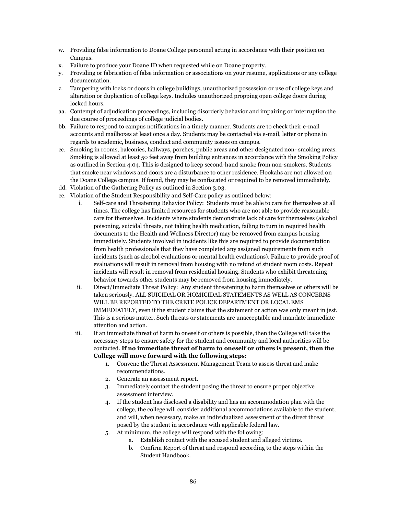- w. Providing false information to Doane College personnel acting in accordance with their position on Campus.
- x. Failure to produce your Doane ID when requested while on Doane property.
- y. Providing or fabrication of false information or associations on your resume, applications or any college documentation.
- z. Tampering with locks or doors in college buildings, unauthorized possession or use of college keys and alteration or duplication of college keys. Includes unauthorized propping open college doors during locked hours.
- aa. Contempt of adjudication proceedings, including disorderly behavior and impairing or interruption the due course of proceedings of college judicial bodies.
- bb. Failure to respond to campus notifications in a timely manner. Students are to check their e-mail accounts and mailboxes at least once a day. Students may be contacted via e-mail, letter or phone in regards to academic, business, conduct and community issues on campus.
- cc. Smoking in rooms, balconies, hallways, porches, public areas and other designated non- smoking areas. Smoking is allowed at least 50 feet away from building entrances in accordance with the Smoking Policy as outlined in Section 4.04. This is designed to keep second-hand smoke from non-smokers. Students that smoke near windows and doors are a disturbance to other residence. Hookahs are not allowed on the Doane College campus. If found, they may be confiscated or required to be removed immediately.
- dd. Violation of the Gathering Policy as outlined in Section 3.03.
- ee. Violation of the Student Responsibility and Self-Care policy as outlined below:
	- i. Self-care and Threatening Behavior Policy: Students must be able to care for themselves at all times. The college has limited resources for students who are not able to provide reasonable care for themselves. Incidents where students demonstrate lack of care for themselves (alcohol poisoning, suicidal threats, not taking health medication, failing to turn in required health documents to the Health and Wellness Director) may be removed from campus housing immediately. Students involved in incidents like this are required to provide documentation from health professionals that they have completed any assigned requirements from such incidents (such as alcohol evaluations or mental health evaluations). Failure to provide proof of evaluations will result in removal from housing with no refund of student room costs. Repeat incidents will result in removal from residential housing. Students who exhibit threatening behavior towards other students may be removed from housing immediately.
	- ii. Direct/Immediate Threat Policy: Any student threatening to harm themselves or others will be taken seriously. ALL SUICIDAL OR HOMICIDAL STATEMENTS AS WELL AS CONCERNS WILL BE REPORTED TO THE CRETE POLICE DEPARTMENT OR LOCAL EMS IMMEDIATELY, even if the student claims that the statement or action was only meant in jest. This is a serious matter. Such threats or statements are unacceptable and mandate immediate attention and action.
	- iii. If an immediate threat of harm to oneself or others is possible, then the College will take the necessary steps to ensure safety for the student and community and local authorities will be contacted. **If no immediate threat of harm to oneself or others is present, then the College will move forward with the following steps:**
		- 1. Convene the Threat Assessment Management Team to assess threat and make recommendations.
		- 2. Generate an assessment report.
		- 3. Immediately contact the student posing the threat to ensure proper objective assessment interview.
		- 4. If the student has disclosed a disability and has an accommodation plan with the college, the college will consider additional accommodations available to the student, and will, when necessary, make an individualized assessment of the direct threat posed by the student in accordance with applicable federal law.
		- 5. At minimum, the college will respond with the following:
			- a. Establish contact with the accused student and alleged victims.
			- b. Confirm Report of threat and respond according to the steps within the Student Handbook.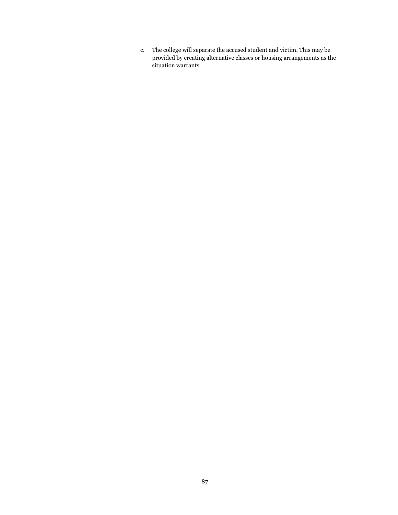c. The college will separate the accused student and victim. This may be provided by creating alternative classes or housing arrangements as the situation warrants.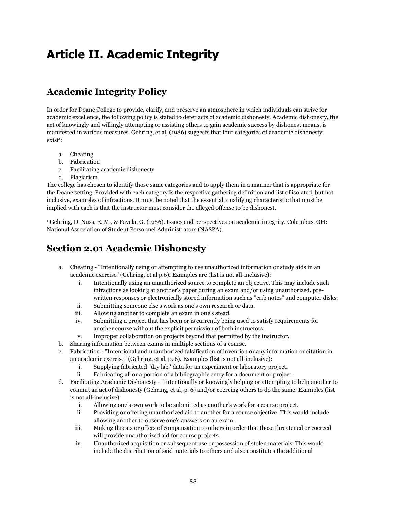# **Article II. Academic Integrity**

# **Academic Integrity Policy**

In order for Doane College to provide, clarify, and preserve an atmosphere in which individuals can strive for academic excellence, the following policy is stated to deter acts of academic dishonesty. Academic dishonesty, the act of knowingly and willingly attempting or assisting others to gain academic success by dishonest means, is manifested in various measures. Gehring, et al, (1986) suggests that four categories of academic dishonesty  $exist$ <sup>1</sup>:

- a. Cheating
- b. Fabrication
- c. Facilitating academic dishonesty
- d. Plagiarism

The college has chosen to identify those same categories and to apply them in a manner that is appropriate for the Doane setting. Provided with each category is the respective gathering definition and list of isolated, but not inclusive, examples of infractions. It must be noted that the essential, qualifying characteristic that must be implied with each is that the instructor must consider the alleged offense to be dishonest.

<sup>1</sup> Gehring, D, Nuss, E. M., & Pavela, G. (1986). Issues and perspectives on academic integrity. Columbus, OH: National Association of Student Personnel Administrators (NASPA).

# **Section 2.01 Academic Dishonesty**

- a. Cheating "Intentionally using or attempting to use unauthorized information or study aids in an academic exercise" (Gehring, et al p.6). Examples are (list is not all-inclusive):
	- i. Intentionally using an unauthorized source to complete an objective. This may include such infractions as looking at another's paper during an exam and/or using unauthorized, prewritten responses or electronically stored information such as "crib notes" and computer disks.
	- ii. Submitting someone else's work as one's own research or data.
	- iii. Allowing another to complete an exam in one's stead.
	- iv. Submitting a project that has been or is currently being used to satisfy requirements for another course without the explicit permission of both instructors.
	- v. Improper collaboration on projects beyond that permitted by the instructor.
- b. Sharing information between exams in multiple sections of a course.
- c. Fabrication "Intentional and unauthorized falsification of invention or any information or citation in an academic exercise" (Gehring, et al, p. 6). Examples (list is not all-inclusive):
	- i. Supplying fabricated "dry lab" data for an experiment or laboratory project.
	- ii. Fabricating all or a portion of a bibliographic entry for a document or project.
- d. Facilitating Academic Dishonesty "Intentionally or knowingly helping or attempting to help another to commit an act of dishonesty (Gehring, et al, p. 6) and/or coercing others to do the same. Examples (list is not all-inclusive):
	- i. Allowing one's own work to be submitted as another's work for a course project.
	- ii. Providing or offering unauthorized aid to another for a course objective. This would include allowing another to observe one's answers on an exam.
	- iii. Making threats or offers of compensation to others in order that those threatened or coerced will provide unauthorized aid for course projects.
	- iv. Unauthorized acquisition or subsequent use or possession of stolen materials. This would include the distribution of said materials to others and also constitutes the additional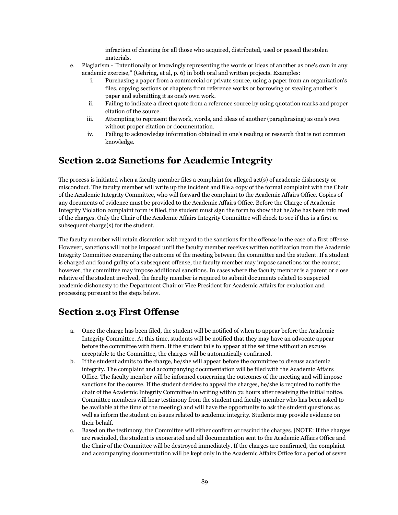infraction of cheating for all those who acquired, distributed, used or passed the stolen materials.

- e. Plagiarism "Intentionally or knowingly representing the words or ideas of another as one's own in any academic exercise," (Gehring, et al, p. 6) in both oral and written projects. Examples:
	- i. Purchasing a paper from a commercial or private source, using a paper from an organization's files, copying sections or chapters from reference works or borrowing or stealing another's paper and submitting it as one's own work.
	- ii. Failing to indicate a direct quote from a reference source by using quotation marks and proper citation of the source.
	- iii. Attempting to represent the work, words, and ideas of another (paraphrasing) as one's own without proper citation or documentation.
	- iv. Failing to acknowledge information obtained in one's reading or research that is not common knowledge.

## **Section 2.02 Sanctions for Academic Integrity**

The process is initiated when a faculty member files a complaint for alleged act(s) of academic dishonesty or misconduct. The faculty member will write up the incident and file a copy of the formal complaint with the Chair of the Academic Integrity Committee, who will forward the complaint to the Academic Affairs Office. Copies of any documents of evidence must be provided to the Academic Affairs Office. Before the Charge of Academic Integrity Violation complaint form is filed, the student must sign the form to show that he/she has been info med of the charges. Only the Chair of the Academic Affairs Integrity Committee will check to see if this is a first or subsequent charge(s) for the student.

The faculty member will retain discretion with regard to the sanctions for the offense in the case of a first offense. However, sanctions will not be imposed until the faculty member receives written notification from the Academic Integrity Committee concerning the outcome of the meeting between the committee and the student. If a student is charged and found guilty of a subsequent offense, the faculty member may impose sanctions for the course; however, the committee may impose additional sanctions. In cases where the faculty member is a parent or close relative of the student involved, the faculty member is required to submit documents related to suspected academic dishonesty to the Department Chair or Vice President for Academic Affairs for evaluation and processing pursuant to the steps below.

## **Section 2.03 First Offense**

- a. Once the charge has been filed, the student will be notified of when to appear before the Academic Integrity Committee. At this time, students will be notified that they may have an advocate appear before the committee with them. If the student fails to appear at the set time without an excuse acceptable to the Committee, the charges will be automatically confirmed.
- b. If the student admits to the charge, he/she will appear before the committee to discuss academic integrity. The complaint and accompanying documentation will be filed with the Academic Affairs Office. The faculty member will be informed concerning the outcomes of the meeting and will impose sanctions for the course. If the student decides to appeal the charges, he/she is required to notify the chair of the Academic Integrity Committee in writing within 72 hours after receiving the initial notice. Committee members will hear testimony from the student and faculty member who has been asked to be available at the time of the meeting) and will have the opportunity to ask the student questions as well as inform the student on issues related to academic integrity. Students may provide evidence on their behalf.
- c. Based on the testimony, the Committee will either confirm or rescind the charges. [NOTE: If the charges are rescinded, the student is exonerated and all documentation sent to the Academic Affairs Office and the Chair of the Committee will be destroyed immediately. If the charges are confirmed, the complaint and accompanying documentation will be kept only in the Academic Affairs Office for a period of seven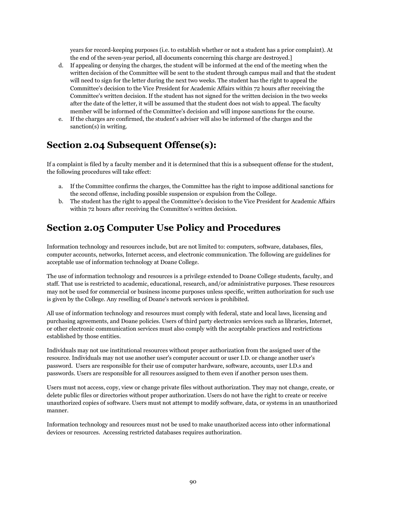years for record-keeping purposes (i.e. to establish whether or not a student has a prior complaint). At the end of the seven-year period, all documents concerning this charge are destroyed.]

- d. If appealing or denying the charges, the student will be informed at the end of the meeting when the written decision of the Committee will be sent to the student through campus mail and that the student will need to sign for the letter during the next two weeks. The student has the right to appeal the Committee's decision to the Vice President for Academic Affairs within 72 hours after receiving the Committee's written decision. If the student has not signed for the written decision in the two weeks after the date of the letter, it will be assumed that the student does not wish to appeal. The faculty member will be informed of the Committee's decision and will impose sanctions for the course.
- e. If the charges are confirmed, the student's adviser will also be informed of the charges and the sanction(s) in writing.

## **Section 2.04 Subsequent Offense(s):**

If a complaint is filed by a faculty member and it is determined that this is a subsequent offense for the student, the following procedures will take effect:

- a. If the Committee confirms the charges, the Committee has the right to impose additional sanctions for the second offense, including possible suspension or expulsion from the College.
- b. The student has the right to appeal the Committee's decision to the Vice President for Academic Affairs within 72 hours after receiving the Committee's written decision.

# **Section 2.05 Computer Use Policy and Procedures**

Information technology and resources include, but are not limited to: computers, software, databases, files, computer accounts, networks, Internet access, and electronic communication. The following are guidelines for acceptable use of information technology at Doane College.

The use of information technology and resources is a privilege extended to Doane College students, faculty, and staff. That use is restricted to academic, educational, research, and/or administrative purposes. These resources may not be used for commercial or business income purposes unless specific, written authorization for such use is given by the College. Any reselling of Doane's network services is prohibited.

All use of information technology and resources must comply with federal, state and local laws, licensing and purchasing agreements, and Doane policies. Users of third party electronics services such as libraries, Internet, or other electronic communication services must also comply with the acceptable practices and restrictions established by those entities.

Individuals may not use institutional resources without proper authorization from the assigned user of the resource. Individuals may not use another user's computer account or user I.D. or change another user's password. Users are responsible for their use of computer hardware, software, accounts, user I.D.s and passwords. Users are responsible for all resources assigned to them even if another person uses them.

Users must not access, copy, view or change private files without authorization. They may not change, create, or delete public files or directories without proper authorization. Users do not have the right to create or receive unauthorized copies of software. Users must not attempt to modify software, data, or systems in an unauthorized manner.

Information technology and resources must not be used to make unauthorized access into other informational devices or resources. Accessing restricted databases requires authorization.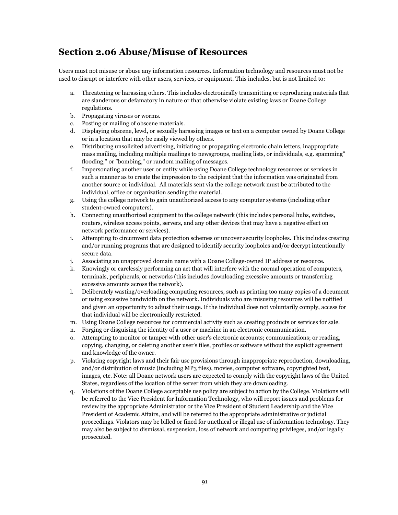## **Section 2.06 Abuse/Misuse of Resources**

Users must not misuse or abuse any information resources. Information technology and resources must not be used to disrupt or interfere with other users, services, or equipment. This includes, but is not limited to:

- a. Threatening or harassing others. This includes electronically transmitting or reproducing materials that are slanderous or defamatory in nature or that otherwise violate existing laws or Doane College regulations.
- b. Propagating viruses or worms.
- c. Posting or mailing of obscene materials.
- d. Displaying obscene, lewd, or sexually harassing images or text on a computer owned by Doane College or in a location that may be easily viewed by others.
- e. Distributing unsolicited advertising, initiating or propagating electronic chain letters, inappropriate mass mailing, including multiple mailings to newsgroups, mailing lists, or individuals, e.g. spamming" flooding," or "bombing," or random mailing of messages.
- f. Impersonating another user or entity while using Doane College technology resources or services in such a manner as to create the impression to the recipient that the information was originated from another source or individual. All materials sent via the college network must be attributed to the individual, office or organization sending the material.
- g. Using the college network to gain unauthorized access to any computer systems (including other student-owned computers).
- h. Connecting unauthorized equipment to the college network (this includes personal hubs, switches, routers, wireless access points, servers, and any other devices that may have a negative effect on network performance or services).
- i. Attempting to circumvent data protection schemes or uncover security loopholes. This includes creating and/or running programs that are designed to identify security loopholes and/or decrypt intentionally secure data.
- j. Associating an unapproved domain name with a Doane College-owned IP address or resource.
- k. Knowingly or carelessly performing an act that will interfere with the normal operation of computers, terminals, peripherals, or networks (this includes downloading excessive amounts or transferring excessive amounts across the network).
- l. Deliberately wasting/overloading computing resources, such as printing too many copies of a document or using excessive bandwidth on the network. Individuals who are misusing resources will be notified and given an opportunity to adjust their usage. If the individual does not voluntarily comply, access for that individual will be electronically restricted.
- m. Using Doane College resources for commercial activity such as creating products or services for sale.
- n. Forging or disguising the identity of a user or machine in an electronic communication.
- o. Attempting to monitor or tamper with other user's electronic accounts; communications; or reading, copying, changing, or deleting another user's files, profiles or software without the explicit agreement and knowledge of the owner.
- p. Violating copyright laws and their fair use provisions through inappropriate reproduction, downloading, and/or distribution of music (including MP3 files), movies, computer software, copyrighted text, images, etc. Note: all Doane network users are expected to comply with the copyright laws of the United States, regardless of the location of the server from which they are downloading.
- q. Violations of the Doane College acceptable use policy are subject to action by the College. Violations will be referred to the Vice President for Information Technology, who will report issues and problems for review by the appropriate Administrator or the Vice President of Student Leadership and the Vice President of Academic Affairs, and will be referred to the appropriate administrative or judicial proceedings. Violators may be billed or fined for unethical or illegal use of information technology. They may also be subject to dismissal, suspension, loss of network and computing privileges, and/or legally prosecuted.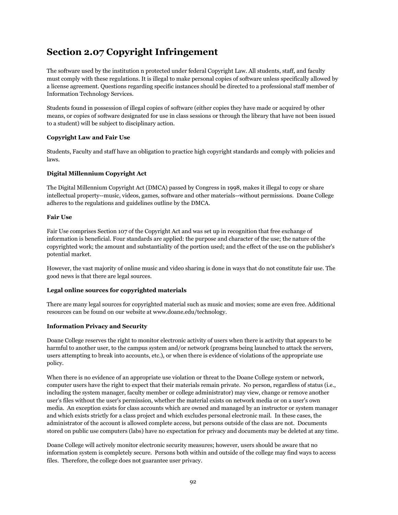# **Section 2.07 Copyright Infringement**

The software used by the institution n protected under federal Copyright Law. All students, staff, and faculty must comply with these regulations. It is illegal to make personal copies of software unless specifically allowed by a license agreement. Questions regarding specific instances should be directed to a professional staff member of Information Technology Services.

Students found in possession of illegal copies of software (either copies they have made or acquired by other means, or copies of software designated for use in class sessions or through the library that have not been issued to a student) will be subject to disciplinary action.

### **Copyright Law and Fair Use**

Students, Faculty and staff have an obligation to practice high copyright standards and comply with policies and laws.

### **Digital Millennium Copyright Act**

The Digital Millennium Copyright Act (DMCA) passed by Congress in 1998, makes it illegal to copy or share intellectual property--music, videos, games, software and other materials--without permissions. Doane College adheres to the regulations and guidelines outline by the DMCA.

#### **Fair Use**

Fair Use comprises Section 107 of the Copyright Act and was set up in recognition that free exchange of information is beneficial. Four standards are applied: the purpose and character of the use; the nature of the copyrighted work; the amount and substantiality of the portion used; and the effect of the use on the publisher's potential market.

However, the vast majority of online music and video sharing is done in ways that do not constitute fair use. The good news is that there are legal sources.

### **Legal online sources for copyrighted materials**

There are many legal sources for copyrighted material such as music and movies; some are even free. Additional resources can be found on our website at www.doane.edu/technology.

#### **Information Privacy and Security**

Doane College reserves the right to monitor electronic activity of users when there is activity that appears to be harmful to another user, to the campus system and/or network (programs being launched to attack the servers, users attempting to break into accounts, etc.), or when there is evidence of violations of the appropriate use policy.

When there is no evidence of an appropriate use violation or threat to the Doane College system or network, computer users have the right to expect that their materials remain private. No person, regardless of status (i.e., including the system manager, faculty member or college administrator) may view, change or remove another user's files without the user's permission, whether the material exists on network media or on a user's own media. An exception exists for class accounts which are owned and managed by an instructor or system manager and which exists strictly for a class project and which excludes personal electronic mail. In these cases, the administrator of the account is allowed complete access, but persons outside of the class are not. Documents stored on public use computers (labs) have no expectation for privacy and documents may be deleted at any time.

Doane College will actively monitor electronic security measures; however, users should be aware that no information system is completely secure. Persons both within and outside of the college may find ways to access files. Therefore, the college does not guarantee user privacy.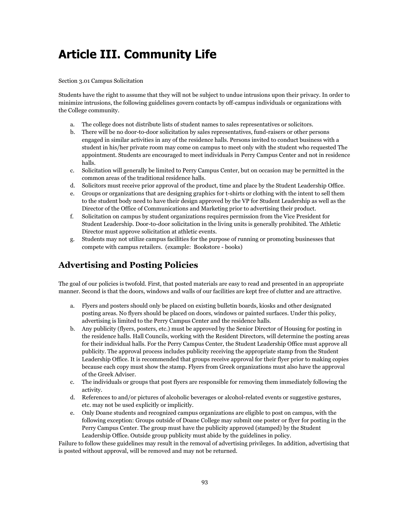# **Article III. Community Life**

### Section 3.01 Campus Solicitation

Students have the right to assume that they will not be subject to undue intrusions upon their privacy. In order to minimize intrusions, the following guidelines govern contacts by off-campus individuals or organizations with the College community.

- a. The college does not distribute lists of student names to sales representatives or solicitors.
- b. There will be no door-to-door solicitation by sales representatives, fund-raisers or other persons engaged in similar activities in any of the residence halls. Persons invited to conduct business with a student in his/her private room may come on campus to meet only with the student who requested The appointment. Students are encouraged to meet individuals in Perry Campus Center and not in residence halls.
- c. Solicitation will generally be limited to Perry Campus Center, but on occasion may be permitted in the common areas of the traditional residence halls.
- d. Solicitors must receive prior approval of the product, time and place by the Student Leadership Office.
- e. Groups or organizations that are designing graphics for t-shirts or clothing with the intent to sell them to the student body need to have their design approved by the VP for Student Leadership as well as the Director of the Office of Communications and Marketing prior to advertising their product.
- f. Solicitation on campus by student organizations requires permission from the Vice President for Student Leadership. Door-to-door solicitation in the living units is generally prohibited. The Athletic Director must approve solicitation at athletic events.
- g. Students may not utilize campus facilities for the purpose of running or promoting businesses that compete with campus retailers. (example: Bookstore - books)

## **Advertising and Posting Policies**

The goal of our policies is twofold. First, that posted materials are easy to read and presented in an appropriate manner. Second is that the doors, windows and walls of our facilities are kept free of clutter and are attractive.

- a. Flyers and posters should only be placed on existing bulletin boards, kiosks and other designated posting areas. No flyers should be placed on doors, windows or painted surfaces. Under this policy, advertising is limited to the Perry Campus Center and the residence halls.
- b. Any publicity (flyers, posters, etc.) must be approved by the Senior Director of Housing for posting in the residence halls. Hall Councils, working with the Resident Directors, will determine the posting areas for their individual halls. For the Perry Campus Center, the Student Leadership Office must approve all publicity. The approval process includes publicity receiving the appropriate stamp from the Student Leadership Office. It is recommended that groups receive approval for their flyer prior to making copies because each copy must show the stamp. Flyers from Greek organizations must also have the approval of the Greek Adviser.
- c. The individuals or groups that post flyers are responsible for removing them immediately following the activity.
- d. References to and/or pictures of alcoholic beverages or alcohol-related events or suggestive gestures, etc. may not be used explicitly or implicitly.
- e. Only Doane students and recognized campus organizations are eligible to post on campus, with the following exception: Groups outside of Doane College may submit one poster or flyer for posting in the Perry Campus Center. The group must have the publicity approved (stamped) by the Student Leadership Office. Outside group publicity must abide by the guidelines in policy.

Failure to follow these guidelines may result in the removal of advertising privileges. In addition, advertising that is posted without approval, will be removed and may not be returned.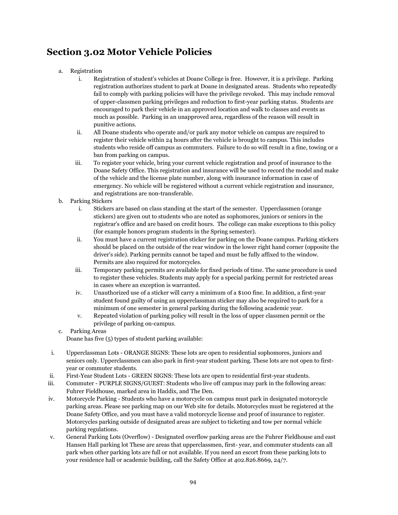# **Section 3.02 Motor Vehicle Policies**

- a. Registration
	- i. Registration of student's vehicles at Doane College is free. However, it is a privilege. Parking registration authorizes student to park at Doane in designated areas. Students who repeatedly fail to comply with parking policies will have the privilege revoked. This may include removal of upper-classmen parking privileges and reduction to first-year parking status. Students are encouraged to park their vehicle in an approved location and walk to classes and events as much as possible. Parking in an unapproved area, regardless of the reason will result in punitive actions.
	- ii. All Doane students who operate and/or park any motor vehicle on campus are required to register their vehicle within 24 hours after the vehicle is brought to campus. This includes students who reside off campus as commuters. Failure to do so will result in a fine, towing or a ban from parking on campus.
	- iii. To register your vehicle, bring your current vehicle registration and proof of insurance to the Doane Safety Office. This registration and insurance will be used to record the model and make of the vehicle and the license plate number, along with insurance information in case of emergency. No vehicle will be registered without a current vehicle registration and insurance, and registrations are non-transferable.
- b. Parking Stickers
	- i. Stickers are based on class standing at the start of the semester. Upperclassmen (orange stickers) are given out to students who are noted as sophomores, juniors or seniors in the registrar's office and are based on credit hours. The college can make exceptions to this policy (for example honors program students in the Spring semester).
	- ii. You must have a current registration sticker for parking on the Doane campus. Parking stickers should be placed on the outside of the rear window in the lower right hand corner (opposite the driver's side). Parking permits cannot be taped and must be fully affixed to the window. Permits are also required for motorcycles.
	- iii. Temporary parking permits are available for fixed periods of time. The same procedure is used to register these vehicles. Students may apply for a special parking permit for restricted areas in cases where an exception is warranted.
	- iv. Unauthorized use of a sticker will carry a minimum of a \$100 fine. In addition, a first-year student found guilty of using an upperclassman sticker may also be required to park for a minimum of one semester in general parking during the following academic year.
	- v. Repeated violation of parking policy will result in the loss of upper classmen permit or the privilege of parking on-campus.
- c. Parking Areas Doane has five (5) types of student parking available:
- i. Upperclassman Lots ORANGE SIGNS: These lots are open to residential sophomores, juniors and seniors only. Upperclassmen can also park in first-year student parking. These lots are not open to firstyear or commuter students.
- ii. First-Year Student Lots GREEN SIGNS: These lots are open to residential first-year students.
- iii. Commuter PURPLE SIGNS/GUEST: Students who live off campus may park in the following areas: Fuhrer Fieldhouse, marked area in Haddix, and The Den.
- iv. Motorcycle Parking Students who have a motorcycle on campus must park in designated motorcycle parking areas. Please see parking map on our Web site for details. Motorcycles must be registered at the Doane Safety Office, and you must have a valid motorcycle license and proof of insurance to register. Motorcycles parking outside of designated areas are subject to ticketing and tow per normal vehicle parking regulations.
- v. General Parking Lots (Overflow) Designated overflow parking areas are the Fuhrer Fieldhouse and east Hansen Hall parking lot These are areas that upperclassmen, first- year, and commuter students can all park when other parking lots are full or not available. If you need an escort from these parking lots to your residence hall or academic building, call the Safety Office at 402.826.8669, 24/7.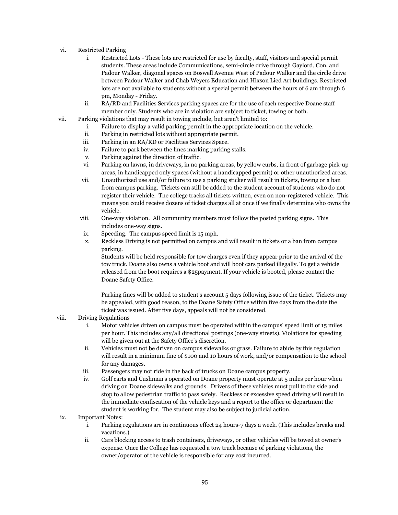- vi. Restricted Parking
	- i. Restricted Lots These lots are restricted for use by faculty, staff, visitors and special permit students. These areas include Communications, semi-circle drive through Gaylord, Con, and Padour Walker, diagonal spaces on Boswell Avenue West of Padour Walker and the circle drive between Padour Walker and Chab Weyers Education and Hixson Lied Art buildings. Restricted lots are not available to students without a special permit between the hours of 6 am through 6 pm, Monday - Friday.
	- ii. RA/RD and Facilities Services parking spaces are for the use of each respective Doane staff member only. Students who are in violation are subject to ticket, towing or both.
- vii. Parking violations that may result in towing include, but aren't limited to:
	- i. Failure to display a valid parking permit in the appropriate location on the vehicle.
	- ii. Parking in restricted lots without appropriate permit.
	- iii. Parking in an RA/RD or Facilities Services Space.
	- iv. Failure to park between the lines marking parking stalls.
	- v. Parking against the direction of traffic.
	- vi. Parking on lawns, in driveways, in no parking areas, by yellow curbs, in front of garbage pick-up areas, in handicapped only spaces (without a handicapped permit) or other unauthorized areas.
	- vii. Unauthorized use and/or failure to use a parking sticker will result in tickets, towing or a ban from campus parking. Tickets can still be added to the student account of students who do not register their vehicle. The college tracks all tickets written, even on non-registered vehicle. This means you could receive dozens of ticket charges all at once if we finally determine who owns the vehicle.
	- viii. One-way violation. All community members must follow the posted parking signs. This includes one-way signs.
	- ix. Speeding. The campus speed limit is 15 mph.
	- x. Reckless Driving is not permitted on campus and will result in tickets or a ban from campus parking.

Students will be held responsible for tow charges even if they appear prior to the arrival of the tow truck. Doane also owns a vehicle boot and will boot cars parked illegally. To get a vehicle released from the boot requires a \$25payment. If your vehicle is booted, please contact the Doane Safety Office.

Parking fines will be added to student's account 5 days following issue of the ticket. Tickets may be appealed, with good reason, to the Doane Safety Office within five days from the date the ticket was issued. After five days, appeals will not be considered.

#### viii. Driving Regulations

- i. Motor vehicles driven on campus must be operated within the campus' speed limit of 15 miles per hour. This includes any/all directional postings (one-way streets). Violations for speeding will be given out at the Safety Office's discretion.
- ii. Vehicles must not be driven on campus sidewalks or grass. Failure to abide by this regulation will result in a minimum fine of \$100 and 10 hours of work, and/or compensation to the school for any damages.
- iii. Passengers may not ride in the back of trucks on Doane campus property.
- iv. Golf carts and Cushman's operated on Doane property must operate at 5 miles per hour when driving on Doane sidewalks and grounds. Drivers of these vehicles must pull to the side and stop to allow pedestrian traffic to pass safely. Reckless or excessive speed driving will result in the immediate confiscation of the vehicle keys and a report to the office or department the student is working for. The student may also be subject to judicial action.

#### ix. Important Notes:

- i. Parking regulations are in continuous effect 24 hours-7 days a week. (This includes breaks and vacations.)
- ii. Cars blocking access to trash containers, driveways, or other vehicles will be towed at owner's expense. Once the College has requested a tow truck because of parking violations, the owner/operator of the vehicle is responsible for any cost incurred.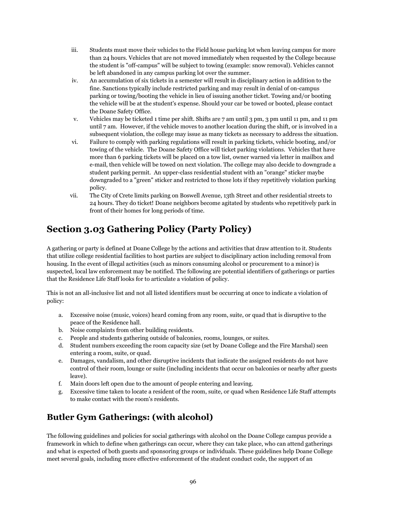- iii. Students must move their vehicles to the Field house parking lot when leaving campus for more than 24 hours. Vehicles that are not moved immediately when requested by the College because the student is "off-campus" will be subject to towing (example: snow removal). Vehicles cannot be left abandoned in any campus parking lot over the summer.
- iv. An accumulation of six tickets in a semester will result in disciplinary action in addition to the fine. Sanctions typically include restricted parking and may result in denial of on-campus parking or towing/booting the vehicle in lieu of issuing another ticket. Towing and/or booting the vehicle will be at the student's expense. Should your car be towed or booted, please contact the Doane Safety Office.
- v. Vehicles may be ticketed 1 time per shift. Shifts are 7 am until 3 pm, 3 pm until 11 pm, and 11 pm until 7 am. However, if the vehicle moves to another location during the shift, or is involved in a subsequent violation, the college may issue as many tickets as necessary to address the situation.
- vi. Failure to comply with parking regulations will result in parking tickets, vehicle booting, and/or towing of the vehicle. The Doane Safety Office will ticket parking violations. Vehicles that have more than 6 parking tickets will be placed on a tow list, owner warned via letter in mailbox and e-mail, then vehicle will be towed on next violation. The college may also decide to downgrade a student parking permit. An upper-class residential student with an "orange" sticker maybe downgraded to a "green" sticker and restricted to those lots if they repetitively violation parking policy.
- vii. The City of Crete limits parking on Boswell Avenue, 13th Street and other residential streets to 24 hours. They do ticket! Doane neighbors become agitated by students who repetitively park in front of their homes for long periods of time.

# **Section 3.03 Gathering Policy (Party Policy)**

A gathering or party is defined at Doane College by the actions and activities that draw attention to it. Students that utilize college residential facilities to host parties are subject to disciplinary action including removal from housing. In the event of illegal activities (such as minors consuming alcohol or procurement to a minor) is suspected, local law enforcement may be notified. The following are potential identifiers of gatherings or parties that the Residence Life Staff looks for to articulate a violation of policy.

This is not an all-inclusive list and not all listed identifiers must be occurring at once to indicate a violation of policy:

- a. Excessive noise (music, voices) heard coming from any room, suite, or quad that is disruptive to the peace of the Residence hall.
- b. Noise complaints from other building residents.
- c. People and students gathering outside of balconies, rooms, lounges, or suites.
- d. Student numbers exceeding the room capacity size (set by Doane College and the Fire Marshal) seen entering a room, suite, or quad.
- e. Damages, vandalism, and other disruptive incidents that indicate the assigned residents do not have control of their room, lounge or suite (including incidents that occur on balconies or nearby after guests leave).
- f. Main doors left open due to the amount of people entering and leaving.
- g. Excessive time taken to locate a resident of the room, suite, or quad when Residence Life Staff attempts to make contact with the room's residents.

# **Butler Gym Gatherings: (with alcohol)**

The following guidelines and policies for social gatherings with alcohol on the Doane College campus provide a framework in which to define when gatherings can occur, where they can take place, who can attend gatherings and what is expected of both guests and sponsoring groups or individuals. These guidelines help Doane College meet several goals, including more effective enforcement of the student conduct code, the support of an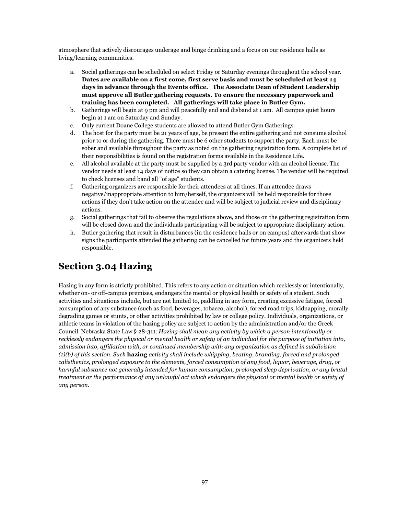atmosphere that actively discourages underage and binge drinking and a focus on our residence halls as living/learning communities.

- a. Social gatherings can be scheduled on select Friday or Saturday evenings throughout the school year. **Dates are available on a first come, first serve basis and must be scheduled at least 14 days in advance through the Events office. The Associate Dean of Student Leadership must approve all Butler gathering requests. To ensure the necessary paperwork and training has been completed. All gatherings will take place in Butler Gym.**
- b. Gatherings will begin at 9 pm and will peacefully end and disband at 1 am. All campus quiet hours begin at 1 am on Saturday and Sunday.
- c. Only current Doane College students are allowed to attend Butler Gym Gatherings.
- d. The host for the party must be 21 years of age, be present the entire gathering and not consume alcohol prior to or during the gathering. There must be 6 other students to support the party. Each must be sober and available throughout the party as noted on the gathering registration form. A complete list of their responsibilities is found on the registration forms available in the Residence Life.
- e. All alcohol available at the party must be supplied by a 3rd party vendor with an alcohol license. The vendor needs at least 14 days of notice so they can obtain a catering license. The vendor will be required to check licenses and band all "of age" students.
- f. Gathering organizers are responsible for their attendees at all times. If an attendee draws negative/inappropriate attention to him/herself, the organizers will be held responsible for those actions if they don't take action on the attendee and will be subject to judicial review and disciplinary actions.
- g. Social gatherings that fail to observe the regulations above, and those on the gathering registration form will be closed down and the individuals participating will be subject to appropriate disciplinary action.
- h. Butler gathering that result in disturbances (in the residence halls or on campus) afterwards that show signs the participants attended the gathering can be cancelled for future years and the organizers held responsible.

# **Section 3.04 Hazing**

Hazing in any form is strictly prohibited. This refers to any action or situation which recklessly or intentionally, whether on- or off-campus premises, endangers the mental or physical health or safety of a student. Such activities and situations include, but are not limited to, paddling in any form, creating excessive fatigue, forced consumption of any substance (such as food, beverages, tobacco, alcohol), forced road trips, kidnapping, morally degrading games or stunts, or other activities prohibited by law or college policy. Individuals, organizations, or athletic teams in violation of the hazing policy are subject to action by the administration and/or the Greek Council. Nebraska State Law § 28-311: *Hazing shall mean any activity by which a person intentionally or*  recklessly endangers the physical or mental health or safety of an individual for the purpose of initiation into, *admission into, affiliation with, or continued membership with any organization as defined in subdivision (1)(b) of this section. Such* **hazing** *activity shall include whipping, beating, branding, forced and prolonged calisthenics, prolonged exposure to the elements, forced consumption of any food, liquor, beverage, drug, or harmful substance not generally intended for human consumption, prolonged sleep deprivation, or any brutal treatment or the performance of any unlawful act which endangers the physical or mental health or safety of any person.*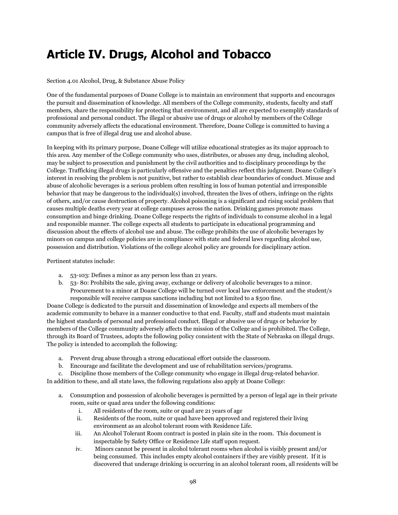# **Article IV. Drugs, Alcohol and Tobacco**

### Section 4.01 Alcohol, Drug, & Substance Abuse Policy

One of the fundamental purposes of Doane College is to maintain an environment that supports and encourages the pursuit and dissemination of knowledge. All members of the College community, students, faculty and staff members, share the responsibility for protecting that environment, and all are expected to exemplify standards of professional and personal conduct. The illegal or abusive use of drugs or alcohol by members of the College community adversely affects the educational environment. Therefore, Doane College is committed to having a campus that is free of illegal drug use and alcohol abuse.

In keeping with its primary purpose, Doane College will utilize educational strategies as its major approach to this area. Any member of the College community who uses, distributes, or abuses any drug, including alcohol, may be subject to prosecution and punishment by the civil authorities and to disciplinary proceedings by the College. Trafficking illegal drugs is particularly offensive and the penalties reflect this judgment. Doane College's interest in resolving the problem is not punitive, but rather to establish clear boundaries of conduct. Misuse and abuse of alcoholic beverages is a serious problem often resulting in loss of human potential and irresponsible behavior that may be dangerous to the individual(s) involved, threaten the lives of others, infringe on the rights of others, and/or cause destruction of property. Alcohol poisoning is a significant and rising social problem that causes multiple deaths every year at college campuses across the nation. Drinking games promote mass consumption and binge drinking. Doane College respects the rights of individuals to consume alcohol in a legal and responsible manner. The college expects all students to participate in educational programming and discussion about the effects of alcohol use and abuse. The college prohibits the use of alcoholic beverages by minors on campus and college policies are in compliance with state and federal laws regarding alcohol use, possession and distribution. Violations of the college alcohol policy are grounds for disciplinary action.

### Pertinent statutes include:

- a. 53-103: Defines a minor as any person less than 21 years.
- b. 53- 80: Prohibits the sale, giving away, exchange or delivery of alcoholic beverages to a minor. Procurement to a minor at Doane College will be turned over local law enforcement and the student/s responsible will receive campus sanctions including but not limited to a \$500 fine.

Doane College is dedicated to the pursuit and dissemination of knowledge and expects all members of the academic community to behave in a manner conductive to that end. Faculty, staff and students must maintain the highest standards of personal and professional conduct. Illegal or abusive use of drugs or behavior by members of the College community adversely affects the mission of the College and is prohibited. The College, through its Board of Trustees, adopts the following policy consistent with the State of Nebraska on illegal drugs. The policy is intended to accomplish the following:

- a. Prevent drug abuse through a strong educational effort outside the classroom.
- b. Encourage and facilitate the development and use of rehabilitation services/programs.
- c. Discipline those members of the College community who engage in illegal drug-related behavior.

In addition to these, and all state laws, the following regulations also apply at Doane College:

- a. Consumption and possession of alcoholic beverages is permitted by a person of legal age in their private room, suite or quad area under the following conditions:
	- i. All residents of the room, suite or quad are 21 years of age
	- ii. Residents of the room, suite or quad have been approved and registered their living environment as an alcohol tolerant room with Residence Life.
	- iii. An Alcohol Tolerant Room contract is posted in plain site in the room. This document is inspectable by Safety Office or Residence Life staff upon request.
	- iv. Minors cannot be present in alcohol tolerant rooms when alcohol is visibly present and/or being consumed. This includes empty alcohol containers if they are visibly present. If it is discovered that underage drinking is occurring in an alcohol tolerant room, all residents will be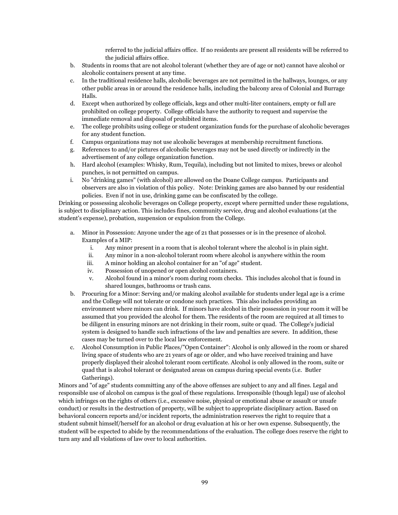referred to the judicial affairs office. If no residents are present all residents will be referred to the judicial affairs office.

- b. Students in rooms that are not alcohol tolerant (whether they are of age or not) cannot have alcohol or alcoholic containers present at any time.
- c. In the traditional residence halls, alcoholic beverages are not permitted in the hallways, lounges, or any other public areas in or around the residence halls, including the balcony area of Colonial and Burrage Halls.
- d. Except when authorized by college officials, kegs and other multi-liter containers, empty or full are prohibited on college property. College officials have the authority to request and supervise the immediate removal and disposal of prohibited items.
- e. The college prohibits using college or student organization funds for the purchase of alcoholic beverages for any student function.
- f. Campus organizations may not use alcoholic beverages at membership recruitment functions.
- g. References to and/or pictures of alcoholic beverages may not be used directly or indirectly in the advertisement of any college organization function.
- h. Hard alcohol (examples: Whisky, Rum, Tequila), including but not limited to mixes, brews or alcohol punches, is not permitted on campus.
- i. No "drinking games" (with alcohol) are allowed on the Doane College campus. Participants and observers are also in violation of this policy. Note: Drinking games are also banned by our residential policies. Even if not in use, drinking game can be confiscated by the college.

Drinking or possessing alcoholic beverages on College property, except where permitted under these regulations, is subject to disciplinary action. This includes fines, community service, drug and alcohol evaluations (at the student's expense), probation, suspension or expulsion from the College.

- a. Minor in Possession: Anyone under the age of 21 that possesses or is in the presence of alcohol. Examples of a MIP:
	- i. Any minor present in a room that is alcohol tolerant where the alcohol is in plain sight.
	- ii. Any minor in a non-alcohol tolerant room where alcohol is anywhere within the room
	- iii. A minor holding an alcohol container for an "of age" student.
	- iv. Possession of unopened or open alcohol containers.
	- v. Alcohol found in a minor's room during room checks. This includes alcohol that is found in shared lounges, bathrooms or trash cans.
- b. Procuring for a Minor: Serving and/or making alcohol available for students under legal age is a crime and the College will not tolerate or condone such practices. This also includes providing an environment where minors can drink. If minors have alcohol in their possession in your room it will be assumed that you provided the alcohol for them. The residents of the room are required at all times to be diligent in ensuring minors are not drinking in their room, suite or quad. The College's judicial system is designed to handle such infractions of the law and penalties are severe. In addition, these cases may be turned over to the local law enforcement.
- c. Alcohol Consumption in Public Places/"Open Container": Alcohol is only allowed in the room or shared living space of students who are 21 years of age or older, and who have received training and have properly displayed their alcohol tolerant room certificate. Alcohol is only allowed in the room, suite or quad that is alcohol tolerant or designated areas on campus during special events (i.e. Butler Gatherings).

Minors and "of age" students committing any of the above offenses are subject to any and all fines. Legal and responsible use of alcohol on campus is the goal of these regulations. Irresponsible (though legal) use of alcohol which infringes on the rights of others (i.e., excessive noise, physical or emotional abuse or assault or unsafe conduct) or results in the destruction of property, will be subject to appropriate disciplinary action. Based on behavioral concern reports and/or incident reports, the administration reserves the right to require that a student submit himself/herself for an alcohol or drug evaluation at his or her own expense. Subsequently, the student will be expected to abide by the recommendations of the evaluation. The college does reserve the right to turn any and all violations of law over to local authorities.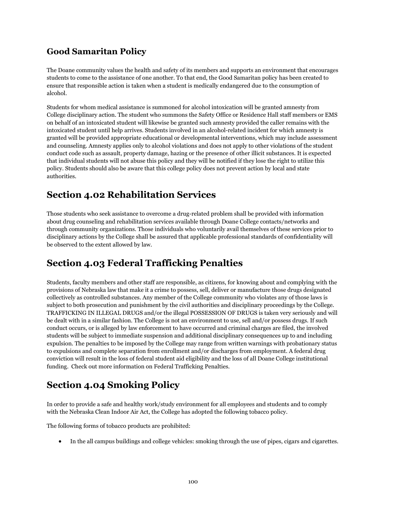## **Good Samaritan Policy**

The Doane community values the health and safety of its members and supports an environment that encourages students to come to the assistance of one another. To that end, the Good Samaritan policy has been created to ensure that responsible action is taken when a student is medically endangered due to the consumption of alcohol.

Students for whom medical assistance is summoned for alcohol intoxication will be granted amnesty from College disciplinary action. The student who summons the Safety Office or Residence Hall staff members or EMS on behalf of an intoxicated student will likewise be granted such amnesty provided the caller remains with the intoxicated student until help arrives. Students involved in an alcohol-related incident for which amnesty is granted will be provided appropriate educational or developmental interventions, which may include assessment and counseling. Amnesty applies only to alcohol violations and does not apply to other violations of the student conduct code such as assault, property damage, hazing or the presence of other illicit substances. It is expected that individual students will not abuse this policy and they will be notified if they lose the right to utilize this policy. Students should also be aware that this college policy does not prevent action by local and state authorities.

# **Section 4.02 Rehabilitation Services**

Those students who seek assistance to overcome a drug-related problem shall be provided with information about drug counseling and rehabilitation services available through Doane College contacts/networks and through community organizations. Those individuals who voluntarily avail themselves of these services prior to disciplinary actions by the College shall be assured that applicable professional standards of confidentiality will be observed to the extent allowed by law.

# **Section 4.03 Federal Trafficking Penalties**

Students, faculty members and other staff are responsible, as citizens, for knowing about and complying with the provisions of Nebraska law that make it a crime to possess, sell, deliver or manufacture those drugs designated collectively as controlled substances. Any member of the College community who violates any of those laws is subject to both prosecution and punishment by the civil authorities and disciplinary proceedings by the College. TRAFFICKING IN ILLEGAL DRUGS and/or the illegal POSSESSION OF DRUGS is taken very seriously and will be dealt with in a similar fashion. The College is not an environment to use, sell and/or possess drugs. If such conduct occurs, or is alleged by law enforcement to have occurred and criminal charges are filed, the involved students will be subject to immediate suspension and additional disciplinary consequences up to and including expulsion. The penalties to be imposed by the College may range from written warnings with probationary status to expulsions and complete separation from enrollment and/or discharges from employment. A federal drug conviction will result in the loss of federal student aid eligibility and the loss of all Doane College institutional funding. Check out more information on Federal Trafficking Penalties.

# **Section 4.04 Smoking Policy**

In order to provide a safe and healthy work/study environment for all employees and students and to comply with the Nebraska Clean Indoor Air Act, the College has adopted the following tobacco policy.

The following forms of tobacco products are prohibited:

In the all campus buildings and college vehicles: smoking through the use of pipes, cigars and cigarettes.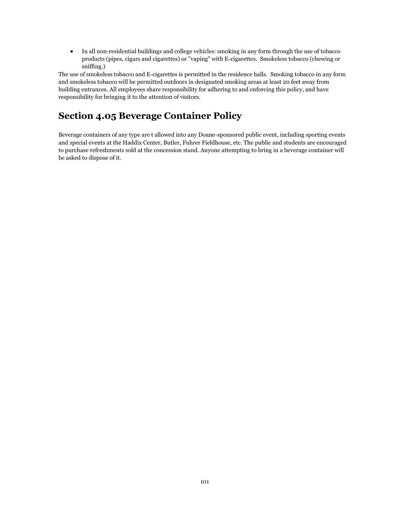In all non-residential buildings and college vehicles: smoking in any form through the use of tobacco products (pipes, cigars and cigarettes) or "vaping" with E-cigarettes. Smokeless tobacco (chewing or sniffing.)

The use of smokeless tobacco and E-cigarettes is permitted in the residence halls. Smoking tobacco in any form and smokeless tobacco will be permitted outdoors in designated smoking areas at least 20 feet away from building entrances. All employees share responsibility for adhering to and enforcing this policy, and have responsibility for bringing it to the attention of visitors.

# **Section 4.05 Beverage Container Policy**

Beverage containers of any type are t allowed into any Doane-sponsored public event, including sporting events and special events at the Haddix Center, Butler, Fuhrer Fieldhouse, etc. The public and students are encouraged to purchase refreshments sold at the concession stand. Anyone attempting to bring in a beverage container will be asked to dispose of it.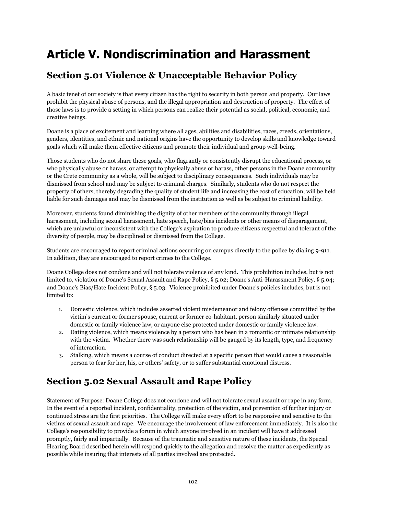# **Article V. Nondiscrimination and Harassment**

# **Section 5.01 Violence & Unacceptable Behavior Policy**

A basic tenet of our society is that every citizen has the right to security in both person and property. Our laws prohibit the physical abuse of persons, and the illegal appropriation and destruction of property. The effect of those laws is to provide a setting in which persons can realize their potential as social, political, economic, and creative beings.

Doane is a place of excitement and learning where all ages, abilities and disabilities, races, creeds, orientations, genders, identities, and ethnic and national origins have the opportunity to develop skills and knowledge toward goals which will make them effective citizens and promote their individual and group well-being.

Those students who do not share these goals, who flagrantly or consistently disrupt the educational process, or who physically abuse or harass, or attempt to physically abuse or harass, other persons in the Doane community or the Crete community as a whole, will be subject to disciplinary consequences. Such individuals may be dismissed from school and may be subject to criminal charges. Similarly, students who do not respect the property of others, thereby degrading the quality of student life and increasing the cost of education, will be held liable for such damages and may be dismissed from the institution as well as be subject to criminal liability.

Moreover, students found diminishing the dignity of other members of the community through illegal harassment, including sexual harassment, hate speech, hate/bias incidents or other means of disparagement, which are unlawful or inconsistent with the College's aspiration to produce citizens respectful and tolerant of the diversity of people, may be disciplined or dismissed from the College.

Students are encouraged to report criminal actions occurring on campus directly to the police by dialing 9-911. In addition, they are encouraged to report crimes to the College.

Doane College does not condone and will not tolerate violence of any kind. This prohibition includes, but is not limited to, violation of Doane's Sexual Assault and Rape Policy, § 5.02; Doane's Anti-Harassment Policy, § 5.04; and Doane's Bias/Hate Incident Policy, § 5.03. Violence prohibited under Doane's policies includes, but is not limited to:

- 1. Domestic violence, which includes asserted violent misdemeanor and felony offenses committed by the victim's current or former spouse, current or former co-habitant, person similarly situated under domestic or family violence law, or anyone else protected under domestic or family violence law.
- 2. Dating violence, which means violence by a person who has been in a romantic or intimate relationship with the victim. Whether there was such relationship will be gauged by its length, type, and frequency of interaction.
- 3. Stalking, which means a course of conduct directed at a specific person that would cause a reasonable person to fear for her, his, or others' safety, or to suffer substantial emotional distress.

# **Section 5.02 Sexual Assault and Rape Policy**

Statement of Purpose: Doane College does not condone and will not tolerate sexual assault or rape in any form. In the event of a reported incident, confidentiality, protection of the victim, and prevention of further injury or continued stress are the first priorities. The College will make every effort to be responsive and sensitive to the victims of sexual assault and rape. We encourage the involvement of law enforcement immediately. It is also the College's responsibility to provide a forum in which anyone involved in an incident will have it addressed promptly, fairly and impartially. Because of the traumatic and sensitive nature of these incidents, the Special Hearing Board described herein will respond quickly to the allegation and resolve the matter as expediently as possible while insuring that interests of all parties involved are protected.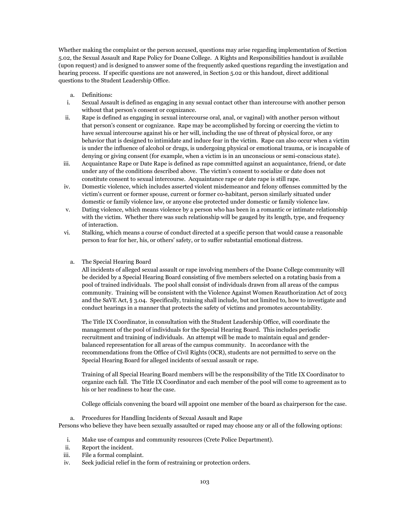Whether making the complaint or the person accused, questions may arise regarding implementation of Section 5.02, the Sexual Assault and Rape Policy for Doane College. A Rights and Responsibilities handout is available (upon request) and is designed to answer some of the frequently asked questions regarding the investigation and hearing process. If specific questions are not answered, in Section 5.02 or this handout, direct additional questions to the Student Leadership Office.

- a. Definitions:
- i. Sexual Assault is defined as engaging in any sexual contact other than intercourse with another person without that person's consent or cognizance.
- ii. Rape is defined as engaging in sexual intercourse oral, anal, or vaginal) with another person without that person's consent or cognizance. Rape may be accomplished by forcing or coercing the victim to have sexual intercourse against his or her will, including the use of threat of physical force, or any behavior that is designed to intimidate and induce fear in the victim. Rape can also occur when a victim is under the influence of alcohol or drugs, is undergoing physical or emotional trauma, or is incapable of denying or giving consent (for example, when a victim is in an unconscious or semi-conscious state).
- iii. Acquaintance Rape or Date Rape is defined as rape committed against an acquaintance, friend, or date under any of the conditions described above. The victim's consent to socialize or date does not constitute consent to sexual intercourse. Acquaintance rape or date rape is still rape.
- iv. Domestic violence, which includes asserted violent misdemeanor and felony offenses committed by the victim's current or former spouse, current or former co-habitant, person similarly situated under domestic or family violence law, or anyone else protected under domestic or family violence law.
- v. Dating violence, which means violence by a person who has been in a romantic or intimate relationship with the victim. Whether there was such relationship will be gauged by its length, type, and frequency of interaction.
- vi. Stalking, which means a course of conduct directed at a specific person that would cause a reasonable person to fear for her, his, or others' safety, or to suffer substantial emotional distress.
	- a. The Special Hearing Board

All incidents of alleged sexual assault or rape involving members of the Doane College community will be decided by a Special Hearing Board consisting of five members selected on a rotating basis from a pool of trained individuals. The pool shall consist of individuals drawn from all areas of the campus community. Training will be consistent with the Violence Against Women Reauthorization Act of 2013 and the SaVE Act, § 3.04. Specifically, training shall include, but not limited to, how to investigate and conduct hearings in a manner that protects the safety of victims and promotes accountability.

The Title IX Coordinator, in consultation with the Student Leadership Office, will coordinate the management of the pool of individuals for the Special Hearing Board. This includes periodic recruitment and training of individuals. An attempt will be made to maintain equal and genderbalanced representation for all areas of the campus community. In accordance with the recommendations from the Office of Civil Rights (OCR), students are not permitted to serve on the Special Hearing Board for alleged incidents of sexual assault or rape.

Training of all Special Hearing Board members will be the responsibility of the Title IX Coordinator to organize each fall. The Title IX Coordinator and each member of the pool will come to agreement as to his or her readiness to hear the case.

College officials convening the board will appoint one member of the board as chairperson for the case.

a. Procedures for Handling Incidents of Sexual Assault and Rape

Persons who believe they have been sexually assaulted or raped may choose any or all of the following options:

- i. Make use of campus and community resources (Crete Police Department).
- ii. Report the incident.
- iii. File a formal complaint.
- iv. Seek judicial relief in the form of restraining or protection orders.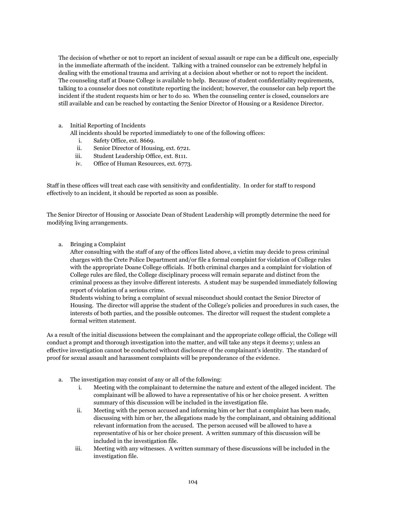The decision of whether or not to report an incident of sexual assault or rape can be a difficult one, especially in the immediate aftermath of the incident. Talking with a trained counselor can be extremely helpful in dealing with the emotional trauma and arriving at a decision about whether or not to report the incident. The counseling staff at Doane College is available to help. Because of student confidentiality requirements, talking to a counselor does not constitute reporting the incident; however, the counselor can help report the incident if the student requests him or her to do so. When the counseling center is closed, counselors are still available and can be reached by contacting the Senior Director of Housing or a Residence Director.

a. Initial Reporting of Incidents

All incidents should be reported immediately to one of the following offices:

- i. Safety Office, ext. 8669.
- ii. Senior Director of Housing, ext. 6721.
- iii. Student Leadership Office, ext. 8111.
- iv. Office of Human Resources, ext. 6773.

Staff in these offices will treat each case with sensitivity and confidentiality. In order for staff to respond effectively to an incident, it should be reported as soon as possible.

The Senior Director of Housing or Associate Dean of Student Leadership will promptly determine the need for modifying living arrangements.

a. Bringing a Complaint

After consulting with the staff of any of the offices listed above, a victim may decide to press criminal charges with the Crete Police Department and/or file a formal complaint for violation of College rules with the appropriate Doane College officials. If both criminal charges and a complaint for violation of College rules are filed, the College disciplinary process will remain separate and distinct from the criminal process as they involve different interests. A student may be suspended immediately following report of violation of a serious crime.

Students wishing to bring a complaint of sexual misconduct should contact the Senior Director of Housing. The director will apprise the student of the College's policies and procedures in such cases, the interests of both parties, and the possible outcomes. The director will request the student complete a formal written statement.

As a result of the initial discussions between the complainant and the appropriate college official, the College will conduct a prompt and thorough investigation into the matter, and will take any steps it deems y; unless an effective investigation cannot be conducted without disclosure of the complainant's identity. The standard of proof for sexual assault and harassment complaints will be preponderance of the evidence.

- a. The investigation may consist of any or all of the following:
	- i. Meeting with the complainant to determine the nature and extent of the alleged incident. The complainant will be allowed to have a representative of his or her choice present. A written summary of this discussion will be included in the investigation file.
	- ii. Meeting with the person accused and informing him or her that a complaint has been made, discussing with him or her, the allegations made by the complainant, and obtaining additional relevant information from the accused. The person accused will be allowed to have a representative of his or her choice present. A written summary of this discussion will be included in the investigation file.
	- iii. Meeting with any witnesses. A written summary of these discussions will be included in the investigation file.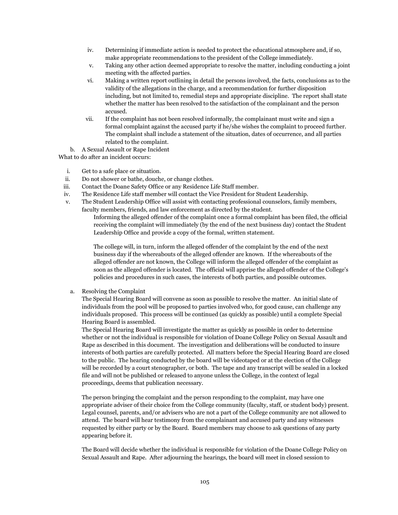- iv. Determining if immediate action is needed to protect the educational atmosphere and, if so, make appropriate recommendations to the president of the College immediately.
- v. Taking any other action deemed appropriate to resolve the matter, including conducting a joint meeting with the affected parties.
- vi. Making a written report outlining in detail the persons involved, the facts, conclusions as to the validity of the allegations in the charge, and a recommendation for further disposition including, but not limited to, remedial steps and appropriate discipline. The report shall state whether the matter has been resolved to the satisfaction of the complainant and the person accused.
- vii. If the complaint has not been resolved informally, the complainant must write and sign a formal complaint against the accused party if he/she wishes the complaint to proceed further. The complaint shall include a statement of the situation, dates of occurrence, and all parties related to the complaint.

b. A Sexual Assault or Rape Incident

What to do after an incident occurs:

- i. Get to a safe place or situation.
- ii. Do not shower or bathe, douche, or change clothes.
- iii. Contact the Doane Safety Office or any Residence Life Staff member.
- iv. The Residence Life staff member will contact the Vice President for Student Leadership.
- v. The Student Leadership Office will assist with contacting professional counselors, family members, faculty members, friends, and law enforcement as directed by the student.

Informing the alleged offender of the complaint once a formal complaint has been filed, the official receiving the complaint will immediately (by the end of the next business day) contact the Student Leadership Office and provide a copy of the formal, written statement.

The college will, in turn, inform the alleged offender of the complaint by the end of the next business day if the whereabouts of the alleged offender are known. If the whereabouts of the alleged offender are not known, the College will inform the alleged offender of the complaint as soon as the alleged offender is located. The official will apprise the alleged offender of the College's policies and procedures in such cases, the interests of both parties, and possible outcomes.

a. Resolving the Complaint

The Special Hearing Board will convene as soon as possible to resolve the matter. An initial slate of individuals from the pool will be proposed to parties involved who, for good cause, can challenge any individuals proposed. This process will be continued (as quickly as possible) until a complete Special Hearing Board is assembled.

The Special Hearing Board will investigate the matter as quickly as possible in order to determine whether or not the individual is responsible for violation of Doane College Policy on Sexual Assault and Rape as described in this document. The investigation and deliberations will be conducted to insure interests of both parties are carefully protected. All matters before the Special Hearing Board are closed to the public. The hearing conducted by the board will be videotaped or at the election of the College will be recorded by a court stenographer, or both. The tape and any transcript will be sealed in a locked file and will not be published or released to anyone unless the College, in the context of legal proceedings, deems that publication necessary.

The person bringing the complaint and the person responding to the complaint, may have one appropriate adviser of their choice from the College community (faculty, staff, or student body) present. Legal counsel, parents, and/or advisers who are not a part of the College community are not allowed to attend. The board will hear testimony from the complainant and accused party and any witnesses requested by either party or by the Board. Board members may choose to ask questions of any party appearing before it.

The Board will decide whether the individual is responsible for violation of the Doane College Policy on Sexual Assault and Rape. After adjourning the hearings, the board will meet in closed session to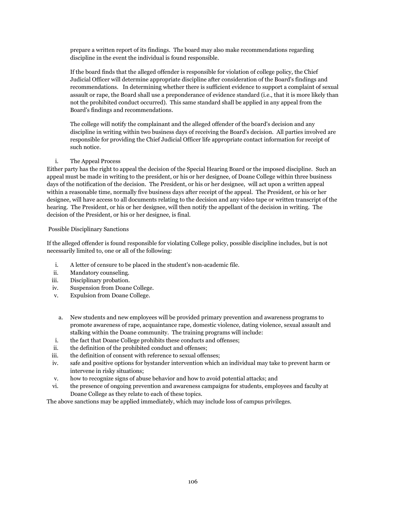prepare a written report of its findings. The board may also make recommendations regarding discipline in the event the individual is found responsible.

If the board finds that the alleged offender is responsible for violation of college policy, the Chief Judicial Officer will determine appropriate discipline after consideration of the Board's findings and recommendations. In determining whether there is sufficient evidence to support a complaint of sexual assault or rape, the Board shall use a preponderance of evidence standard (i.e., that it is more likely than not the prohibited conduct occurred). This same standard shall be applied in any appeal from the Board's findings and recommendations.

The college will notify the complainant and the alleged offender of the board's decision and any discipline in writing within two business days of receiving the Board's decision. All parties involved are responsible for providing the Chief Judicial Officer life appropriate contact information for receipt of such notice.

### i. The Appeal Process

Either party has the right to appeal the decision of the Special Hearing Board or the imposed discipline. Such an appeal must be made in writing to the president, or his or her designee, of Doane College within three business days of the notification of the decision. The President, or his or her designee, will act upon a written appeal within a reasonable time, normally five business days after receipt of the appeal. The President, or his or her designee, will have access to all documents relating to the decision and any video tape or written transcript of the hearing. The President, or his or her designee, will then notify the appellant of the decision in writing. The decision of the President, or his or her designee, is final.

### Possible Disciplinary Sanctions

If the alleged offender is found responsible for violating College policy, possible discipline includes, but is not necessarily limited to, one or all of the following:

- i. A letter of censure to be placed in the student's non-academic file.
- ii. Mandatory counseling.
- iii. Disciplinary probation.
- iv. Suspension from Doane College.
- v. Expulsion from Doane College.
- a. New students and new employees will be provided primary prevention and awareness programs to promote awareness of rape, acquaintance rape, domestic violence, dating violence, sexual assault and stalking within the Doane community. The training programs will include:
- i. the fact that Doane College prohibits these conducts and offenses;
- ii. the definition of the prohibited conduct and offenses;
- iii. the definition of consent with reference to sexual offenses;
- iv. safe and positive options for bystander intervention which an individual may take to prevent harm or intervene in risky situations;
- v. how to recognize signs of abuse behavior and how to avoid potential attacks; and
- vi. the presence of ongoing prevention and awareness campaigns for students, employees and faculty at Doane College as they relate to each of these topics.

The above sanctions may be applied immediately, which may include loss of campus privileges.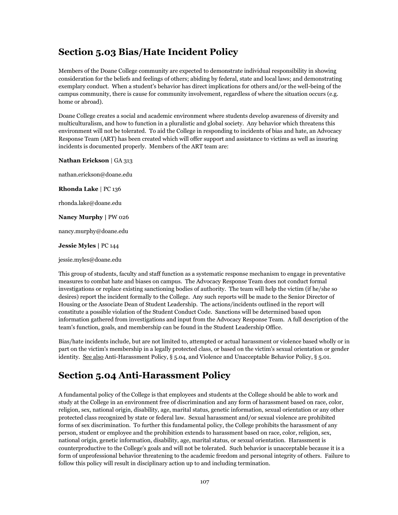## **Section 5.03 Bias/Hate Incident Policy**

Members of the Doane College community are expected to demonstrate individual responsibility in showing consideration for the beliefs and feelings of others; abiding by federal, state and local laws; and demonstrating exemplary conduct. When a student's behavior has direct implications for others and/or the well-being of the campus community, there is cause for community involvement, regardless of where the situation occurs (e.g. home or abroad).

Doane College creates a social and academic environment where students develop awareness of diversity and multiculturalism, and how to function in a pluralistic and global society. Any behavior which threatens this environment will not be tolerated. To aid the College in responding to incidents of bias and hate, an Advocacy Response Team (ART) has been created which will offer support and assistance to victims as well as insuring incidents is documented properly. Members of the ART team are:

**Nathan Erickson** | GA 313

nathan.erickson@doane.edu

**Rhonda Lake** | PC 136

rhonda.lake@doane.edu

**Nancy Murphy |** PW 026

nancy.murphy@doane.edu

**Jessie Myles |** PC 144

jessie.myles@doane.edu

This group of students, faculty and staff function as a systematic response mechanism to engage in preventative measures to combat hate and biases on campus. The Advocacy Response Team does not conduct formal investigations or replace existing sanctioning bodies of authority. The team will help the victim (if he/she so desires) report the incident formally to the College. Any such reports will be made to the Senior Director of Housing or the Associate Dean of Student Leadership. The actions/incidents outlined in the report will constitute a possible violation of the Student Conduct Code. Sanctions will be determined based upon information gathered from investigations and input from the Advocacy Response Team. A full description of the team's function, goals, and membership can be found in the Student Leadership Office.

Bias/hate incidents include, but are not limited to, attempted or actual harassment or violence based wholly or in part on the victim's membership in a legally protected class, or based on the victim's sexual orientation or gender identity. See also Anti-Harassment Policy, § 5.04, and Violence and Unacceptable Behavior Policy, § 5.01.

## **Section 5.04 Anti-Harassment Policy**

A fundamental policy of the College is that employees and students at the College should be able to work and study at the College in an environment free of discrimination and any form of harassment based on race, color, religion, sex, national origin, disability, age, marital status, genetic information, sexual orientation or any other protected class recognized by state or federal law. Sexual harassment and/or sexual violence are prohibited forms of sex discrimination. To further this fundamental policy, the College prohibits the harassment of any person, student or employee and the prohibition extends to harassment based on race, color, religion, sex, national origin, genetic information, disability, age, marital status, or sexual orientation. Harassment is counterproductive to the College's goals and will not be tolerated. Such behavior is unacceptable because it is a form of unprofessional behavior threatening to the academic freedom and personal integrity of others. Failure to follow this policy will result in disciplinary action up to and including termination.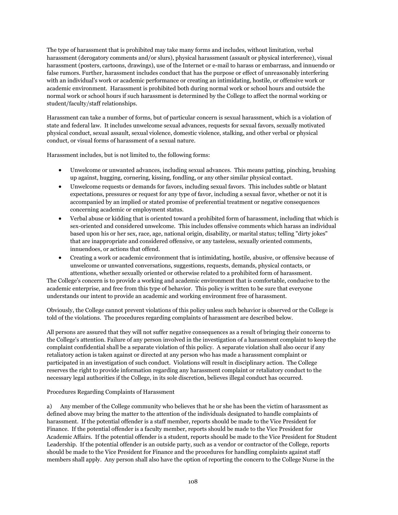The type of harassment that is prohibited may take many forms and includes, without limitation, verbal harassment (derogatory comments and/or slurs), physical harassment (assault or physical interference), visual harassment (posters, cartoons, drawings), use of the Internet or e-mail to harass or embarrass, and innuendo or false rumors. Further, harassment includes conduct that has the purpose or effect of unreasonably interfering with an individual's work or academic performance or creating an intimidating, hostile, or offensive work or academic environment. Harassment is prohibited both during normal work or school hours and outside the normal work or school hours if such harassment is determined by the College to affect the normal working or student/faculty/staff relationships.

Harassment can take a number of forms, but of particular concern is sexual harassment, which is a violation of state and federal law. It includes unwelcome sexual advances, requests for sexual favors, sexually motivated physical conduct, sexual assault, sexual violence, domestic violence, stalking, and other verbal or physical conduct, or visual forms of harassment of a sexual nature.

Harassment includes, but is not limited to, the following forms:

- Unwelcome or unwanted advances, including sexual advances. This means patting, pinching, brushing up against, hugging, cornering, kissing, fondling, or any other similar physical contact.
- Unwelcome requests or demands for favors, including sexual favors. This includes subtle or blatant expectations, pressures or request for any type of favor, including a sexual favor, whether or not it is accompanied by an implied or stated promise of preferential treatment or negative consequences concerning academic or employment status.
- Verbal abuse or kidding that is oriented toward a prohibited form of harassment, including that which is sex-oriented and considered unwelcome. This includes offensive comments which harass an individual based upon his or her sex, race, age, national origin, disability, or marital status; telling "dirty jokes" that are inappropriate and considered offensive, or any tasteless, sexually oriented comments, innuendoes, or actions that offend.
- Creating a work or academic environment that is intimidating, hostile, abusive, or offensive because of unwelcome or unwanted conversations, suggestions, requests, demands, physical contacts, or attentions, whether sexually oriented or otherwise related to a prohibited form of harassment.

The College's concern is to provide a working and academic environment that is comfortable, conducive to the academic enterprise, and free from this type of behavior. This policy is written to be sure that everyone understands our intent to provide an academic and working environment free of harassment.

Obviously, the College cannot prevent violations of this policy unless such behavior is observed or the College is told of the violations. The procedures regarding complaints of harassment are described below.

All persons are assured that they will not suffer negative consequences as a result of bringing their concerns to the College's attention. Failure of any person involved in the investigation of a harassment complaint to keep the complaint confidential shall be a separate violation of this policy. A separate violation shall also occur if any retaliatory action is taken against or directed at any person who has made a harassment complaint or participated in an investigation of such conduct. Violations will result in disciplinary action. The College reserves the right to provide information regarding any harassment complaint or retaliatory conduct to the necessary legal authorities if the College, in its sole discretion, believes illegal conduct has occurred.

### Procedures Regarding Complaints of Harassment

a) Any member of the College community who believes that he or she has been the victim of harassment as defined above may bring the matter to the attention of the individuals designated to handle complaints of harassment. If the potential offender is a staff member, reports should be made to the Vice President for Finance. If the potential offender is a faculty member, reports should be made to the Vice President for Academic Affairs. If the potential offender is a student, reports should be made to the Vice President for Student Leadership. If the potential offender is an outside party, such as a vendor or contractor of the College, reports should be made to the Vice President for Finance and the procedures for handling complaints against staff members shall apply. Any person shall also have the option of reporting the concern to the College Nurse in the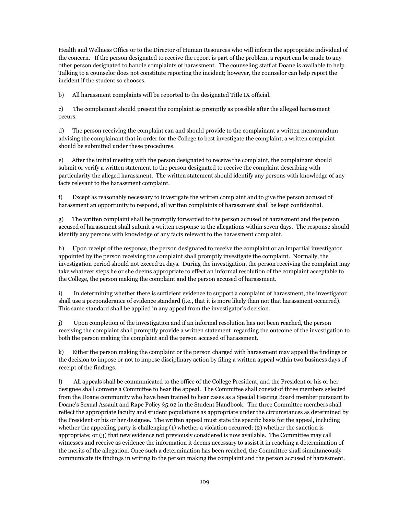Health and Wellness Office or to the Director of Human Resources who will inform the appropriate individual of the concern. If the person designated to receive the report is part of the problem, a report can be made to any other person designated to handle complaints of harassment. The counseling staff at Doane is available to help. Talking to a counselor does not constitute reporting the incident; however, the counselor can help report the incident if the student so chooses.

b) All harassment complaints will be reported to the designated Title IX official.

c) The complainant should present the complaint as promptly as possible after the alleged harassment occurs.

d) The person receiving the complaint can and should provide to the complainant a written memorandum advising the complainant that in order for the College to best investigate the complaint, a written complaint should be submitted under these procedures.

e) After the initial meeting with the person designated to receive the complaint, the complainant should submit or verify a written statement to the person designated to receive the complaint describing with particularity the alleged harassment. The written statement should identify any persons with knowledge of any facts relevant to the harassment complaint.

f) Except as reasonably necessary to investigate the written complaint and to give the person accused of harassment an opportunity to respond, all written complaints of harassment shall be kept confidential.

g) The written complaint shall be promptly forwarded to the person accused of harassment and the person accused of harassment shall submit a written response to the allegations within seven days. The response should identify any persons with knowledge of any facts relevant to the harassment complaint.

h) Upon receipt of the response, the person designated to receive the complaint or an impartial investigator appointed by the person receiving the complaint shall promptly investigate the complaint. Normally, the investigation period should not exceed 21 days. During the investigation, the person receiving the complaint may take whatever steps he or she deems appropriate to effect an informal resolution of the complaint acceptable to the College, the person making the complaint and the person accused of harassment.

i) In determining whether there is sufficient evidence to support a complaint of harassment, the investigator shall use a preponderance of evidence standard (i.e., that it is more likely than not that harassment occurred). This same standard shall be applied in any appeal from the investigator's decision.

j) Upon completion of the investigation and if an informal resolution has not been reached, the person receiving the complaint shall promptly provide a written statement regarding the outcome of the investigation to both the person making the complaint and the person accused of harassment.

k) Either the person making the complaint or the person charged with harassment may appeal the findings or the decision to impose or not to impose disciplinary action by filing a written appeal within two business days of receipt of the findings.

l) All appeals shall be communicated to the office of the College President, and the President or his or her designee shall convene a Committee to hear the appeal. The Committee shall consist of three members selected from the Doane community who have been trained to hear cases as a Special Hearing Board member pursuant to Doane's Sexual Assault and Rape Policy §5.02 in the Student Handbook. The three Committee members shall reflect the appropriate faculty and student populations as appropriate under the circumstances as determined by the President or his or her designee. The written appeal must state the specific basis for the appeal, including whether the appealing party is challenging (1) whether a violation occurred; (2) whether the sanction is appropriate; or (3) that new evidence not previously considered is now available. The Committee may call witnesses and receive as evidence the information it deems necessary to assist it in reaching a determination of the merits of the allegation. Once such a determination has been reached, the Committee shall simultaneously communicate its findings in writing to the person making the complaint and the person accused of harassment.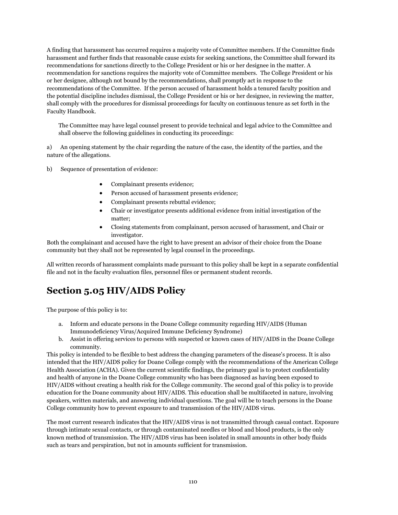A finding that harassment has occurred requires a majority vote of Committee members. If the Committee finds harassment and further finds that reasonable cause exists for seeking sanctions, the Committee shall forward its recommendations for sanctions directly to the College President or his or her designee in the matter. A recommendation for sanctions requires the majority vote of Committee members. The College President or his or her designee, although not bound by the recommendations, shall promptly act in response to the recommendations of the Committee. If the person accused of harassment holds a tenured faculty position and the potential discipline includes dismissal, the College President or his or her designee, in reviewing the matter, shall comply with the procedures for dismissal proceedings for faculty on continuous tenure as set forth in the Faculty Handbook.

The Committee may have legal counsel present to provide technical and legal advice to the Committee and shall observe the following guidelines in conducting its proceedings:

a) An opening statement by the chair regarding the nature of the case, the identity of the parties, and the nature of the allegations.

b) Sequence of presentation of evidence:

- Complainant presents evidence;
- Person accused of harassment presents evidence;
- Complainant presents rebuttal evidence;
- Chair or investigator presents additional evidence from initial investigation of the matter;
- Closing statements from complainant, person accused of harassment, and Chair or investigator.

Both the complainant and accused have the right to have present an advisor of their choice from the Doane community but they shall not be represented by legal counsel in the proceedings.

All written records of harassment complaints made pursuant to this policy shall be kept in a separate confidential file and not in the faculty evaluation files, personnel files or permanent student records.

# **Section 5.05 HIV/AIDS Policy**

The purpose of this policy is to:

- a. Inform and educate persons in the Doane College community regarding HIV/AIDS (Human Immunodeficiency Virus/Acquired Immune Deficiency Syndrome)
- b. Assist in offering services to persons with suspected or known cases of HIV/AIDS in the Doane College community.

This policy is intended to be flexible to best address the changing parameters of the disease's process. It is also intended that the HIV/AIDS policy for Doane College comply with the recommendations of the American College Health Association (ACHA). Given the current scientific findings, the primary goal is to protect confidentiality and health of anyone in the Doane College community who has been diagnosed as having been exposed to HIV/AIDS without creating a health risk for the College community. The second goal of this policy is to provide education for the Doane community about HIV/AIDS. This education shall be multifaceted in nature, involving speakers, written materials, and answering individual questions. The goal will be to teach persons in the Doane College community how to prevent exposure to and transmission of the HIV/AIDS virus.

The most current research indicates that the HIV/AIDS virus is not transmitted through casual contact. Exposure through intimate sexual contacts, or through contaminated needles or blood and blood products, is the only known method of transmission. The HIV/AIDS virus has been isolated in small amounts in other body fluids such as tears and perspiration, but not in amounts sufficient for transmission.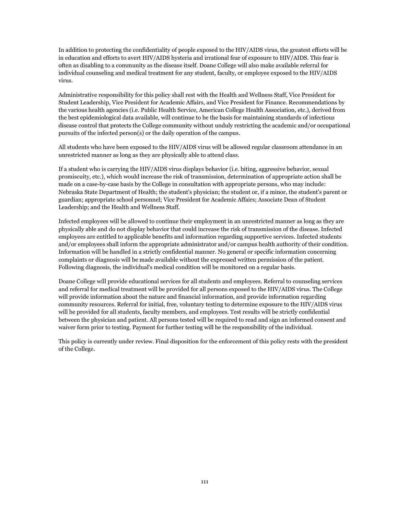In addition to protecting the confidentiality of people exposed to the HIV/AIDS virus, the greatest efforts will be in education and efforts to avert HIV/AIDS hysteria and irrational fear of exposure to HIV/AIDS. This fear is often as disabling to a community as the disease itself. Doane College will also make available referral for individual counseling and medical treatment for any student, faculty, or employee exposed to the HIV/AIDS virus.

Administrative responsibility for this policy shall rest with the Health and Wellness Staff, Vice President for Student Leadership, Vice President for Academic Affairs, and Vice President for Finance. Recommendations by the various health agencies (i.e. Public Health Service, American College Health Association, etc.), derived from the best epidemiological data available, will continue to be the basis for maintaining standards of infectious disease control that protects the College community without unduly restricting the academic and/or occupational pursuits of the infected person(s) or the daily operation of the campus.

All students who have been exposed to the HIV/AIDS virus will be allowed regular classroom attendance in an unrestricted manner as long as they are physically able to attend class.

If a student who is carrying the HIV/AIDS virus displays behavior (i.e. biting, aggressive behavior, sexual promiscuity, etc.), which would increase the risk of transmission, determination of appropriate action shall be made on a case-by-case basis by the College in consultation with appropriate persons, who may include: Nebraska State Department of Health; the student's physician; the student or, if a minor, the student's parent or guardian; appropriate school personnel; Vice President for Academic Affairs; Associate Dean of Student Leadership; and the Health and Wellness Staff.

Infected employees will be allowed to continue their employment in an unrestricted manner as long as they are physically able and do not display behavior that could increase the risk of transmission of the disease. Infected employees are entitled to applicable benefits and information regarding supportive services. Infected students and/or employees shall inform the appropriate administrator and/or campus health authority of their condition. Information will be handled in a strictly confidential manner. No general or specific information concerning complaints or diagnosis will be made available without the expressed written permission of the patient. Following diagnosis, the individual's medical condition will be monitored on a regular basis.

Doane College will provide educational services for all students and employees. Referral to counseling services and referral for medical treatment will be provided for all persons exposed to the HIV/AIDS virus. The College will provide information about the nature and financial information, and provide information regarding community resources. Referral for initial, free, voluntary testing to determine exposure to the HIV/AIDS virus will be provided for all students, faculty members, and employees. Test results will be strictly confidential between the physician and patient. All persons tested will be required to read and sign an informed consent and waiver form prior to testing. Payment for further testing will be the responsibility of the individual.

This policy is currently under review. Final disposition for the enforcement of this policy rests with the president of the College.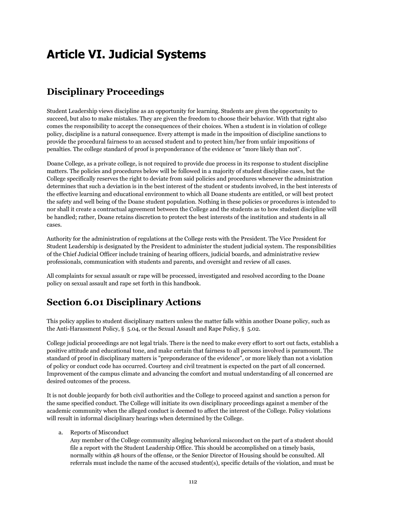# **Article VI. Judicial Systems**

# **Disciplinary Proceedings**

Student Leadership views discipline as an opportunity for learning. Students are given the opportunity to succeed, but also to make mistakes. They are given the freedom to choose their behavior. With that right also comes the responsibility to accept the consequences of their choices. When a student is in violation of college policy, discipline is a natural consequence. Every attempt is made in the imposition of discipline sanctions to provide the procedural fairness to an accused student and to protect him/her from unfair impositions of penalties. The college standard of proof is preponderance of the evidence or "more likely than not".

Doane College, as a private college, is not required to provide due process in its response to student discipline matters. The policies and procedures below will be followed in a majority of student discipline cases, but the College specifically reserves the right to deviate from said policies and procedures whenever the administration determines that such a deviation is in the best interest of the student or students involved, in the best interests of the effective learning and educational environment to which all Doane students are entitled, or will best protect the safety and well being of the Doane student population. Nothing in these policies or procedures is intended to nor shall it create a contractual agreement between the College and the students as to how student discipline will be handled; rather, Doane retains discretion to protect the best interests of the institution and students in all cases.

Authority for the administration of regulations at the College rests with the President. The Vice President for Student Leadership is designated by the President to administer the student judicial system. The responsibilities of the Chief Judicial Officer include training of hearing officers, judicial boards, and administrative review professionals, communication with students and parents, and oversight and review of all cases.

All complaints for sexual assault or rape will be processed, investigated and resolved according to the Doane policy on sexual assault and rape set forth in this handbook.

# **Section 6.01 Disciplinary Actions**

This policy applies to student disciplinary matters unless the matter falls within another Doane policy, such as the Anti-Harassment Policy, § 5.04, or the Sexual Assault and Rape Policy, § 5.02.

College judicial proceedings are not legal trials. There is the need to make every effort to sort out facts, establish a positive attitude and educational tone, and make certain that fairness to all persons involved is paramount. The standard of proof in disciplinary matters is "preponderance of the evidence", or more likely than not a violation of policy or conduct code has occurred. Courtesy and civil treatment is expected on the part of all concerned. Improvement of the campus climate and advancing the comfort and mutual understanding of all concerned are desired outcomes of the process.

It is not double jeopardy for both civil authorities and the College to proceed against and sanction a person for the same specified conduct. The College will initiate its own disciplinary proceedings against a member of the academic community when the alleged conduct is deemed to affect the interest of the College. Policy violations will result in informal disciplinary hearings when determined by the College.

a. Reports of Misconduct

Any member of the College community alleging behavioral misconduct on the part of a student should file a report with the Student Leadership Office. This should be accomplished on a timely basis, normally within 48 hours of the offense, or the Senior Director of Housing should be consulted. All referrals must include the name of the accused student(s), specific details of the violation, and must be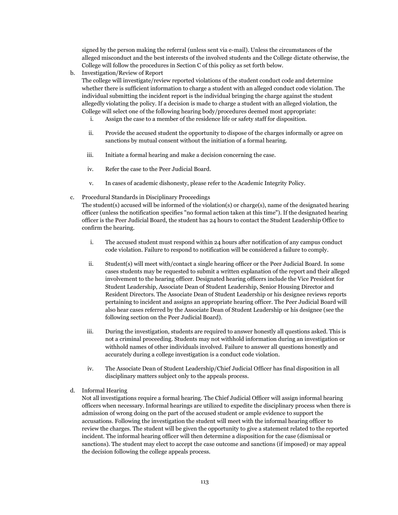signed by the person making the referral (unless sent via e-mail). Unless the circumstances of the alleged misconduct and the best interests of the involved students and the College dictate otherwise, the College will follow the procedures in Section C of this policy as set forth below.

b. Investigation/Review of Report

The college will investigate/review reported violations of the student conduct code and determine whether there is sufficient information to charge a student with an alleged conduct code violation. The individual submitting the incident report is the individual bringing the charge against the student allegedly violating the policy. If a decision is made to charge a student with an alleged violation, the College will select one of the following hearing body/procedures deemed most appropriate:

- i. Assign the case to a member of the residence life or safety staff for disposition.
- ii. Provide the accused student the opportunity to dispose of the charges informally or agree on sanctions by mutual consent without the initiation of a formal hearing.
- iii. Initiate a formal hearing and make a decision concerning the case.
- iv. Refer the case to the Peer Judicial Board.
- v. In cases of academic dishonesty, please refer to the Academic Integrity Policy.
- c. Procedural Standards in Disciplinary Proceedings

The student(s) accused will be informed of the violation(s) or charge(s), name of the designated hearing officer (unless the notification specifies "no formal action taken at this time"). If the designated hearing officer is the Peer Judicial Board, the student has 24 hours to contact the Student Leadership Office to confirm the hearing.

- i. The accused student must respond within 24 hours after notification of any campus conduct code violation. Failure to respond to notification will be considered a failure to comply.
- ii. Student(s) will meet with/contact a single hearing officer or the Peer Judicial Board. In some cases students may be requested to submit a written explanation of the report and their alleged involvement to the hearing officer. Designated hearing officers include the Vice President for Student Leadership, Associate Dean of Student Leadership, Senior Housing Director and Resident Directors. The Associate Dean of Student Leadership or his designee reviews reports pertaining to incident and assigns an appropriate hearing officer. The Peer Judicial Board will also hear cases referred by the Associate Dean of Student Leadership or his designee (see the following section on the Peer Judicial Board).
- iii. During the investigation, students are required to answer honestly all questions asked. This is not a criminal proceeding. Students may not withhold information during an investigation or withhold names of other individuals involved. Failure to answer all questions honestly and accurately during a college investigation is a conduct code violation.
- iv. The Associate Dean of Student Leadership/Chief Judicial Officer has final disposition in all disciplinary matters subject only to the appeals process.
- d. Informal Hearing

Not all investigations require a formal hearing. The Chief Judicial Officer will assign informal hearing officers when necessary. Informal hearings are utilized to expedite the disciplinary process when there is admission of wrong doing on the part of the accused student or ample evidence to support the accusations. Following the investigation the student will meet with the informal hearing officer to review the charges. The student will be given the opportunity to give a statement related to the reported incident. The informal hearing officer will then determine a disposition for the case (dismissal or sanctions). The student may elect to accept the case outcome and sanctions (if imposed) or may appeal the decision following the college appeals process.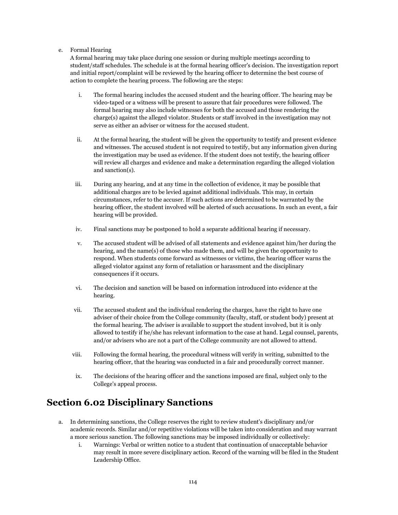#### e. Formal Hearing

A formal hearing may take place during one session or during multiple meetings according to student/staff schedules. The schedule is at the formal hearing officer's decision. The investigation report and initial report/complaint will be reviewed by the hearing officer to determine the best course of action to complete the hearing process. The following are the steps:

- i. The formal hearing includes the accused student and the hearing officer. The hearing may be video-taped or a witness will be present to assure that fair procedures were followed. The formal hearing may also include witnesses for both the accused and those rendering the charge(s) against the alleged violator. Students or staff involved in the investigation may not serve as either an adviser or witness for the accused student.
- ii. At the formal hearing, the student will be given the opportunity to testify and present evidence and witnesses. The accused student is not required to testify, but any information given during the investigation may be used as evidence. If the student does not testify, the hearing officer will review all charges and evidence and make a determination regarding the alleged violation and sanction(s).
- iii. During any hearing, and at any time in the collection of evidence, it may be possible that additional charges are to be levied against additional individuals. This may, in certain circumstances, refer to the accuser. If such actions are determined to be warranted by the hearing officer, the student involved will be alerted of such accusations. In such an event, a fair hearing will be provided.
- iv. Final sanctions may be postponed to hold a separate additional hearing if necessary.
- v. The accused student will be advised of all statements and evidence against him/her during the hearing, and the name(s) of those who made them, and will be given the opportunity to respond. When students come forward as witnesses or victims, the hearing officer warns the alleged violator against any form of retaliation or harassment and the disciplinary consequences if it occurs.
- vi. The decision and sanction will be based on information introduced into evidence at the hearing.
- vii. The accused student and the individual rendering the charges, have the right to have one adviser of their choice from the College community (faculty, staff, or student body) present at the formal hearing. The adviser is available to support the student involved, but it is only allowed to testify if he/she has relevant information to the case at hand. Legal counsel, parents, and/or advisers who are not a part of the College community are not allowed to attend.
- viii. Following the formal hearing, the procedural witness will verify in writing, submitted to the hearing officer, that the hearing was conducted in a fair and procedurally correct manner.
- ix. The decisions of the hearing officer and the sanctions imposed are final, subject only to the College's appeal process.

## **Section 6.02 Disciplinary Sanctions**

- a. In determining sanctions, the College reserves the right to review student's disciplinary and/or academic records. Similar and/or repetitive violations will be taken into consideration and may warrant a more serious sanction. The following sanctions may be imposed individually or collectively:
	- i. Warnings: Verbal or written notice to a student that continuation of unacceptable behavior may result in more severe disciplinary action. Record of the warning will be filed in the Student Leadership Office.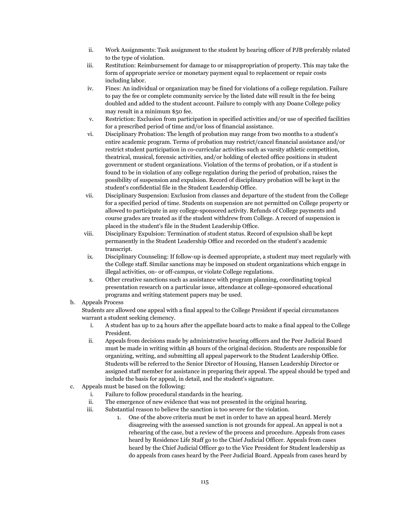- ii. Work Assignments: Task assignment to the student by hearing officer of PJB preferably related to the type of violation.
- iii. Restitution: Reimbursement for damage to or misappropriation of property. This may take the form of appropriate service or monetary payment equal to replacement or repair costs including labor.
- iv. Fines: An individual or organization may be fined for violations of a college regulation. Failure to pay the fee or complete community service by the listed date will result in the fee being doubled and added to the student account. Failure to comply with any Doane College policy may result in a minimum \$50 fee.
- v. Restriction: Exclusion from participation in specified activities and/or use of specified facilities for a prescribed period of time and/or loss of financial assistance.
- vi. Disciplinary Probation: The length of probation may range from two months to a student's entire academic program. Terms of probation may restrict/cancel financial assistance and/or restrict student participation in co-curricular activities such as varsity athletic competition, theatrical, musical, forensic activities, and/or holding of elected office positions in student government or student organizations. Violation of the terms of probation, or if a student is found to be in violation of any college regulation during the period of probation, raises the possibility of suspension and expulsion. Record of disciplinary probation will be kept in the student's confidential file in the Student Leadership Office.
- vii. Disciplinary Suspension: Exclusion from classes and departure of the student from the College for a specified period of time. Students on suspension are not permitted on College property or allowed to participate in any college-sponsored activity. Refunds of College payments and course grades are treated as if the student withdrew from College. A record of suspension is placed in the student's file in the Student Leadership Office.
- viii. Disciplinary Expulsion: Termination of student status. Record of expulsion shall be kept permanently in the Student Leadership Office and recorded on the student's academic transcript.
- ix. Disciplinary Counseling: If follow-up is deemed appropriate, a student may meet regularly with the College staff. Similar sanctions may be imposed on student organizations which engage in illegal activities, on- or off-campus, or violate College regulations.
- x. Other creative sanctions such as assistance with program planning, coordinating topical presentation research on a particular issue, attendance at college-sponsored educational programs and writing statement papers may be used.

#### b. Appeals Process

Students are allowed one appeal with a final appeal to the College President if special circumstances warrant a student seeking clemency.

- i. A student has up to 24 hours after the appellate board acts to make a final appeal to the College President.
- ii. Appeals from decisions made by administrative hearing officers and the Peer Judicial Board must be made in writing within 48 hours of the original decision. Students are responsible for organizing, writing, and submitting all appeal paperwork to the Student Leadership Office. Students will be referred to the Senior Director of Housing, Hansen Leadership Director or assigned staff member for assistance in preparing their appeal. The appeal should be typed and include the basis for appeal, in detail, and the student's signature.
- c. Appeals must be based on the following:
	- i. Failure to follow procedural standards in the hearing.
	- ii. The emergence of new evidence that was not presented in the original hearing.
	- iii. Substantial reason to believe the sanction is too severe for the violation.
		- 1. One of the above criteria must be met in order to have an appeal heard. Merely disagreeing with the assessed sanction is not grounds for appeal. An appeal is not a rehearing of the case, but a review of the process and procedure. Appeals from cases heard by Residence Life Staff go to the Chief Judicial Officer. Appeals from cases heard by the Chief Judicial Officer go to the Vice President for Student leadership as do appeals from cases heard by the Peer Judicial Board. Appeals from cases heard by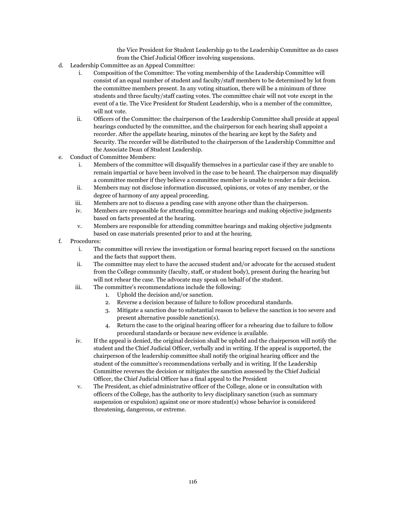the Vice President for Student Leadership go to the Leadership Committee as do cases from the Chief Judicial Officer involving suspensions.

- d. Leadership Committee as an Appeal Committee:
	- i. Composition of the Committee: The voting membership of the Leadership Committee will consist of an equal number of student and faculty/staff members to be determined by lot from the committee members present. In any voting situation, there will be a minimum of three students and three faculty/staff casting votes. The committee chair will not vote except in the event of a tie. The Vice President for Student Leadership, who is a member of the committee, will not vote.
	- ii. Officers of the Committee: the chairperson of the Leadership Committee shall preside at appeal hearings conducted by the committee, and the chairperson for each hearing shall appoint a recorder. After the appellate hearing, minutes of the hearing are kept by the Safety and Security. The recorder will be distributed to the chairperson of the Leadership Committee and the Associate Dean of Student Leadership.
- e. Conduct of Committee Members:
	- i. Members of the committee will disqualify themselves in a particular case if they are unable to remain impartial or have been involved in the case to be heard. The chairperson may disqualify a committee member if they believe a committee member is unable to render a fair decision.
	- ii. Members may not disclose information discussed, opinions, or votes of any member, or the degree of harmony of any appeal proceeding.
	- iii. Members are not to discuss a pending case with anyone other than the chairperson.
	- iv. Members are responsible for attending committee hearings and making objective judgments based on facts presented at the hearing.
	- v. Members are responsible for attending committee hearings and making objective judgments based on case materials presented prior to and at the hearing.
- f. Procedures:
	- i. The committee will review the investigation or formal hearing report focused on the sanctions and the facts that support them.
	- ii. The committee may elect to have the accused student and/or advocate for the accused student from the College community (faculty, staff, or student body), present during the hearing but will not rehear the case. The advocate may speak on behalf of the student.
	- iii. The committee's recommendations include the following:
		- 1. Uphold the decision and/or sanction.
		- 2. Reverse a decision because of failure to follow procedural standards.
		- 3. Mitigate a sanction due to substantial reason to believe the sanction is too severe and present alternative possible sanction(s).
		- 4. Return the case to the original hearing officer for a rehearing due to failure to follow procedural standards or because new evidence is available.
	- iv. If the appeal is denied, the original decision shall be upheld and the chairperson will notify the student and the Chief Judicial Officer, verbally and in writing. If the appeal is supported, the chairperson of the leadership committee shall notify the original hearing officer and the student of the committee's recommendations verbally and in writing. If the Leadership Committee reverses the decision or mitigates the sanction assessed by the Chief Judicial Officer, the Chief Judicial Officer has a final appeal to the President
	- v. The President, as chief administrative officer of the College, alone or in consultation with officers of the College, has the authority to levy disciplinary sanction (such as summary suspension or expulsion) against one or more student(s) whose behavior is considered threatening, dangerous, or extreme.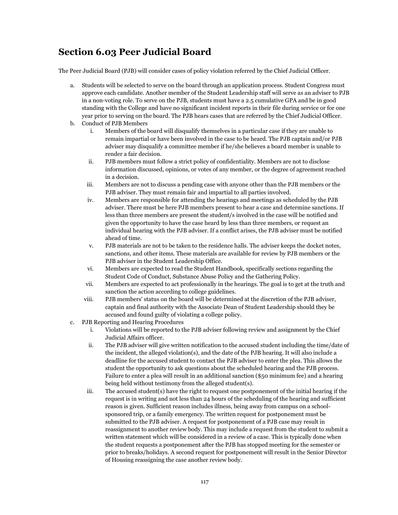## **Section 6.03 Peer Judicial Board**

The Peer Judicial Board (PJB) will consider cases of policy violation referred by the Chief Judicial Officer.

- a. Students will be selected to serve on the board through an application process. Student Congress must approve each candidate. Another member of the Student Leadership staff will serve as an adviser to PJB in a non-voting role. To serve on the PJB, students must have a 2.5 cumulative GPA and be in good standing with the College and have no significant incident reports in their file during service or for one year prior to serving on the board. The PJB hears cases that are referred by the Chief Judicial Officer.
- b. Conduct of PJB Members
	- i. Members of the board will disqualify themselves in a particular case if they are unable to remain impartial or have been involved in the case to be heard. The PJB captain and/or PJB adviser may disqualify a committee member if he/she believes a board member is unable to render a fair decision.
	- ii. PJB members must follow a strict policy of confidentiality. Members are not to disclose information discussed, opinions, or votes of any member, or the degree of agreement reached in a decision.
	- iii. Members are not to discuss a pending case with anyone other than the PJB members or the PJB adviser. They must remain fair and impartial to all parties involved.
	- iv. Members are responsible for attending the hearings and meetings as scheduled by the PJB adviser. There must be here PJB members present to hear a case and determine sanctions. If less than three members are present the student/s involved in the case will be notified and given the opportunity to have the case heard by less than three members, or request an individual hearing with the PJB adviser. If a conflict arises, the PJB adviser must be notified ahead of time.
	- v. PJB materials are not to be taken to the residence halls. The adviser keeps the docket notes, sanctions, and other items. These materials are available for review by PJB members or the PJB adviser in the Student Leadership Office.
	- vi. Members are expected to read the Student Handbook, specifically sections regarding the Student Code of Conduct, Substance Abuse Policy and the Gathering Policy.
	- vii. Members are expected to act professionally in the hearings. The goal is to get at the truth and sanction the action according to college guidelines.
	- viii. PJB members' status on the board will be determined at the discretion of the PJB adviser, captain and final authority with the Associate Dean of Student Leadership should they be accused and found guilty of violating a college policy.
- c. PJB Reporting and Hearing Procedures
	- i. Violations will be reported to the PJB adviser following review and assignment by the Chief Judicial Affairs officer.
	- ii. The PJB adviser will give written notification to the accused student including the time/date of the incident, the alleged violation(s), and the date of the PJB hearing. It will also include a deadline for the accused student to contact the PJB adviser to enter the plea. This allows the student the opportunity to ask questions about the scheduled hearing and the PJB process. Failure to enter a plea will result in an additional sanction (\$50 minimum fee) and a hearing being held without testimony from the alleged student(s).
	- iii. The accused student(s) have the right to request one postponement of the initial hearing if the request is in writing and not less than 24 hours of the scheduling of the hearing and sufficient reason is given. Sufficient reason includes illness, being away from campus on a schoolsponsored trip, or a family emergency. The written request for postponement must be submitted to the PJB adviser. A request for postponement of a PJB case may result in reassignment to another review body. This may include a request from the student to submit a written statement which will be considered in a review of a case. This is typically done when the student requests a postponement after the PJB has stopped meeting for the semester or prior to breaks/holidays. A second request for postponement will result in the Senior Director of Housing reassigning the case another review body.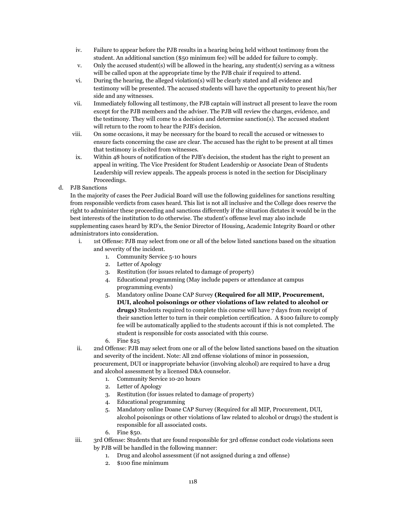- iv. Failure to appear before the PJB results in a hearing being held without testimony from the student. An additional sanction (\$50 minimum fee) will be added for failure to comply.
- v. Only the accused student(s) will be allowed in the hearing, any student(s) serving as a witness will be called upon at the appropriate time by the PJB chair if required to attend.
- vi. During the hearing, the alleged violation(s) will be clearly stated and all evidence and testimony will be presented. The accused students will have the opportunity to present his/her side and any witnesses.
- vii. Immediately following all testimony, the PJB captain will instruct all present to leave the room except for the PJB members and the adviser. The PJB will review the charges, evidence, and the testimony. They will come to a decision and determine sanction(s). The accused student will return to the room to hear the PJB's decision.
- viii. On some occasions, it may be necessary for the board to recall the accused or witnesses to ensure facts concerning the case are clear. The accused has the right to be present at all times that testimony is elicited from witnesses.
- ix. Within 48 hours of notification of the PJB's decision, the student has the right to present an appeal in writing. The Vice President for Student Leadership or Associate Dean of Students Leadership will review appeals. The appeals process is noted in the section for Disciplinary Proceedings.
- d. PJB Sanctions

In the majority of cases the Peer Judicial Board will use the following guidelines for sanctions resulting from responsible verdicts from cases heard. This list is not all inclusive and the College does reserve the right to administer these proceeding and sanctions differently if the situation dictates it would be in the best interests of the institution to do otherwise. The student's offense level may also include supplementing cases heard by RD's, the Senior Director of Housing, Academic Integrity Board or other administrators into consideration.

- i. 1st Offense: PJB may select from one or all of the below listed sanctions based on the situation and severity of the incident.
	- 1. Community Service 5-10 hours
	- 2. Letter of Apology
	- 3. Restitution (for issues related to damage of property)
	- 4. Educational programming (May include papers or attendance at campus programming events)
	- 5. Mandatory online Doane CAP Survey **(Required for all MIP, Procurement, DUI, alcohol poisonings or other violations of law related to alcohol or drugs)** Students required to complete this course will have 7 days from receipt of their sanction letter to turn in their completion certification. A \$100 failure to comply fee will be automatically applied to the students account if this is not completed. The student is responsible for costs associated with this course.
	- 6. Fine \$25

ii. 2nd Offense: PJB may select from one or all of the below listed sanctions based on the situation and severity of the incident. Note: All 2nd offense violations of minor in possession, procurement, DUI or inappropriate behavior (involving alcohol) are required to have a drug and alcohol assessment by a licensed D&A counselor.

- 1. Community Service 10-20 hours
- 2. Letter of Apology
- 3. Restitution (for issues related to damage of property)
- 4. Educational programming
- 5. Mandatory online Doane CAP Survey (Required for all MIP, Procurement, DUI, alcohol poisonings or other violations of law related to alcohol or drugs) the student is responsible for all associated costs.
- 6. Fine \$50.
- iii. 3rd Offense: Students that are found responsible for 3rd offense conduct code violations seen by PJB will be handled in the following manner:
	- 1. Drug and alcohol assessment (if not assigned during a 2nd offense)
	- 2. \$100 fine minimum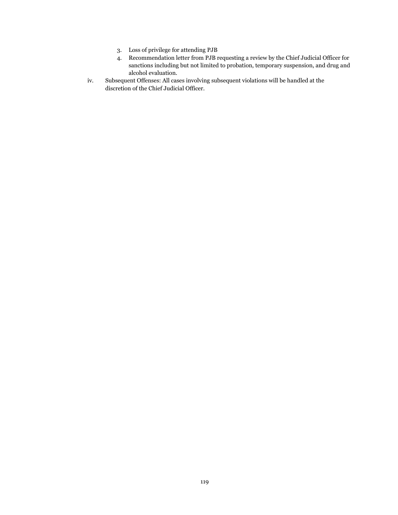- 3. Loss of privilege for attending PJB
- 4. Recommendation letter from PJB requesting a review by the Chief Judicial Officer for sanctions including but not limited to probation, temporary suspension, and drug and alcohol evaluation.
- iv. Subsequent Offenses: All cases involving subsequent violations will be handled at the discretion of the Chief Judicial Officer.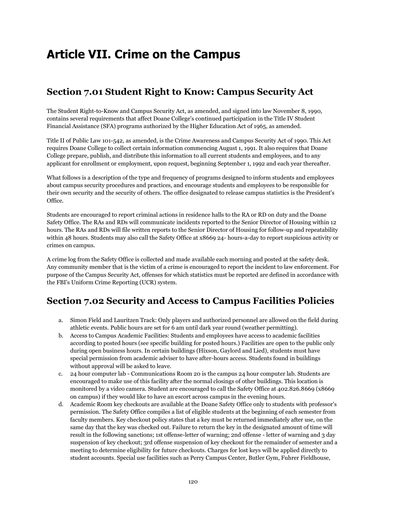# **Article VII. Crime on the Campus**

# **Section 7.01 Student Right to Know: Campus Security Act**

The Student Right-to-Know and Campus Security Act, as amended, and signed into law November 8, 1990, contains several requirements that affect Doane College's continued participation in the Title IV Student Financial Assistance (SFA) programs authorized by the Higher Education Act of 1965, as amended.

Title II of Public Law 101-542, as amended, is the Crime Awareness and Campus Security Act of 1990. This Act requires Doane College to collect certain information commencing August 1, 1991. It also requires that Doane College prepare, publish, and distribute this information to all current students and employees, and to any applicant for enrollment or employment, upon request, beginning September 1, 1992 and each year thereafter.

What follows is a description of the type and frequency of programs designed to inform students and employees about campus security procedures and practices, and encourage students and employees to be responsible for their own security and the security of others. The office designated to release campus statistics is the President's Office.

Students are encouraged to report criminal actions in residence halls to the RA or RD on duty and the Doane Safety Office. The RAs and RDs will communicate incidents reported to the Senior Director of Housing within 12 hours. The RAs and RDs will file written reports to the Senior Director of Housing for follow-up and repeatability within 48 hours. Students may also call the Safety Office at x8669 24- hours-a-day to report suspicious activity or crimes on campus.

A crime log from the Safety Office is collected and made available each morning and posted at the safety desk. Any community member that is the victim of a crime is encouraged to report the incident to law enforcement. For purpose of the Campus Security Act, offenses for which statistics must be reported are defined in accordance with the FBI's Uniform Crime Reporting (UCR) system.

# **Section 7.02 Security and Access to Campus Facilities Policies**

- a. Simon Field and Lauritzen Track: Only players and authorized personnel are allowed on the field during athletic events. Public hours are set for 6 am until dark year round (weather permitting).
- b. Access to Campus Academic Facilities: Students and employees have access to academic facilities according to posted hours (see specific building for posted hours.) Facilities are open to the public only during open business hours. In certain buildings (Hixson, Gaylord and Lied), students must have special permission from academic adviser to have after-hours access. Students found in buildings without approval will be asked to leave.
- c. 24 hour computer lab Communications Room 20 is the campus 24 hour computer lab. Students are encouraged to make use of this facility after the normal closings of other buildings. This location is monitored by a video camera. Student are encouraged to call the Safety Office at 402.826.8669 (x8669 on campus) if they would like to have an escort across campus in the evening hours.
- d. Academic Room key checkouts are available at the Doane Safety Office only to students with professor's permission. The Safety Office compiles a list of eligible students at the beginning of each semester from faculty members. Key checkout policy states that a key must be returned immediately after use, on the same day that the key was checked out. Failure to return the key in the designated amount of time will result in the following sanctions; 1st offense-letter of warning; 2nd offense - letter of warning and 3 day suspension of key checkout; 3rd offense suspension of key checkout for the remainder of semester and a meeting to determine eligibility for future checkouts. Charges for lost keys will be applied directly to student accounts. Special use facilities such as Perry Campus Center, Butler Gym, Fuhrer Fieldhouse,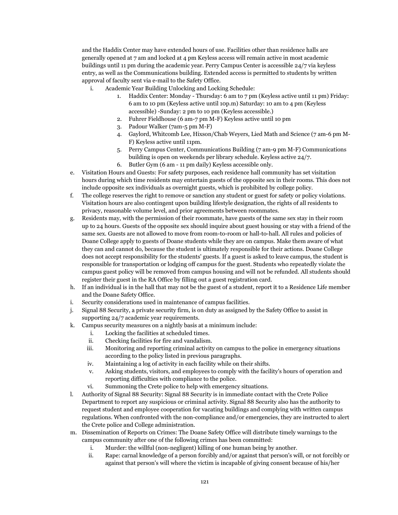and the Haddix Center may have extended hours of use. Facilities other than residence halls are generally opened at 7 am and locked at 4 pm Keyless access will remain active in most academic buildings until 11 pm during the academic year. Perry Campus Center is accessible 24/7 via keyless entry, as well as the Communications building. Extended access is permitted to students by written approval of faculty sent via e-mail to the Safety Office.

- i. Academic Year Building Unlocking and Locking Schedule:
	- 1. Haddix Center: Monday Thursday: 6 am to 7 pm (Keyless active until 11 pm) Friday: 6 am to 10 pm (Keyless active until 10p.m) Saturday: 10 am to 4 pm (Keyless accessible) -Sunday: 2 pm to 10 pm (Keyless accessible.)
	- 2. Fuhrer Fieldhouse (6 am-7 pm M-F) Keyless active until 10 pm
	- 3. Padour Walker (7am-5 pm M-F)
	- 4. Gaylord, Whitcomb Lee, Hixson/Chab Weyers, Lied Math and Science (7 am-6 pm M-F) Keyless active until 11pm.
	- 5. Perry Campus Center, Communications Building (7 am-9 pm M-F) Communications building is open on weekends per library schedule. Keyless active 24/7.
	- 6. Butler Gym (6 am 11 pm daily) Keyless accessible only.
- e. Visitation Hours and Guests: For safety purposes, each residence hall community has set visitation hours during which time residents may entertain guests of the opposite sex in their rooms. This does not include opposite sex individuals as overnight guests, which is prohibited by college policy.
- f. The college reserves the right to remove or sanction any student or guest for safety or policy violations. Visitation hours are also contingent upon building lifestyle designation, the rights of all residents to privacy, reasonable volume level, and prior agreements between roommates.
- g. Residents may, with the permission of their roommate, have guests of the same sex stay in their room up to 24 hours. Guests of the opposite sex should inquire about guest housing or stay with a friend of the same sex. Guests are not allowed to move from room-to-room or hall-to-hall. All rules and policies of Doane College apply to guests of Doane students while they are on campus. Make them aware of what they can and cannot do, because the student is ultimately responsible for their actions. Doane College does not accept responsibility for the students' guests. If a guest is asked to leave campus, the student is responsible for transportation or lodging off campus for the guest. Students who repeatedly violate the campus guest policy will be removed from campus housing and will not be refunded. All students should register their guest in the RA Office by filling out a guest registration card.
- h. If an individual is in the hall that may not be the guest of a student, report it to a Residence Life member and the Doane Safety Office.
- i. Security considerations used in maintenance of campus facilities.
- j. Signal 88 Security, a private security firm, is on duty as assigned by the Safety Office to assist in supporting 24/7 academic year requirements.
- k. Campus security measures on a nightly basis at a minimum include:
	- i. Locking the facilities at scheduled times.
	- ii. Checking facilities for fire and vandalism.
	- iii. Monitoring and reporting criminal activity on campus to the police in emergency situations according to the policy listed in previous paragraphs.
	- iv. Maintaining a log of activity in each facility while on their shifts.
	- v. Asking students, visitors, and employees to comply with the facility's hours of operation and reporting difficulties with compliance to the police.
	- vi. Summoning the Crete police to help with emergency situations.
- l. Authority of Signal 88 Security: Signal 88 Security is in immediate contact with the Crete Police Department to report any suspicious or criminal activity. Signal 88 Security also has the authority to request student and employee cooperation for vacating buildings and complying with written campus regulations. When confronted with the non-compliance and/or emergencies, they are instructed to alert the Crete police and College administration.
- m. Dissemination of Reports on Crimes: The Doane Safety Office will distribute timely warnings to the campus community after one of the following crimes has been committed:
	- i. Murder: the willful (non-negligent) killing of one human being by another.
	- ii. Rape: carnal knowledge of a person forcibly and/or against that person's will, or not forcibly or against that person's will where the victim is incapable of giving consent because of his/her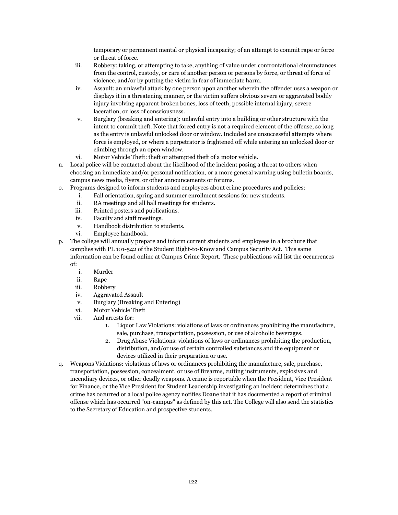temporary or permanent mental or physical incapacity; of an attempt to commit rape or force or threat of force.

- iii. Robbery: taking, or attempting to take, anything of value under confrontational circumstances from the control, custody, or care of another person or persons by force, or threat of force of violence, and/or by putting the victim in fear of immediate harm.
- iv. Assault: an unlawful attack by one person upon another wherein the offender uses a weapon or displays it in a threatening manner, or the victim suffers obvious severe or aggravated bodily injury involving apparent broken bones, loss of teeth, possible internal injury, severe laceration, or loss of consciousness.
- v. Burglary (breaking and entering): unlawful entry into a building or other structure with the intent to commit theft. Note that forced entry is not a required element of the offense, so long as the entry is unlawful unlocked door or window. Included are unsuccessful attempts where force is employed, or where a perpetrator is frightened off while entering an unlocked door or climbing through an open window.
- vi. Motor Vehicle Theft: theft or attempted theft of a motor vehicle.
- n. Local police will be contacted about the likelihood of the incident posing a threat to others when choosing an immediate and/or personal notification, or a more general warning using bulletin boards, campus news media, flyers, or other announcements or forums.
- o. Programs designed to inform students and employees about crime procedures and policies:
	- i. Fall orientation, spring and summer enrollment sessions for new students.
	- ii. RA meetings and all hall meetings for students.
	- iii. Printed posters and publications.
	- iv. Faculty and staff meetings.
	- v. Handbook distribution to students.
	- vi. Employee handbook.
- p. The college will annually prepare and inform current students and employees in a brochure that complies with PL 101-542 of the Student Right-to-Know and Campus Security Act. This same information can be found online at Campus Crime Report. These publications will list the occurrences of:
	- i. Murder
	- ii. Rape
	- iii. Robbery
	- iv. Aggravated Assault
	- v. Burglary (Breaking and Entering)
	- vi. Motor Vehicle Theft
	- vii. And arrests for:
		- 1. Liquor Law Violations: violations of laws or ordinances prohibiting the manufacture, sale, purchase, transportation, possession, or use of alcoholic beverages.
		- 2. Drug Abuse Violations: violations of laws or ordinances prohibiting the production, distribution, and/or use of certain controlled substances and the equipment or devices utilized in their preparation or use.
- q. Weapons Violations: violations of laws or ordinances prohibiting the manufacture, sale, purchase, transportation, possession, concealment, or use of firearms, cutting instruments, explosives and incendiary devices, or other deadly weapons. A crime is reportable when the President, Vice President for Finance, or the Vice President for Student Leadership investigating an incident determines that a crime has occurred or a local police agency notifies Doane that it has documented a report of criminal offense which has occurred "on-campus" as defined by this act. The College will also send the statistics to the Secretary of Education and prospective students.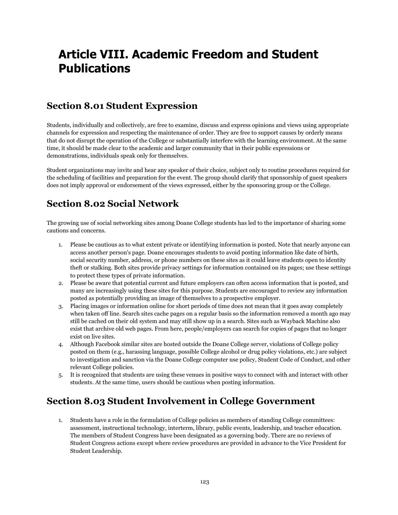# **Article VIII. Academic Freedom and Student Publications**

# **Section 8.01 Student Expression**

Students, individually and collectively, are free to examine, discuss and express opinions and views using appropriate channels for expression and respecting the maintenance of order. They are free to support causes by orderly means that do not disrupt the operation of the College or substantially interfere with the learning environment. At the same time, it should be made clear to the academic and larger community that in their public expressions or demonstrations, individuals speak only for themselves.

Student organizations may invite and hear any speaker of their choice, subject only to routine procedures required for the scheduling of facilities and preparation for the event. The group should clarify that sponsorship of guest speakers does not imply approval or endorsement of the views expressed, either by the sponsoring group or the College.

# **Section 8.02 Social Network**

The growing use of social networking sites among Doane College students has led to the importance of sharing some cautions and concerns.

- 1. Please be cautious as to what extent private or identifying information is posted. Note that nearly anyone can access another person's page. Doane encourages students to avoid posting information like date of birth, social security number, address, or phone numbers on these sites as it could leave students open to identity theft or stalking. Both sites provide privacy settings for information contained on its pages; use these settings to protect these types of private information.
- 2. Please be aware that potential current and future employers can often access information that is posted, and many are increasingly using these sites for this purpose. Students are encouraged to review any information posted as potentially providing an image of themselves to a prospective employer.
- 3. Placing images or information online for short periods of time does not mean that it goes away completely when taken off line. Search sites cache pages on a regular basis so the information removed a month ago may still be cached on their old system and may still show up in a search. Sites such as Wayback Machine also exist that archive old web pages. From here, people/employers can search for copies of pages that no longer exist on live sites.
- 4. Although Facebook similar sites are hosted outside the Doane College server, violations of College policy posted on them (e.g., harassing language, possible College alcohol or drug policy violations, etc.) are subject to investigation and sanction via the Doane College computer use policy, Student Code of Conduct, and other relevant College policies.
- 5. It is recognized that students are using these venues in positive ways to connect with and interact with other students. At the same time, users should be cautious when posting information.

# **Section 8.03 Student Involvement in College Government**

1. Students have a role in the formulation of College policies as members of standing College committees: assessment, instructional technology, interterm, library, public events, leadership, and teacher education. The members of Student Congress have been designated as a governing body. There are no reviews of Student Congress actions except where review procedures are provided in advance to the Vice President for Student Leadership.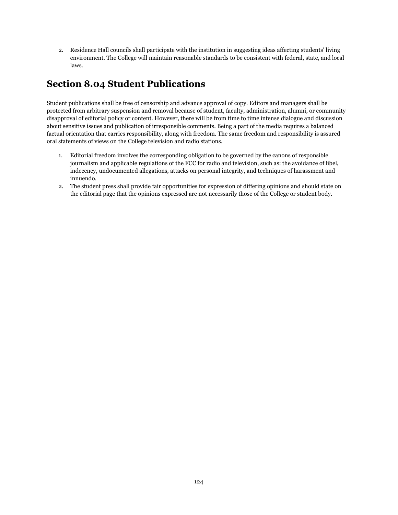2. Residence Hall councils shall participate with the institution in suggesting ideas affecting students' living environment. The College will maintain reasonable standards to be consistent with federal, state, and local laws.

# **Section 8.04 Student Publications**

Student publications shall be free of censorship and advance approval of copy. Editors and managers shall be protected from arbitrary suspension and removal because of student, faculty, administration, alumni, or community disapproval of editorial policy or content. However, there will be from time to time intense dialogue and discussion about sensitive issues and publication of irresponsible comments. Being a part of the media requires a balanced factual orientation that carries responsibility, along with freedom. The same freedom and responsibility is assured oral statements of views on the College television and radio stations.

- 1. Editorial freedom involves the corresponding obligation to be governed by the canons of responsible journalism and applicable regulations of the FCC for radio and television, such as: the avoidance of libel, indecency, undocumented allegations, attacks on personal integrity, and techniques of harassment and innuendo.
- 2. The student press shall provide fair opportunities for expression of differing opinions and should state on the editorial page that the opinions expressed are not necessarily those of the College or student body.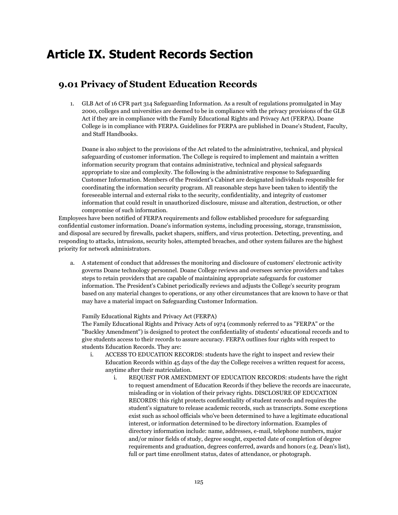# **Article IX. Student Records Section**

## **9.01 Privacy of Student Education Records**

1. GLB Act of 16 CFR part 314 Safeguarding Information. As a result of regulations promulgated in May 2000, colleges and universities are deemed to be in compliance with the privacy provisions of the GLB Act if they are in compliance with the Family Educational Rights and Privacy Act (FERPA). Doane College is in compliance with FERPA. Guidelines for FERPA are published in Doane's Student, Faculty, and Staff Handbooks.

Doane is also subject to the provisions of the Act related to the administrative, technical, and physical safeguarding of customer information. The College is required to implement and maintain a written information security program that contains administrative, technical and physical safeguards appropriate to size and complexity. The following is the administrative response to Safeguarding Customer Information. Members of the President's Cabinet are designated individuals responsible for coordinating the information security program. All reasonable steps have been taken to identify the foreseeable internal and external risks to the security, confidentiality, and integrity of customer information that could result in unauthorized disclosure, misuse and alteration, destruction, or other compromise of such information.

Employees have been notified of FERPA requirements and follow established procedure for safeguarding confidential customer information. Doane's information systems, including processing, storage, transmission, and disposal are secured by firewalls, packet shapers, sniffers, and virus protection. Detecting, preventing, and responding to attacks, intrusions, security holes, attempted breaches, and other system failures are the highest priority for network administrators.

a. A statement of conduct that addresses the monitoring and disclosure of customers' electronic activity governs Doane technology personnel. Doane College reviews and oversees service providers and takes steps to retain providers that are capable of maintaining appropriate safeguards for customer information. The President's Cabinet periodically reviews and adjusts the College's security program based on any material changes to operations, or any other circumstances that are known to have or that may have a material impact on Safeguarding Customer Information.

Family Educational Rights and Privacy Act (FERPA)

The Family Educational Rights and Privacy Acts of 1974 (commonly referred to as "FERPA" or the "Buckley Amendment") is designed to protect the confidentiality of students' educational records and to give students access to their records to assure accuracy. FERPA outlines four rights with respect to students Education Records. They are:

- i. ACCESS TO EDUCATION RECORDS: students have the right to inspect and review their Education Records within 45 days of the day the College receives a written request for access, anytime after their matriculation.
	- i. REQUEST FOR AMENDMENT OF EDUCATION RECORDS: students have the right to request amendment of Education Records if they believe the records are inaccurate, misleading or in violation of their privacy rights. DISCLOSURE OF EDUCATION RECORDS: this right protects confidentiality of student records and requires the student's signature to release academic records, such as transcripts. Some exceptions exist such as school officials who've been determined to have a legitimate educational interest, or information determined to be directory information. Examples of directory information include: name, addresses, e-mail, telephone numbers, major and/or minor fields of study, degree sought, expected date of completion of degree requirements and graduation, degrees conferred, awards and honors (e.g. Dean's list), full or part time enrollment status, dates of attendance, or photograph.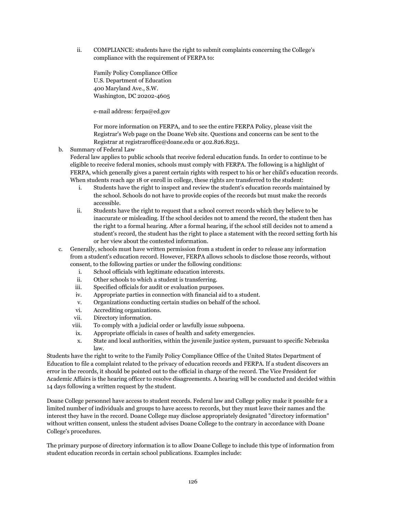ii. COMPLIANCE: students have the right to submit complaints concerning the College's compliance with the requirement of FERPA to:

Family Policy Compliance Office U.S. Department of Education 400 Maryland Ave., S.W. Washington, DC 20202-4605

e-mail address: ferpa@ed.gov

For more information on FERPA, and to see the entire FERPA Policy, please visit the Registrar's Web page on the Doane Web site. Questions and concerns can be sent to the Registrar at registraroffice@doane.edu or 402.826.8251.

b. Summary of Federal Law

Federal law applies to public schools that receive federal education funds. In order to continue to be eligible to receive federal monies, schools must comply with FERPA. The following is a highlight of FERPA, which generally gives a parent certain rights with respect to his or her child's education records. When students reach age 18 or enroll in college, these rights are transferred to the student:

- i. Students have the right to inspect and review the student's education records maintained by the school. Schools do not have to provide copies of the records but must make the records accessible.
- ii. Students have the right to request that a school correct records which they believe to be inaccurate or misleading. If the school decides not to amend the record, the student then has the right to a formal hearing. After a formal hearing, if the school still decides not to amend a student's record, the student has the right to place a statement with the record setting forth his or her view about the contested information.
- c. Generally, schools must have written permission from a student in order to release any information from a student's education record. However, FERPA allows schools to disclose those records, without consent, to the following parties or under the following conditions:
	- i. School officials with legitimate education interests.
	- ii. Other schools to which a student is transferring.
	- iii. Specified officials for audit or evaluation purposes.
	- iv. Appropriate parties in connection with financial aid to a student.
	- v. Organizations conducting certain studies on behalf of the school.
	- vi. Accrediting organizations.
	- vii. Directory information.
	- viii. To comply with a judicial order or lawfully issue subpoena.
	- ix. Appropriate officials in cases of health and safety emergencies.
	- x. State and local authorities, within the juvenile justice system, pursuant to specific Nebraska law.

Students have the right to write to the Family Policy Compliance Office of the United States Department of Education to file a complaint related to the privacy of education records and FERPA. If a student discovers an error in the records, it should be pointed out to the official in charge of the record. The Vice President for Academic Affairs is the hearing officer to resolve disagreements. A hearing will be conducted and decided within 14 days following a written request by the student.

Doane College personnel have access to student records. Federal law and College policy make it possible for a limited number of individuals and groups to have access to records, but they must leave their names and the interest they have in the record. Doane College may disclose appropriately designated "directory information" without written consent, unless the student advises Doane College to the contrary in accordance with Doane College's procedures.

The primary purpose of directory information is to allow Doane College to include this type of information from student education records in certain school publications. Examples include: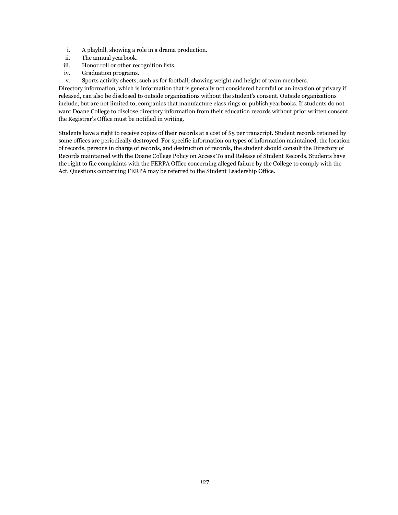- i. A playbill, showing a role in a drama production.
- ii. The annual yearbook.
- iii. Honor roll or other recognition lists.
- iv. Graduation programs.
- v. Sports activity sheets, such as for football, showing weight and height of team members.

Directory information, which is information that is generally not considered harmful or an invasion of privacy if released, can also be disclosed to outside organizations without the student's consent. Outside organizations include, but are not limited to, companies that manufacture class rings or publish yearbooks. If students do not want Doane College to disclose directory information from their education records without prior written consent, the Registrar's Office must be notified in writing.

Students have a right to receive copies of their records at a cost of \$5 per transcript. Student records retained by some offices are periodically destroyed. For specific information on types of information maintained, the location of records, persons in charge of records, and destruction of records, the student should consult the Directory of Records maintained with the Doane College Policy on Access To and Release of Student Records. Students have the right to file complaints with the FERPA Office concerning alleged failure by the College to comply with the Act. Questions concerning FERPA may be referred to the Student Leadership Office.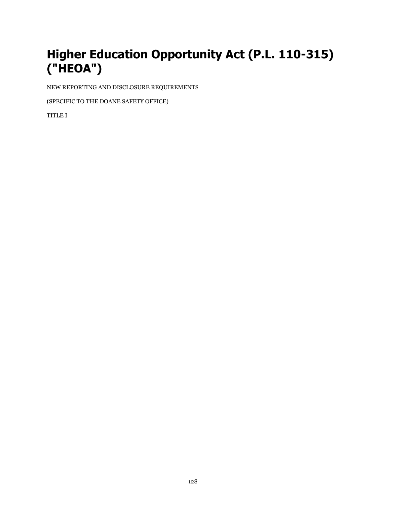# **Higher Education Opportunity Act (P.L. 110-315) ("HEOA")**

NEW REPORTING AND DISCLOSURE REQUIREMENTS

(SPECIFIC TO THE DOANE SAFETY OFFICE)

TITLE I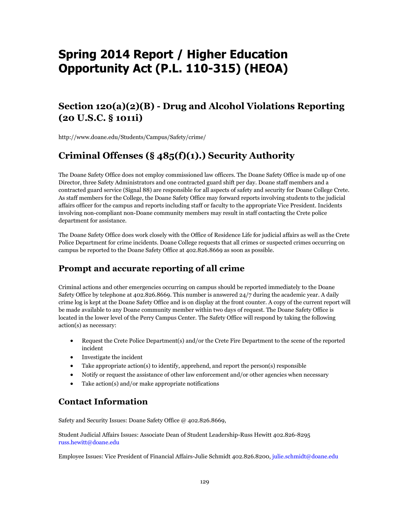# **Spring 2014 Report / Higher Education Opportunity Act (P.L. 110-315) (HEOA)**

# **Section 120(a)(2)(B) - Drug and Alcohol Violations Reporting (20 U.S.C. § 1011i)**

http://www.doane.edu/Students/Campus/Safety/crime/

# **Criminal Offenses (§ 485(f)(1).) Security Authority**

The Doane Safety Office does not employ commissioned law officers. The Doane Safety Office is made up of one Director, three Safety Administrators and one contracted guard shift per day. Doane staff members and a contracted guard service (Signal 88) are responsible for all aspects of safety and security for Doane College Crete. As staff members for the College, the Doane Safety Office may forward reports involving students to the judicial affairs officer for the campus and reports including staff or faculty to the appropriate Vice President. Incidents involving non-compliant non-Doane community members may result in staff contacting the Crete police department for assistance.

The Doane Safety Office does work closely with the Office of Residence Life for judicial affairs as well as the Crete Police Department for crime incidents. Doane College requests that all crimes or suspected crimes occurring on campus be reported to the Doane Safety Office at 402.826.8669 as soon as possible.

## **Prompt and accurate reporting of all crime**

Criminal actions and other emergencies occurring on campus should be reported immediately to the Doane Safety Office by telephone at 402.826.8669. This number is answered 24/7 during the academic year. A daily crime log is kept at the Doane Safety Office and is on display at the front counter. A copy of the current report will be made available to any Doane community member within two days of request. The Doane Safety Office is located in the lower level of the Perry Campus Center. The Safety Office will respond by taking the following action(s) as necessary:

- Request the Crete Police Department(s) and/or the Crete Fire Department to the scene of the reported incident
- Investigate the incident
- Take appropriate action(s) to identify, apprehend, and report the person(s) responsible
- Notify or request the assistance of other law enforcement and/or other agencies when necessary
- Take action(s) and/or make appropriate notifications

## **Contact Information**

Safety and Security Issues: Doane Safety Office @ 402.826.8669,

Student Judicial Affairs Issues: Associate Dean of Student Leadership-Russ Hewitt 402.826-8295 russ.hewitt@doane.edu

Employee Issues: Vice President of Financial Affairs-Julie Schmidt 402.826.8200, julie.schmidt@doane.edu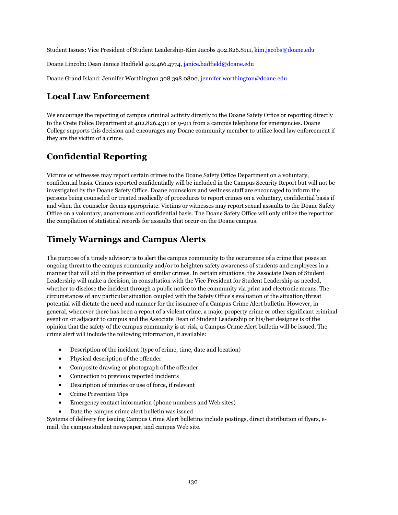Student Issues: Vice President of Student Leadership-Kim Jacobs 402.826.8111, kim.jacobs@doane.edu

Doane Lincoln: Dean Janice Hadfield 402.466.4774, janice.hadfield@doane.edu

Doane Grand Island: Jennifer Worthington 308.398.0800, jennifer.worthington@doane.edu

### **Local Law Enforcement**

We encourage the reporting of campus criminal activity directly to the Doane Safety Office or reporting directly to the Crete Police Department at 402.826.4311 or 9-911 from a campus telephone for emergencies. Doane College supports this decision and encourages any Doane community member to utilize local law enforcement if they are the victim of a crime.

# **Confidential Reporting**

Victims or witnesses may report certain crimes to the Doane Safety Office Department on a voluntary, confidential basis. Crimes reported confidentially will be included in the Campus Security Report but will not be investigated by the Doane Safety Office. Doane counselors and wellness staff are encouraged to inform the persons being counseled or treated medically of procedures to report crimes on a voluntary, confidential basis if and when the counselor deems appropriate. Victims or witnesses may report sexual assaults to the Doane Safety Office on a voluntary, anonymous and confidential basis. The Doane Safety Office will only utilize the report for the compilation of statistical records for assaults that occur on the Doane campus.

## **Timely Warnings and Campus Alerts**

The purpose of a timely advisory is to alert the campus community to the occurrence of a crime that poses an ongoing threat to the campus community and/or to heighten safety awareness of students and employees in a manner that will aid in the prevention of similar crimes. In certain situations, the Associate Dean of Student Leadership will make a decision, in consultation with the Vice President for Student Leadership as needed, whether to disclose the incident through a public notice to the community via print and electronic means. The circumstances of any particular situation coupled with the Safety Office's evaluation of the situation/threat potential will dictate the need and manner for the issuance of a Campus Crime Alert bulletin. However, in general, whenever there has been a report of a violent crime, a major property crime or other significant criminal event on or adjacent to campus and the Associate Dean of Student Leadership or his/her designee is of the opinion that the safety of the campus community is at-risk, a Campus Crime Alert bulletin will be issued. The crime alert will include the following information, if available:

- Description of the incident (type of crime, time, date and location)
- Physical description of the offender
- Composite drawing or photograph of the offender
- Connection to previous reported incidents
- Description of injuries or use of force, if relevant
- Crime Prevention Tips
- Emergency contact information (phone numbers and Web sites)
- Date the campus crime alert bulletin was issued

Systems of delivery for issuing Campus Crime Alert bulletins include postings, direct distribution of flyers, email, the campus student newspaper, and campus Web site.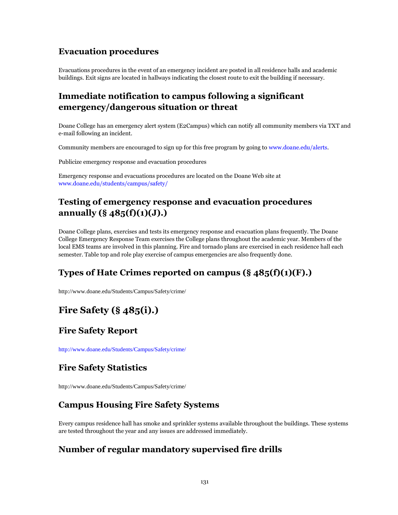## **Evacuation procedures**

Evacuations procedures in the event of an emergency incident are posted in all residence halls and academic buildings. Exit signs are located in hallways indicating the closest route to exit the building if necessary.

## **Immediate notification to campus following a significant emergency/dangerous situation or threat**

Doane College has an emergency alert system (E2Campus) which can notify all community members via TXT and e-mail following an incident.

Community members are encouraged to sign up for this free program by going to www.doane.edu/alerts.

Publicize emergency response and evacuation procedures

Emergency response and evacuations procedures are located on the Doane Web site at www.doane.edu/students/campus/safety/

## **Testing of emergency response and evacuation procedures annually (§ 485(f)(1)(J).)**

Doane College plans, exercises and tests its emergency response and evacuation plans frequently. The Doane College Emergency Response Team exercises the College plans throughout the academic year. Members of the local EMS teams are involved in this planning. Fire and tornado plans are exercised in each residence hall each semester. Table top and role play exercise of campus emergencies are also frequently done.

## **Types of Hate Crimes reported on campus (§ 485(f)(1)(F).)**

http://www.doane.edu/Students/Campus/Safety/crime/

# **Fire Safety (§ 485(i).)**

### **Fire Safety Report**

http://www.doane.edu/Students/Campus/Safety/crime/

## **Fire Safety Statistics**

http://www.doane.edu/Students/Campus/Safety/crime/

## **Campus Housing Fire Safety Systems**

Every campus residence hall has smoke and sprinkler systems available throughout the buildings. These systems are tested throughout the year and any issues are addressed immediately.

## **Number of regular mandatory supervised fire drills**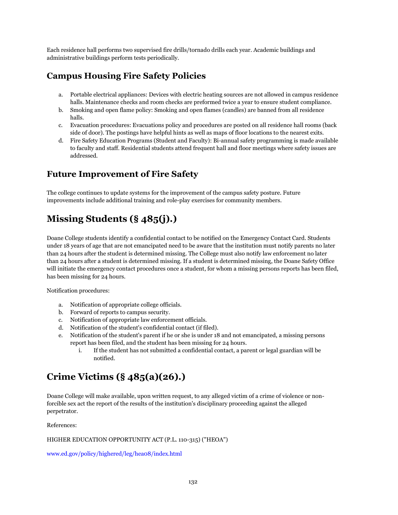Each residence hall performs two supervised fire drills/tornado drills each year. Academic buildings and administrative buildings perform tests periodically.

## **Campus Housing Fire Safety Policies**

- a. Portable electrical appliances: Devices with electric heating sources are not allowed in campus residence halls. Maintenance checks and room checks are preformed twice a year to ensure student compliance.
- b. Smoking and open flame policy: Smoking and open flames (candles) are banned from all residence halls.
- c. Evacuation procedures: Evacuations policy and procedures are posted on all residence hall rooms (back side of door). The postings have helpful hints as well as maps of floor locations to the nearest exits.
- d. Fire Safety Education Programs (Student and Faculty): Bi-annual safety programming is made available to faculty and staff. Residential students attend frequent hall and floor meetings where safety issues are addressed.

### **Future Improvement of Fire Safety**

The college continues to update systems for the improvement of the campus safety posture. Future improvements include additional training and role-play exercises for community members.

# **Missing Students (§ 485(j).)**

Doane College students identify a confidential contact to be notified on the Emergency Contact Card. Students under 18 years of age that are not emancipated need to be aware that the institution must notify parents no later than 24 hours after the student is determined missing. The College must also notify law enforcement no later than 24 hours after a student is determined missing. If a student is determined missing, the Doane Safety Office will initiate the emergency contact procedures once a student, for whom a missing persons reports has been filed, has been missing for 24 hours.

Notification procedures:

- a. Notification of appropriate college officials.
- b. Forward of reports to campus security.
- c. Notification of appropriate law enforcement officials.
- d. Notification of the student's confidential contact (if filed).
- e. Notification of the student's parent if he or she is under 18 and not emancipated, a missing persons report has been filed, and the student has been missing for 24 hours.
	- i. If the student has not submitted a confidential contact, a parent or legal guardian will be notified.

# **Crime Victims (§ 485(a)(26).)**

Doane College will make available, upon written request, to any alleged victim of a crime of violence or nonforcible sex act the report of the results of the institution's disciplinary proceeding against the alleged perpetrator.

References:

#### HIGHER EDUCATION OPPORTUNITY ACT (P.L. 110-315) ("HEOA")

www.ed.gov/policy/highered/leg/hea08/index.html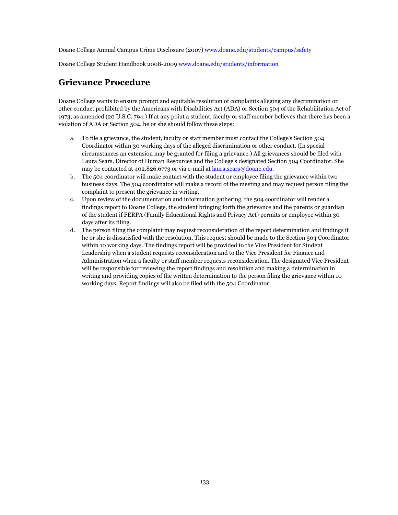Doane College Annual Campus Crime Disclosure (2007) www.doane.edu/students/campus/safety

Doane College Student Handbook 2008-2009 www.doane.edu/students/information

## **Grievance Procedure**

Doane College wants to ensure prompt and equitable resolution of complaints alleging any discrimination or other conduct prohibited by the Americans with Disabilities Act (ADA) or Section 504 of the Rehabilitation Act of 1973, as amended (20 U.S.C. 794.) If at any point a student, faculty or staff member believes that there has been a violation of ADA or Section 504, he or she should follow these steps:

- a. To file a grievance, the student, faculty or staff member must contact the College's Section 504 Coordinator within 30 working days of the alleged discrimination or other conduct. (In special circumstances an extension may be granted for filing a grievance.) All grievances should be filed with Laura Sears, Director of Human Resources and the College's designated Section 504 Coordinator. She may be contacted at 402.826.6773 or via e-mail at laura.sears@doane.edu.
- b. The 504 coordinator will make contact with the student or employee filing the grievance within two business days. The 504 coordinator will make a record of the meeting and may request person filing the complaint to present the grievance in writing.
- c. Upon review of the documentation and information gathering, the 504 coordinator will render a findings report to Doane College, the student bringing forth the grievance and the parents or guardian of the student if FERPA (Family Educational Rights and Privacy Act) permits or employee within 30 days after its filing.
- d. The person filing the complaint may request reconsideration of the report determination and findings if he or she is dissatisfied with the resolution. This request should be made to the Section 504 Coordinator within 10 working days. The findings report will be provided to the Vice President for Student Leadership when a student requests reconsideration and to the Vice President for Finance and Administration when a faculty or staff member requests reconsideration. The designated Vice President will be responsible for reviewing the report findings and resolution and making a determination in writing and providing copies of the written determination to the person filing the grievance within 10 working days. Report findings will also be filed with the 504 Coordinator.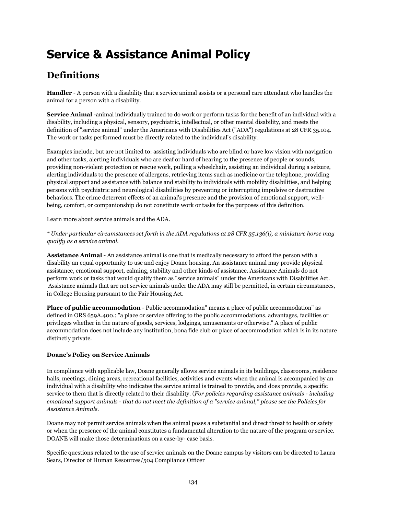# **Service & Assistance Animal Policy**

# **Definitions**

**Handler** - A person with a disability that a service animal assists or a personal care attendant who handles the animal for a person with a disability.

**Service Animal** -animal individually trained to do work or perform tasks for the benefit of an individual with a disability, including a physical, sensory, psychiatric, intellectual, or other mental disability, and meets the definition of "service animal" under the Americans with Disabilities Act ("ADA") regulations at 28 CFR 35.104. The work or tasks performed must be directly related to the individual's disability.

Examples include, but are not limited to: assisting individuals who are blind or have low vision with navigation and other tasks, alerting individuals who are deaf or hard of hearing to the presence of people or sounds, providing non-violent protection or rescue work, pulling a wheelchair, assisting an individual during a seizure, alerting individuals to the presence of allergens, retrieving items such as medicine or the telephone, providing physical support and assistance with balance and stability to individuals with mobility disabilities, and helping persons with psychiatric and neurological disabilities by preventing or interrupting impulsive or destructive behaviors. The crime deterrent effects of an animal's presence and the provision of emotional support, wellbeing, comfort, or companionship do not constitute work or tasks for the purposes of this definition.

Learn more about service animals and the ADA.

*\* Under particular circumstances set forth in the ADA regulations at 28 CFR 35.136(i), a miniature horse may qualify as a service animal.*

**Assistance Animal** - An assistance animal is one that is medically necessary to afford the person with a disability an equal opportunity to use and enjoy Doane housing. An assistance animal may provide physical assistance, emotional support, calming, stability and other kinds of assistance. Assistance Animals do not perform work or tasks that would qualify them as "service animals" under the Americans with Disabilities Act. Assistance animals that are not service animals under the ADA may still be permitted, in certain circumstances, in College Housing pursuant to the Fair Housing Act.

**Place of public accommodation** - Public accommodation" means a place of public accommodation" as defined in ORS 659A.400.: "a place or service offering to the public accommodations, advantages, facilities or privileges whether in the nature of goods, services, lodgings, amusements or otherwise." A place of public accommodation does not include any institution, bona fide club or place of accommodation which is in its nature distinctly private.

### **Doane's Policy on Service Animals**

In compliance with applicable law, Doane generally allows service animals in its buildings, classrooms, residence halls, meetings, dining areas, recreational facilities, activities and events when the animal is accompanied by an individual with a disability who indicates the service animal is trained to provide, and does provide, a specific service to them that is directly related to their disability. (*For policies regarding assistance animals - including emotional support animals - that do not meet the definition of a "service animal," please see the Policies for Assistance Animals*.

Doane may not permit service animals when the animal poses a substantial and direct threat to health or safety or when the presence of the animal constitutes a fundamental alteration to the nature of the program or service. DOANE will make those determinations on a case-by- case basis.

Specific questions related to the use of service animals on the Doane campus by visitors can be directed to Laura Sears, Director of Human Resources/504 Compliance Officer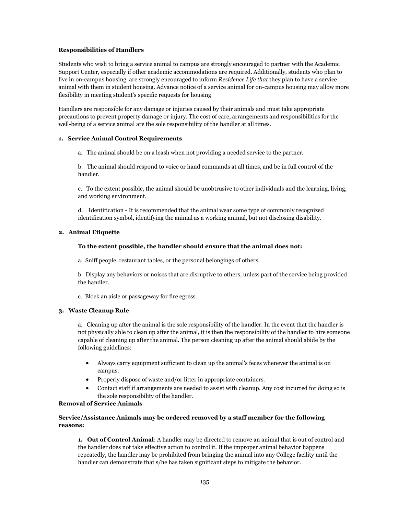#### **Responsibilities of Handlers**

Students who wish to bring a service animal to campus are strongly encouraged to partner with the Academic Support Center, especially if other academic accommodations are required. Additionally, students who plan to live in on-campus housing are strongly encouraged to inform *Residence Life that* they plan to have a service animal with them in student housing. Advance notice of a service animal for on-campus housing may allow more flexibility in meeting student's specific requests for housing

Handlers are responsible for any damage or injuries caused by their animals and must take appropriate precautions to prevent property damage or injury. The cost of care, arrangements and responsibilities for the well-being of a service animal are the sole responsibility of the handler at all times.

#### **1. Service Animal Control Requirements**

a. The animal should be on a leash when not providing a needed service to the partner.

b. The animal should respond to voice or hand commands at all times, and be in full control of the handler.

c. To the extent possible, the animal should be unobtrusive to other individuals and the learning, living, and working environment.

d. Identification - It is recommended that the animal wear some type of commonly recognized identification symbol, identifying the animal as a working animal, but not disclosing disability.

#### **2. Animal Etiquette**

#### **To the extent possible, the handler should ensure that the animal does not:**

a. Sniff people, restaurant tables, or the personal belongings of others.

b. Display any behaviors or noises that are disruptive to others, unless part of the service being provided the handler.

c. Block an aisle or passageway for fire egress.

#### **3. Waste Cleanup Rule**

a. Cleaning up after the animal is the sole responsibility of the handler. In the event that the handler is not physically able to clean up after the animal, it is then the responsibility of the handler to hire someone capable of cleaning up after the animal. The person cleaning up after the animal should abide by the following guidelines:

- Always carry equipment sufficient to clean up the animal's feces whenever the animal is on campus.
- Properly dispose of waste and/or litter in appropriate containers.
- Contact staff if arrangements are needed to assist with cleanup. Any cost incurred for doing so is the sole responsibility of the handler.

#### **Removal of Service Animals**

#### **Service/Assistance Animals may be ordered removed by a staff member for the following reasons:**

**1. Out of Control Animal**: A handler may be directed to remove an animal that is out of control and the handler does not take effective action to control it. If the improper animal behavior happens repeatedly, the handler may be prohibited from bringing the animal into any College facility until the handler can demonstrate that s/he has taken significant steps to mitigate the behavior.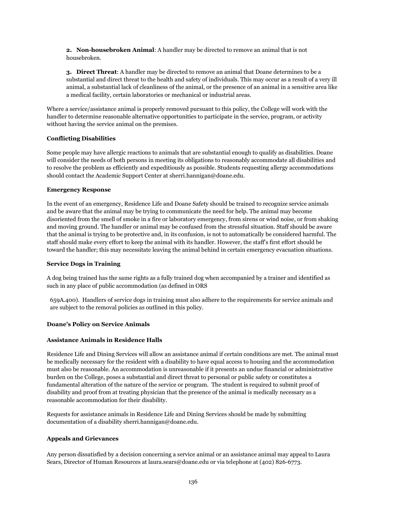**2. Non-housebroken Animal**: A handler may be directed to remove an animal that is not housebroken.

**3. Direct Threat**: A handler may be directed to remove an animal that Doane determines to be a substantial and direct threat to the health and safety of individuals. This may occur as a result of a very ill animal, a substantial lack of cleanliness of the animal, or the presence of an animal in a sensitive area like a medical facility, certain laboratories or mechanical or industrial areas.

Where a service/assistance animal is properly removed pursuant to this policy, the College will work with the handler to determine reasonable alternative opportunities to participate in the service, program, or activity without having the service animal on the premises.

### **Conflicting Disabilities**

Some people may have allergic reactions to animals that are substantial enough to qualify as disabilities. Doane will consider the needs of both persons in meeting its obligations to reasonably accommodate all disabilities and to resolve the problem as efficiently and expeditiously as possible. Students requesting allergy accommodations should contact the Academic Support Center at sherri.hannigan@doane.edu.

#### **Emergency Response**

In the event of an emergency, Residence Life and Doane Safety should be trained to recognize service animals and be aware that the animal may be trying to communicate the need for help. The animal may become disoriented from the smell of smoke in a fire or laboratory emergency, from sirens or wind noise, or from shaking and moving ground. The handler or animal may be confused from the stressful situation. Staff should be aware that the animal is trying to be protective and, in its confusion, is not to automatically be considered harmful. The staff should make every effort to keep the animal with its handler. However, the staff's first effort should be toward the handler; this may necessitate leaving the animal behind in certain emergency evacuation situations.

#### **Service Dogs in Training**

A dog being trained has the same rights as a fully trained dog when accompanied by a trainer and identified as such in any place of public accommodation (as defined in ORS

659A.400). Handlers of service dogs in training must also adhere to the requirements for service animals and are subject to the removal policies as outlined in this policy.

#### **Doane's Policy on Service Animals**

#### **Assistance Animals in Residence Halls**

Residence Life and Dining Services will allow an assistance animal if certain conditions are met. The animal must be medically necessary for the resident with a disability to have equal access to housing and the accommodation must also be reasonable. An accommodation is unreasonable if it presents an undue financial or administrative burden on the College, poses a substantial and direct threat to personal or public safety or constitutes a fundamental alteration of the nature of the service or program. The student is required to submit proof of disability and proof from at treating physician that the presence of the animal is medically necessary as a reasonable accommodation for their disability.

Requests for assistance animals in Residence Life and Dining Services should be made by submitting documentation of a disability sherri.hannigan@doane.edu.

#### **Appeals and Grievances**

Any person dissatisfied by a decision concerning a service animal or an assistance animal may appeal to Laura Sears, Director of Human Resources at laura.sears@doane.edu or via telephone at (402) 826-6773.